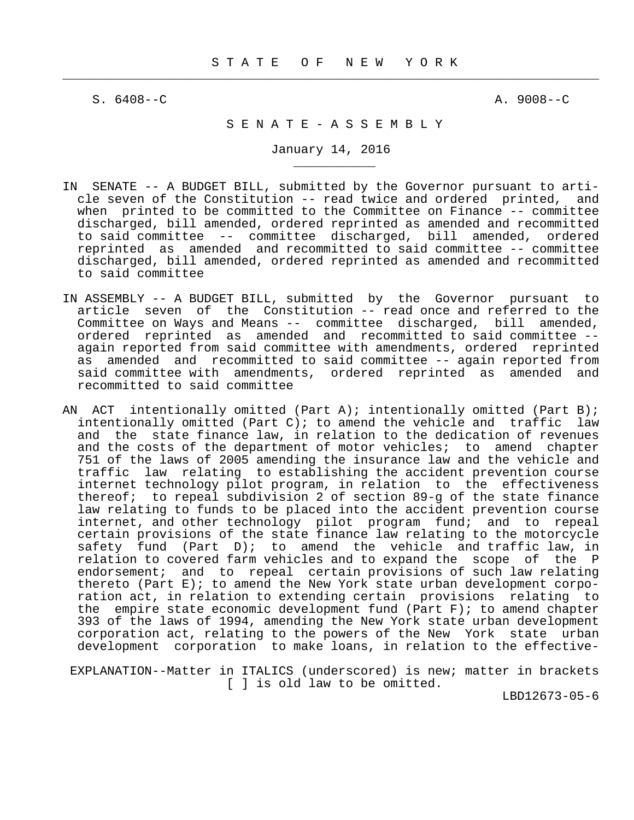$\frac{1}{2}$  , and the contribution of the contribution of the contribution of the contribution of the contribution of the contribution of the contribution of the contribution of the contribution of the contribution of the c

\_\_\_\_\_\_\_\_\_\_\_

S. 6408--C A. 9008--C

# S E N A T E - A S S E M B L Y

January 14, 2016

- IN SENATE -- A BUDGET BILL, submitted by the Governor pursuant to arti cle seven of the Constitution -- read twice and ordered printed, and when printed to be committed to the Committee on Finance -- committee discharged, bill amended, ordered reprinted as amended and recommitted to said committee -- committee discharged, bill amended, ordered reprinted as amended and recommitted to said committee -- committee discharged, bill amended, ordered reprinted as amended and recommitted to said committee
- IN ASSEMBLY -- A BUDGET BILL, submitted by the Governor pursuant to article seven of the Constitution -- read once and referred to the Committee on Ways and Means -- committee discharged, bill amended, ordered reprinted as amended and recommitted to said committee - again reported from said committee with amendments, ordered reprinted as amended and recommitted to said committee -- again reported from said committee with amendments, ordered reprinted as amended and recommitted to said committee
- AN ACT intentionally omitted (Part A); intentionally omitted (Part B); intentionally omitted (Part C); to amend the vehicle and traffic law and the state finance law, in relation to the dedication of revenues and the costs of the department of motor vehicles; to amend chapter 751 of the laws of 2005 amending the insurance law and the vehicle and traffic law relating to establishing the accident prevention course internet technology pilot program, in relation to the effectiveness thereof; to repeal subdivision 2 of section 89-g of the state finance law relating to funds to be placed into the accident prevention course internet, and other technology pilot program fund; and to repeal certain provisions of the state finance law relating to the motorcycle safety fund (Part D); to amend the vehicle and traffic law, in relation to covered farm vehicles and to expand the scope of the P endorsement; and to repeal certain provisions of such law relating thereto (Part E); to amend the New York state urban development corpo ration act, in relation to extending certain provisions relating to the empire state economic development fund (Part F); to amend chapter 393 of the laws of 1994, amending the New York state urban development corporation act, relating to the powers of the New York state urban development corporation to make loans, in relation to the effective-

 EXPLANATION--Matter in ITALICS (underscored) is new; matter in brackets [ ] is old law to be omitted.

LBD12673-05-6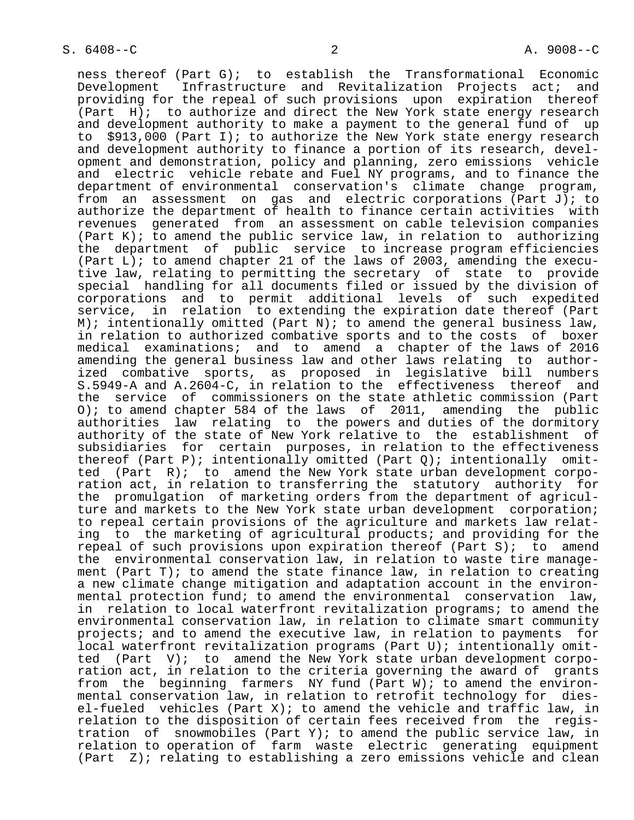ness thereof (Part G); to establish the Transformational Economic Development Infrastructure and Revitalization Projects act; and providing for the repeal of such provisions upon expiration thereof (Part H); to authorize and direct the New York state energy research and development authority to make a payment to the general fund of up to \$913,000 (Part I); to authorize the New York state energy research and development authority to finance a portion of its research, devel opment and demonstration, policy and planning, zero emissions vehicle and electric vehicle rebate and Fuel NY programs, and to finance the department of environmental conservation's climate change program, from an assessment on gas and electric corporations (Part J); to authorize the department of health to finance certain activities with revenues generated from an assessment on cable television companies (Part  $K$ ); to amend the public service law, in relation to authorizing the department of public service to increase program efficiencies (Part  $\overline{L}$ ); to amend chapter 21 of the laws of 2003, amending the execu tive law, relating to permitting the secretary of state to provide special handling for all documents filed or issued by the division of corporations and to permit additional levels of such expedited service, in relation to extending the expiration date thereof (Part M); intentionally omitted (Part N); to amend the general business law, in relation to authorized combative sports and to the costs of boxer medical examinations; and to amend a chapter of the laws of 2016 amending the general business law and other laws relating to author ized combative sports, as proposed in legislative bill numbers S.5949-A and A.2604-C, in relation to the effectiveness thereof and the service of commissioners on the state athletic commission (Part O); to amend chapter 584 of the laws of 2011, amending the public authorities law relating to the powers and duties of the dormitory authority of the state of New York relative to the establishment of subsidiaries for certain purposes, in relation to the effectiveness thereof (Part P); intentionally omitted (Part Q); intentionally omit ted (Part R); to amend the New York state urban development corpo ration act, in relation to transferring the statutory authority for the promulgation of marketing orders from the department of agricul ture and markets to the New York state urban development corporation; to repeal certain provisions of the agriculture and markets law relat ing to the marketing of agricultural products; and providing for the repeal of such provisions upon expiration thereof (Part S); to amend the environmental conservation law, in relation to waste tire manage ment (Part T); to amend the state finance law, in relation to creating a new climate change mitigation and adaptation account in the environ mental protection fund; to amend the environmental conservation law, in relation to local waterfront revitalization programs; to amend the environmental conservation law, in relation to climate smart community projects; and to amend the executive law, in relation to payments for local waterfront revitalization programs (Part U); intentionally omit ted (Part V); to amend the New York state urban development corpo ration act, in relation to the criteria governing the award of grants from the beginning farmers NY fund (Part W); to amend the environ mental conservation law, in relation to retrofit technology for dies el-fueled vehicles (Part X); to amend the vehicle and traffic law, in relation to the disposition of certain fees received from the regis tration of snowmobiles (Part Y); to amend the public service law, in relation to operation of farm waste electric generating equipment (Part Z); relating to establishing a zero emissions vehicle and clean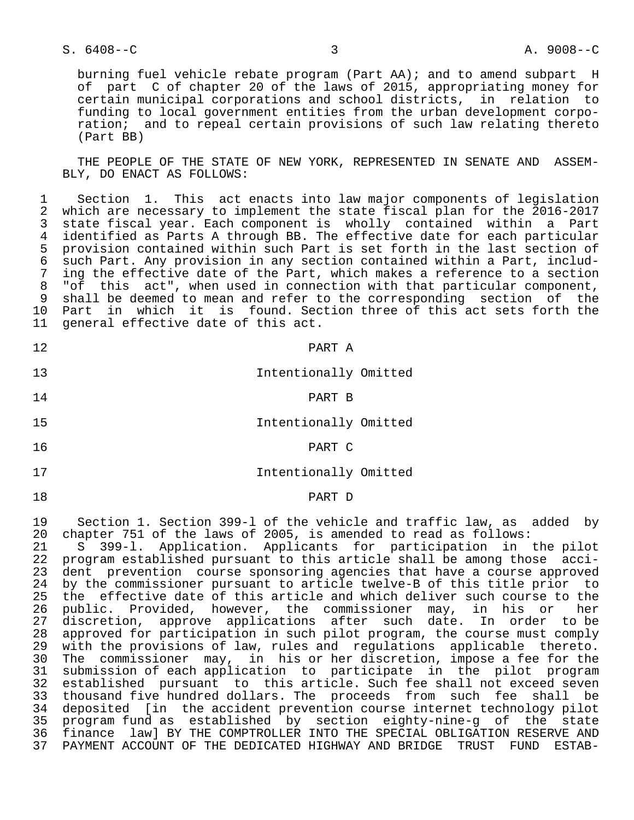# S. 6408--C 3 A. 9008--C

 burning fuel vehicle rebate program (Part AA); and to amend subpart H of part C of chapter 20 of the laws of 2015, appropriating money for certain municipal corporations and school districts, in relation to funding to local government entities from the urban development corpo ration; and to repeal certain provisions of such law relating thereto (Part BB)

 THE PEOPLE OF THE STATE OF NEW YORK, REPRESENTED IN SENATE AND ASSEM- BLY, DO ENACT AS FOLLOWS:

1 Section 1. This act enacts into law major components of legislation<br>2 which are necessary to implement the state fiscal plan for the 2016-2017 2 which are necessary to implement the state fiscal plan for the 2016-2017<br>3 state fiscal vear. Each component is wholly contained within a Part 3 state fiscal year. Each component is wholly contained within a Part 4 identified as Parts A through BB. The effective date for each particular<br>5 provision contained within such Part is set forth in the last section of 5 provision contained within such Part is set forth in the last section of<br>6 such Part. Any provision in any section contained within a Part, includ- 6 such Part. Any provision in any section contained within a Part, includ- 7 ing the effective date of the Part, which makes a reference to a section<br>8 "of this act", when used in connection with that particular component, "of this act", when used in connection with that particular component, 9 shall be deemed to mean and refer to the corresponding section of the 10 Part in which it is found. Section three of this act sets forth the 11 general effective date of this act. general effective date of this act.

|  | PART A                | 12 |
|--|-----------------------|----|
|  | Intentionally Omitted | 13 |
|  | PART B                | 14 |
|  | Intentionally Omitted | 15 |
|  | PART C                | 16 |
|  | Intentionally Omitted | 17 |
|  | PART D                | 18 |

19 Section 1. Section 399-l of the vehicle and traffic law, as added by

20 chapter 751 of the laws of 2005, is amended to read as follows:<br>21 S 399-1. Application. Applicants for participation in 21 S 399-l. Application. Applicants for participation in the pilot program established pursuant to this article shall be among those acci- 23 dent prevention course sponsoring agencies that have a course approved 24 by the commissioner pursuant to article twelve-B of this title prior to<br>25 the effective date of this article and which deliver such course to the 25 the effective date of this article and which deliver such course to the<br>26 public. Provided, however, the commissioner may, in his or her 26 public. Provided, however, the commissioner may, in his or her<br>27 discretion, approve applications after such date. In order to-be discretion, approve applications after such date. In order to be 28 approved for participation in such pilot program, the course must comply<br>29 with the provisions of law, rules and regulations applicable thereto. with the provisions of law, rules and regulations applicable thereto. 30 The commissioner may, in his or her discretion, impose a fee for the submission of each application to participate in the pilot program 32 established pursuant to this article. Such fee shall not exceed seven 33 thousand five hundred dollars. The proceeds from such fee shall be 34 deposited [in the accident prevention course internet technology pilot 35 program fund as established by section eighty-nine-g of the state<br>36 finance lawl BY THE COMPTROLLER INTO THE SPECIAL OBLIGATION RESERVE AND 36 finance law] BY THE COMPTROLLER INTO THE SPECIAL OBLIGATION RESERVE AND 37 PAYMENT ACCOUNT OF THE DEDICATED HIGHWAY AND BRIDGE TRUST FUND ESTAB-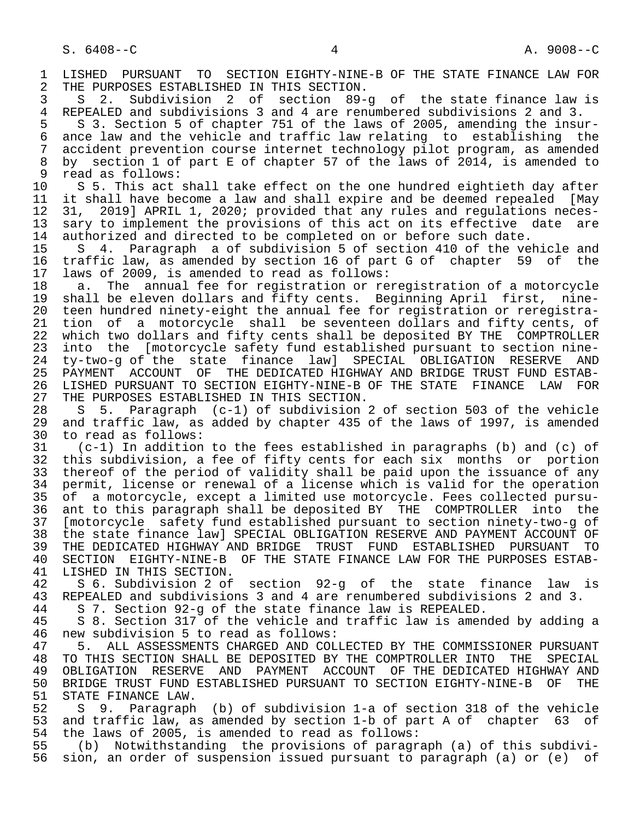1 LISHED PURSUANT TO SECTION EIGHTY-NINE-B OF THE STATE FINANCE LAW FOR<br>2 THE PURPOSES ESTABLISHED IN THIS SECTION. 2 THE PURPOSES ESTABLISHED IN THIS SECTION.<br>3 S 2. Subdivision 2 of section 89-

3 S 2. Subdivision 2 of section 89-g of the state finance law is<br>4 REPEALED and subdivisions 3 and 4 are renumbered subdivisions 2 and 3. 4 REPEALED and subdivisions 3 and 4 are renumbered subdivisions 2 and 3.<br>5 S 3. Section 5 of chapter 751 of the laws of 2005, amending the insu

5 S 3. Section 5 of chapter 751 of the laws of 2005, amending the insur-<br>6 ance law and the vehicle and traffic law relating to establishing the 6 ance law and the vehicle and traffic law relating to establishing the<br>7 accident prevention course internet technology pilot program, as amended 7 accident prevention course internet technology pilot program, as amended<br>8 by section 1 of part E of chapter 57 of the laws of 2014, is amended to 8 by section 1 of part E of chapter 57 of the laws of 2014, is amended to read as follows:

9 read as follows:<br>10 S 5. This act 10 S 5. This act shall take effect on the one hundred eightieth day after<br>11 it shall have become a law and shall expire and be deemed repealed [Mav 11 it shall have become a law and shall expire and be deemed repealed [May<br>12 31, 2019] APRIL 1, 2020; provided that any rules and regulations neces-12 31, 2019] APRIL 1, 2020; provided that any rules and regulations neces-<br>13 sary to implement the provisions of this act on its effective date are 13 sary to implement the provisions of this act on its effective date are<br>14 authorized and directed to be completed on or before such date. authorized and directed to be completed on or before such date.

 15 S 4. Paragraph a of subdivision 5 of section 410 of the vehicle and 16 traffic law, as amended by section 16 of part G of chapter 59 of the<br>17 laws of 2009, is amended to read as follows: 17 laws of 2009, is amended to read as follows:<br>18 a. The annual fee for registration or re

18 a. The annual fee for registration or reregistration of a motorcycle<br>19 shall be eleven dollars and fifty cents. Beginning April first, nine- 19 shall be eleven dollars and fifty cents. Beginning April first, nine- 20 teen hundred ninety-eight the annual fee for registration or reregistra-<br>21 tion of a motorcycle shall be seventeen dollars and fifty cents, of 21 tion of a motorcycle shall be seventeen dollars and fifty cents, of<br>22 which two dollars and fifty cents shall be deposited BY THE COMPTROLLER 22 which two dollars and fifty cents shall be deposited BY THE COMPTROLLER<br>23 into the [motorcycle safety fund established pursuant to section nineinto the [motorcycle safety fund established pursuant to section nine-24 ty-two-g of the state finance law] SPECIAL OBLIGATION RESERVE AND<br>25 PAYMENT ACCOUNT OF THE DEDICATED HIGHWAY AND BRIDGE TRUST FUND ESTAB-THE DEDICATED HIGHWAY AND BRIDGE TRUST FUND ESTAB- 26 LISHED PURSUANT TO SECTION EIGHTY-NINE-B OF THE STATE FINANCE LAW FOR 27 THE PURPOSES ESTABLISHED IN THIS SECTION.<br>28 S 5. Paragraph (c-1) of subdivision

28 S 5. Paragraph (c-1) of subdivision 2 of section 503 of the vehicle<br>29 and traffic law, as added by chapter 435 of the laws of 1997, is amended 29 and traffic law, as added by chapter 435 of the laws of 1997, is amended 30 to read as follows: 30 to read as follows:<br>31 (c-1) In addition

 31 (c-1) In addition to the fees established in paragraphs (b) and (c) of 32 this subdivision, a fee of fifty cents for each six months or portion<br>33 thereof of the period of validity shall be paid upon the issuance of any 33 thereof of the period of validity shall be paid upon the issuance of any<br>34 permit, license or renewal of a license which is valid for the operation 34 permit, license or renewal of a license which is valid for the operation<br>35 of a motorcycle, except a limited use motorcycle. Fees collected pursu-35 of a motorcycle, except a limited use motorcycle. Fees collected pursu-<br>36 ant to this paragraph shall be deposited BY THE COMPTROLLER into the ant to this paragraph shall be deposited BY THE COMPTROLLER into the 37 [motorcycle safety fund established pursuant to section ninety-two-g of 38 the state finance law] SPECIAL OBLIGATION RESERVE AND PAYMENT ACCOUNT OF 39 THE DEDICATED HIGHWAY AND BRIDGE TRUST FUND ESTABLISHED PURSUANT<br>40 SECTION EIGHTY-NINE-B OF THE STATE FINANCE LAW FOR THE PURPOSES EST 40 SECTION EIGHTY-NINE-B OF THE STATE FINANCE LAW FOR THE PURPOSES ESTAB-

41 LISHED IN THIS SECTION.<br>42 S 6. Subdivision 2 of 42 S 6. Subdivision 2 of section 92-g of the state finance law is<br>43 REPEALED and subdivisions 3 and 4 are renumbered subdivisions 2 and 3. A Subseminant REPEALED and subdivisions 3 and 4 are renumbered subdivisions 2 and 3.<br>44 S 7. Section 92-g of the state finance law is REPEALED.

44 S 7. Section 92-g of the state finance law is REPEALED.

5 8. Section 317 of the vehicle and traffic law is amended by adding a 46 new subdivision 5 to read as follows:

 47 5. ALL ASSESSMENTS CHARGED AND COLLECTED BY THE COMMISSIONER PURSUANT 48 TO THIS SECTION SHALL BE DEPOSITED BY THE COMPTROLLER INTO THE SPECIAL<br>49 OBLIGATION RESERVE AND PAYMENT ACCOUNT OF THE DEDICATED HIGHWAY AND 49 OBLIGATION RESERVE AND PAYMENT ACCOUNT OF THE DEDICATED HIGHWAY AND<br>50 BRIDGE TRUST FUND ESTABLISHED PURSUANT TO SECTION EIGHTY-NINE-B OF THE 50 BRIDGE TRUST FUND ESTABLISHED PURSUANT TO SECTION EIGHTY-NINE-B OF THE 51 STATE FINANCE LAW. 51 STATE FINANCE LAW.<br>52 S 9. Paragraph

52 S 9. Paragraph (b) of subdivision 1-a of section 318 of the vehicle<br>53 and traffic law, as amended by section 1-b of part A of chapter 63 of 53 and traffic law, as amended by section 1-b of part A of chapter 63 of<br>54 the laws of 2005, is amended to read as follows: 54 the laws of 2005, is amended to read as follows:<br>55 (b) Notwithstanding the provisions of paragre

55 (b) Notwithstanding the provisions of paragraph (a) of this subdivi-<br>56 sion, an order of suspension issued pursuant to paragraph (a) or (e) of sion, an order of suspension issued pursuant to paragraph (a) or (e) of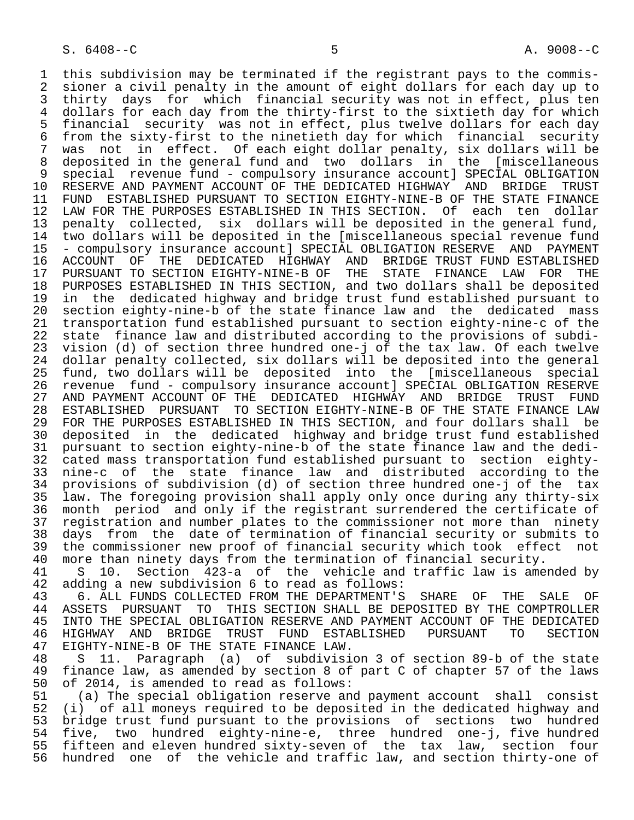1 this subdivision may be terminated if the registrant pays to the commis-<br>2 sioner a civil penalty in the amount of eight dollars for each day up to 2 sioner a civil penalty in the amount of eight dollars for each day up to<br>3 thirty days for which financial security was not in effect, plus ten 3 thirty days for which financial security was not in effect, plus ten<br>4 dollars for each day from the thirty-first to the sixtieth day for which 4 dollars for each day from the thirty-first to the sixtieth day for which<br>5 financial security was not in effect, plus twelve dollars for each day 5 financial security was not in effect, plus twelve dollars for each day 6 from the sixty-first to the ninetieth day for which financial security 7 was not in effect. Of each eight dollar penalty, six dollars will be<br>8 deposited in the general fund and two dollars in the [miscellaneous 8 deposited in the general fund and two dollars in the [miscellaneous 9 special revenue fund - compulsory insurance account] SPECIAL OBLIGATION<br>10 RESERVE AND PAYMENT ACCOUNT OF THE DEDICATED HIGHWAY AND BRIDGE TRUST 10 RESERVE AND PAYMENT ACCOUNT OF THE DEDICATED HIGHWAY AND BRIDGE<br>11 FUND ESTABLISHED PURSUANT TO SECTION EIGHTY-NINE-B OF THE STATE F 11 FUND ESTABLISHED PURSUANT TO SECTION EIGHTY-NINE-B OF THE STATE FINANCE<br>12 LAW FOR THE PURPOSES ESTABLISHED IN THIS SECTION. Of each ten dollar 12 LAW FOR THE PURPOSES ESTABLISHED IN THIS SECTION. Of each ten dollar<br>13 penalty collected, six dollars will be deposited in the general fund, 13 penalty collected, six dollars will be deposited in the general fund,<br>14 two dollars will be deposited in the [miscellaneous special revenue fund two dollars will be deposited in the [miscellaneous special revenue fund 15 - compulsory insurance account] SPECIAL OBLIGATION RESERVE AND PAYMENT 16 ACCOUNT OF THE DEDICATED HIGHWAY AND BRIDGE TRUST FUND ESTABLISHED<br>17 PURSUANT TO SECTION EIGHTY-NINE-B OF THE STATE FINANCE LAW FOR THE 17 PURSUANT TO SECTION EIGHTY-NINE-B OF THE STATE FINANCE LAW FOR THE<br>18 PURPOSES ESTABLISHED IN THIS SECTION, and two dollars shall be deposited 18 PURPOSES ESTABLISHED IN THIS SECTION, and two dollars shall be deposited<br>19 in the dedicated highway and bridge trust fund established pursuant to 19 in the dedicated highway and bridge trust fund established pursuant to<br>20 section eighty-nine-b of the state finance law and the dedicated mass 20 section eighty-nine-b of the state finance law and the dedicated mass<br>21 transportation fund established pursuant to section eighty-nine-c of the 21 transportation fund established pursuant to section eighty-nine-c of the 22 state finance law and distributed according to the provisions of subdi-<br>23 vision (d) of section three hundred one-j of the tax law. Of each twelve vision (d) of section three hundred one-j of the tax law. Of each twelve 24 dollar penalty collected, six dollars will be deposited into the general<br>25 fund, two dollars will be deposited into the [miscellaneous special 25 fund, two dollars will be deposited into the [miscellaneous special 26 revenue fund - compulsory insurance account] SPECIAL OBLIGATION RESERVE 27 AND PAYMENT ACCOUNT OF THE DEDICATED HIGHWAY AND BRIDGE TRUST<br>28 ESTABLISHED PURSUANT TO SECTION EIGHTY-NINE-B OF THE STATE FINAN 28 ESTABLISHED PURSUANT TO SECTION EIGHTY-NINE-B OF THE STATE FINANCE LAW 29 FOR THE PURPOSES ESTABLISHED IN THIS SECTION, and four dollars shall be<br>30 deposited in the dedicated highway and bridge trust fund established 30 deposited in the dedicated highway and bridge trust fund established<br>31 pursuant to section eighty-nine-b of the state finance law and the dedi-31 pursuant to section eighty-nine-b of the state finance law and the dedi-<br>32 cated mass transportation fund established pursuant to section eighty-32 cated mass transportation fund established pursuant to section eighty-<br>33 nine-c of the state finance law and distributed according to the 33 nine-c of the state finance law and distributed according to the 34 provisions of subdivision (d) of section three hundred one-j of the tax<br>35 law. The foregoing provision shall apply only once during any thirty-six 35 law. The foregoing provision shall apply only once during any thirty-six month period and only if the registrant surrendered the certificate of 37 registration and number plates to the commissioner not more than ninety<br>38 days from the date of termination of financial security or submits to 38 days from the date of termination of financial security or submits to<br>39 the commissioner new proof of financial security which took effect not 39 the commissioner new proof of financial security which took effect not<br>40 more than ninety days from the termination of financial security. 40 more than ninety days from the termination of financial security.<br>41 S 10. Section 423-a of the vehicle and traffic law is ame 41 S 10. Section 423-a of the vehicle and traffic law is amended by 42 adding a new subdivision 6 to read as follows:<br>43 6. ALL FUNDS COLLECTED FROM THE DEPARTMENT'S 43 6. ALL FUNDS COLLECTED FROM THE DEPARTMENT'S SHARE OF THE SALE OF 44 ASSETS PURSUANT TO THIS SECTION SHALL BE DEPOSITED BY THE COMPTROLLER 44 ASSETS PURSUANT TO THIS SECTION SHALL BE DEPOSITED BY THE COMPTROLLER<br>45 INTO THE SPECIAL OBLIGATION RESERVE AND PAYMENT ACCOUNT OF THE DEDICATED

INTO THE SPECIAL OBLIGATION RESERVE AND PAYMENT ACCOUNT OF THE DEDICATED<br>HIGHWAY AND BRIDGE TRUST FUND ESTABLISHED PURSUANT TO SECTION 46 HIGHWAY AND BRIDGE TRUST FUND ESTABLISHED PURSUANT TO SECTION 47 EIGHTY-NINE-B OF THE STATE FINANCE LAW.<br>48 S 11, Paragraph (a) of subdivisi 48 S 11. Paragraph (a) of subdivision 3 of section 89-b of the state

49 finance law, as amended by section 8 of part C of chapter 57 of the laws<br>50 of 2014, is amended to read as follows: 50 of 2014, is amended to read as follows:<br>51 (a) The special obligation reserve an

 51 (a) The special obligation reserve and payment account shall consist 52 (i) of all moneys required to be deposited in the dedicated highway and<br>53 bridge trust fund pursuant to the provisions of sections two hundred 53 bridge trust fund pursuant to the provisions of sections two hundred<br>54 five, two hundred eighty-nine-e, three hundred one-i, five hundred 54 five, two hundred eighty-nine-e, three hundred one-j, five-hundred<br>55 fifteen and eleven hundred sixty-seven of the tax law, section four 55 fifteen and eleven hundred sixty-seven of the tax law, section four<br>56 hundred one of the vehicle and traffic law, and section thirty-one of hundred one of the vehicle and traffic law, and section thirty-one of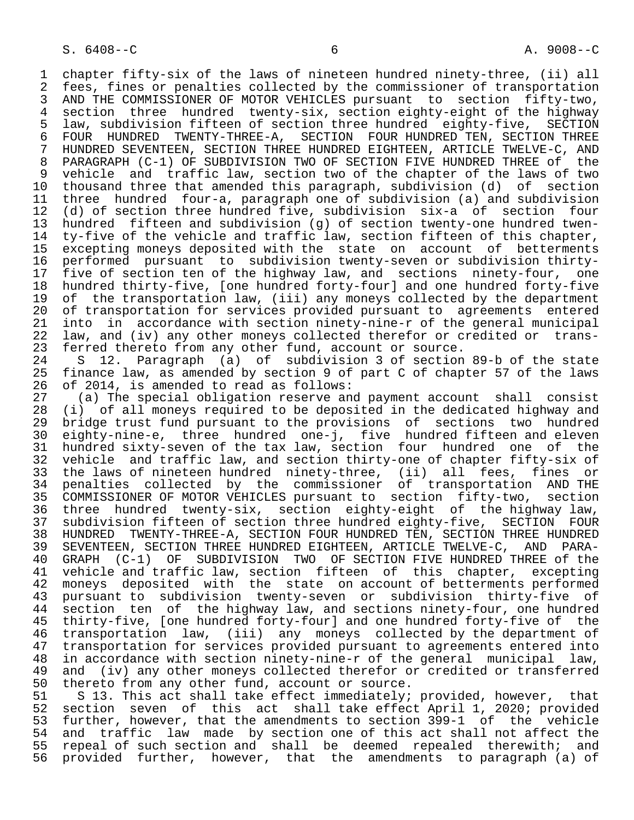1 chapter fifty-six of the laws of nineteen hundred ninety-three, (ii) all<br>2 fees, fines or penalties collected by the commissioner of transportation 2 fees, fines or penalties collected by the commissioner of transportation<br>3 AND THE COMMISSIONER OF MOTOR VEHICLES pursuant to section fifty-two. 3 AND THE COMMISSIONER OF MOTOR VEHICLES pursuant to section fifty-two,<br>4 section three hundred twenty-six, section eighty-eight of the highway 4 section three hundred twenty-six, section eighty-eight of the highway<br>5 law, subdivision fifteen of section three hundred eighty-five, SECTION 5 law, subdivision fifteen of section three hundred eighty-five, SECTION 6 FOUR HUNDRED TWENTY-THREE-A, SECTION FOUR HUNDRED TEN, SECTION THREE <br>7 HUNDRED SEVENTEEN, SECTION THREE HUNDRED EIGHTEEN, ARTICLE TWELVE-C, AND 7 HUNDRED SEVENTEEN, SECTION THREE HUNDRED EIGHTEEN, ARTICLE TWELVE-C, AND<br>8 PARAGRAPH (C-1) OF SUBDIVISION TWO OF SECTION FIVE HUNDRED THREE of the 8 PARAGRAPH (C-1) OF SUBDIVISION TWO OF SECTION FIVE HUNDRED THREE of the<br>9 vehicle and traffic law, section two of the chapter of the laws of two 9 vehicle and traffic law, section two of the chapter of the laws of two<br>10 thousand three that amended this paragraph, subdivision (d) of section 10 thousand three that amended this paragraph, subdivision (d) of section<br>11 three hundred four-a, paragraph one of subdivision (a) and subdivision 11 three hundred four-a, paragraph one of subdivision (a) and subdivision<br>12 (d) of section three hundred five, subdivision six-a of section four 12 (d) of section three hundred five, subdivision six-a of section four<br>13 hundred fifteen and subdivision (g) of section twenty-one hundred twen-13 hundred fifteen and subdivision (g) of section twenty-one hundred twen-<br>14 ty-five of the vehicle and traffic law, section fifteen of this chapter, ty-five of the vehicle and traffic law, section fifteen of this chapter, 15 excepting moneys deposited with the state on account of betterments<br>16 performed pursuant to subdivision twenty-seven or subdivision thirty-16 performed pursuant to subdivision twenty-seven or subdivision thirty-<br>17 five of section ten of the highway law, and sections ninety-four, one 17 five of section ten of the highway law, and sections ninety-four, one<br>18 hundred thirty-five, [one hundred forty-four] and one hundred forty-five 18 hundred thirty-five, [one hundred forty-four] and one hundred forty-five<br>19 of the transportation law, (iii) any moneys collected by the department 19 of the transportation law, (iii) any moneys collected by the department<br>20 of transportation for services provided pursuant to agreements entered 20 of transportation for services provided pursuant to agreements entered<br>21 into in accordance with section ninety-nine-r of the general municipal 21 into in accordance with section ninety-nine-r of the general municipal<br>22 law, and (iv) any other moneys collected therefor or credited or trans-22 law, and (iv) any other moneys collected therefor or credited or trans-<br>23 ferred thereto from any other fund, account or source. 23 ferred thereto from any other fund, account or source.<br>24 S 12. Paragraph (a) of subdivision 3 of section

23 101102 of the control of subdivision 3 of section 89-b of the state<br>25 finance law, as amended by section 9 of part C of chapter 57 of the laws finance law, as amended by section 9 of part C of chapter 57 of the laws 26 of 2014, is amended to read as follows:<br>27 (a) The special obligation reserve and

27 (a) The special obligation reserve and payment account shall consist<br>28 (i) of all moneys required to be deposited in the dedicated highway and 28 (i) of all moneys required to be deposited in the dedicated highway and 29 bridge trust fund pursuant to the provisions of sections two hundred<br>20 eighty-nine-e, three hundred one-i, five hundred fifteen and eleven 30 eighty-nine-e, three hundred one-j, five hundred fifteen and eleven 31 hundred sixty-seven of the tax law, section four hundred one of the<br>32 vehicle and traffic law, and section thirty-one of chapter fifty-six of 32 vehicle and traffic law, and section thirty-one of chapter fifty-six of<br>33 the laws of nineteen hundred ninety-three, (ii) all fees, fines or 33 the laws of nineteen hundred ninety-three, (ii) all fees, fines or<br>34 penalties collected by the commissioner of transportation AND THE 34 penalties collected by the commissioner of transportation AND THE 35 COMMISSIONER OF MOTOR VEHICLES pursuant to section fifty-two, section 36 three hundred twenty-six, section eighty-eight of the highway law,<br>37 subdivision fifteen of section three hundred eighty-five, SECTION FOUR 37 subdivision fifteen of section three hundred eighty-five, SECTION FOUR<br>38 HUNDRED TWENTY-THREE-A, SECTION FOUR HUNDRED TEN, SECTION THREE HUNDRED 38 HUNDRED TWENTY-THREE-A, SECTION FOUR HUNDRED TEN, SECTION THREE HUNDRED<br>39 SEVENTEEN, SECTION THREE HUNDRED EIGHTEEN, ARTICLE TWELVE-C, AND PARA-39 SEVENTEEN, SECTION THREE HUNDRED EIGHTEEN, ARTICLE TWELVE-C, AND PARA-<br>40 GRAPH (C-1) OF SUBDIVISION TWO OF SECTION FIVE HUNDRED THREE of the 40 GRAPH (C-1) OF SUBDIVISION TWO OF SECTION FIVE HUNDRED THREE of the<br>41 vehicle and traffic law, section fifteen of this chapter, excepting 41 vehicle and traffic law, section fifteen of this chapter, excepting<br>42 moneys deposited with the state on account of betterments performed 42 moneys deposited with the state on account of betterments performed<br>43 pursuant to subdivision twenty-seven or subdivision thirty-five of 43 pursuant to subdivision twenty-seven or subdivision thirty-five of<br>44 section ten of the highway law, and sections ninety-four, one hundred 44 section ten of the highway law, and sections ninety-four, one hundred<br>45 thirty-five, [one hundred forty-four] and one hundred forty-five of the thirty-five, [one hundred forty-four] and one hundred forty-five of the 46 transportation law, (iii) any moneys collected by the department of<br>47 transportation for services provided pursuant to agreements entered into 47 transportation for services provided pursuant to agreements entered into<br>48 in accordance with section ninety-nine-r of the general municipal law. 48 in accordance with section ninety-nine-r of the general municipal law, 49 and (iv) any other moneys collected therefor or credited or transferred<br>50 thereto from any other fund, account or source.

50 thereto from any other fund, account or source.<br>51 S 13. This act shall take effect immediately; 51 S 13. This act shall take effect immediately; provided, however, that<br>52 section seven of this act shall take effect April 1, 2020; provided 52 section seven of this act shall take effect April 1, 2020; provided<br>53 further, however, that the amendments to section 399-1 of the vehicle 53 further, however, that the amendments to section 399-1 of the vehicle<br>54 and traffic law made by section one of this act shall not affect the 54 and traffic law made by section one of this act shall not affect the<br>55 repeal of such section and shall be deemed repealed therewith; and 55 repeal of such section and shall be deemed repealed therewith; and<br>56 provided further, however, that the amendments to paragraph (a) of provided further, however, that the amendments to paragraph (a) of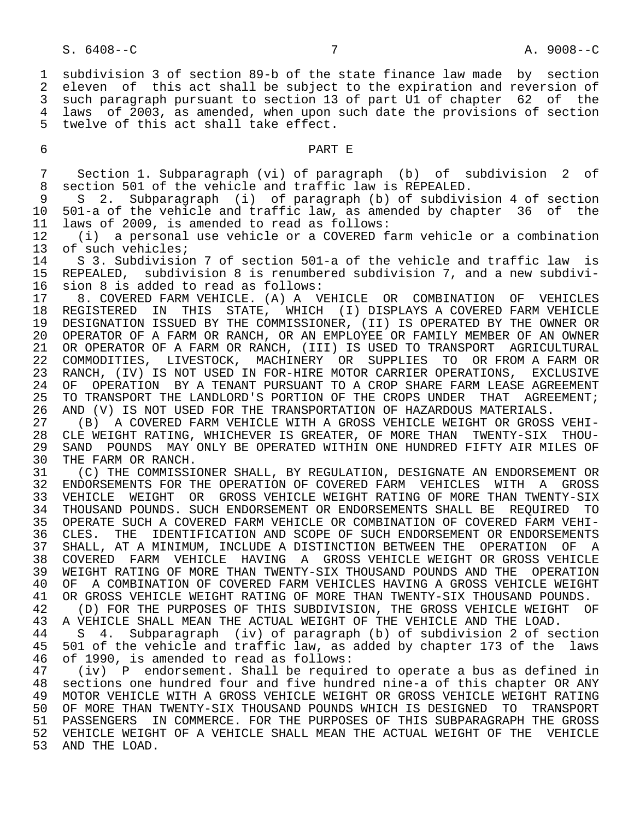1 subdivision 3 of section 89-b of the state finance law made by section<br>2 eleven of this act shall be subject to the expiration and reversion of 2 eleven of this act shall be subject to the expiration and reversion of<br>3 such paragraph pursuant to section 13 of part U1 of chapter 62 of the such paragraph pursuant to section 13 of part U1 of chapter 62 of the 4 laws of 2003, as amended, when upon such date the provisions of section<br>5 twelve of this act shall take effect. twelve of this act shall take effect.

### 6 PART E

7 Section 1. Subparagraph (vi) of paragraph (b) of subdivision 2 of<br>8 section 501 of the vehicle and traffic law is REPEALED. 8 section 501 of the vehicle and traffic law is REPEALED.<br>9 S 2. Subparagraph (i) of paragraph (b) of subdivi

9 S 2. Subparagraph (i) of paragraph (b) of subdivision 4 of section<br>10 501-a of the vehicle and traffic law, as amended by chapter 36 of the 10 501-a of the vehicle and traffic law, as amended by chapter 36 of the 11 laws of 2009, is amended to read as follows:<br>12 (i) a personal use vehicle or a COVERED f

 12 (i) a personal use vehicle or a COVERED farm vehicle or a combination 13 of such vehicles;<br>14 S 3. Subdivisio

14 S 3. Subdivision 7 of section 501-a of the vehicle and traffic law is<br>15 REPEALED, subdivision 8 is renumbered subdivision 7, and a new subdivi-15 REPEALED, subdivision 8 is renumbered subdivision 7, and a new subdivi-<br>16 sion 8 is added to read as follows: 16 sion 8 is added to read as follows:<br>17 8. COVERED FARM VEHICLE. (A) A V

 17 8. COVERED FARM VEHICLE. (A) A VEHICLE OR COMBINATION OF VEHICLES 18 REGISTERED IN THIS STATE, WHICH (I) DISPLAYS A COVERED FARM VEHICLE<br>19 DESIGNATION ISSUED BY THE COMMISSIONER, (II) IS OPERATED BY THE OWNER OR 19 DESIGNATION ISSUED BY THE COMMISSIONER, (II) IS OPERATED BY THE OWNER OR<br>20 OPERATOR OF A FARM OR RANCH, OR AN EMPLOYEE OR FAMILY MEMBER OF AN OWNER 20 OPERATOR OF A FARM OR RANCH, OR AN EMPLOYEE OR FAMILY MEMBER OF AN OWNER<br>21 OR OPERATOR OF A FARM OR RANCH, (III) IS USED TO TRANSPORT AGRICULTURAL OR OPERATOR OF A FARM OR RANCH, (III) IS USED TO TRANSPORT AGRICULTURAL 22 COMMODITIES, LIVESTOCK, MACHINERY OR SUPPLIES TO ORFROM A FARM OR<br>23 RANCH, (IV) IS NOT USED IN FOR-HIRE MOTOR CARRIER OPERATIONS, EXCLUSIVE 23 RANCH, (IV) IS NOT USED IN FOR-HIRE MOTOR CARRIER OPERATIONS, EXCLUSIVE 24 OF OPERATION BY A TENANT PURSUANT TO A CROP SHARE FARM LEASE AGREEMENT<br>25 TO TRANSPORT THE LANDLORD'S PORTION OF THE CROPS UNDER THAT AGREEMENT; 25 TO TRANSPORT THE LANDLORD'S PORTION OF THE CROPS UNDER THAT AGREEMENT;<br>26 AND (V) IS NOT USED FOR THE TRANSPORTATION OF HAZARDOUS MATERIALS.

26 AND (V) IS NOT USED FOR THE TRANSPORTATION OF HAZARDOUS MATERIALS.<br>27 (B) A COVERED FARM VEHICLE WITH A GROSS VEHICLE WEIGHT OR GROSS 27 (B) A COVERED FARM VEHICLE WITH A GROSS VEHICLE WEIGHT OR GROSS VEHI- 28 CLE WEIGHT RATING, WHICHEVER IS GREATER, OF MORE THAN TWENTY-SIX THOU- 29 SAND POUNDS MAY ONLY BE OPERATED WITHIN ONE HUNDRED FIFTY AIR MILES OF 30 THE FARM OR RANCH. 30 THE FARM OR RANCH.<br>31 (C) THE COMMISSI

31 (C) THE COMMISSIONER SHALL, BY REGULATION, DESIGNATE AN ENDORSEMENT OR<br>32 ENDORSEMENTS FOR THE OPERATION OF COVERED FARM VEHICLES WITH A GROSS 32 ENDORSEMENTS FOR THE OPERATION OF COVERED FARM VEHICLES WITH A GROSS<br>33 VEHICLE WEIGHT OR GROSS VEHICLE WEIGHT RATING OF MORE THAN TWENTY-SIX 33 VEHICLE WEIGHT OR GROSS VEHICLE WEIGHT RATING OF MORE THAN TWENTY-SIX<br>34 THOUSAND POUNDS, SUCH ENDORSEMENT OR ENDORSEMENTS SHALL BE REOUIRED TO 34 THOUSAND POUNDS. SUCH ENDORSEMENT OR ENDORSEMENTS SHALL BE REQUIRED TO 35 OPERATE SUCH A COVERED FARM VEHICLE OR COMBINATION OF COVERED FARM VEHI- 36 CLES. THE IDENTIFICATION AND SCOPE OF SUCH ENDORSEMENT OR ENDORSEMENTS<br>37 SHALL, AT A MINIMUM, INCLUDE A DISTINCTION BETWEEN THE OPERATION OF A 37 SHALL, AT A MINIMUM, INCLUDE A DISTINCTION BETWEEN THE OPERATION OF A<br>38 COVERED FARM VEHICLE HAVING A GROSS VEHICLE WEIGHT OR GROSS VEHICLE 38 COVERED FARM VEHICLE HAVING A GROSS VEHICLE WEIGHT OR GROSS VEHICLE<br>39 WEIGHT RATING OF MORE THAN TWENTY-SIX THOUSAND POUNDS AND THE OPERATION 39 WEIGHT RATING OF MORE THAN TWENTY-SIX THOUSAND POUNDS AND THE OPERATION<br>40 OF A COMBINATION OF COVERED FARM VEHICLES HAVING A GROSS VEHICLE WEIGHT 40 OF A COMBINATION OF COVERED FARM VEHICLES HAVING A GROSS VEHICLE WEIGHT<br>41 OR GROSS VEHICLE WEIGHT RATING OF MORE THAN TWENTY-SIX THOUSAND POUNDS. 41 OR GROSS VEHICLE WEIGHT RATING OF MORE THAN TWENTY-SIX THOUSAND POUNDS.<br>42 (D) FOR THE PURPOSES OF THIS SUBDIVISION, THE GROSS VEHICLE WEIGHT O

42 (D) FOR THE PURPOSES OF THIS SUBDIVISION, THE GROSS VEHICLE WEIGHT OF 43 A VEHICLE SHALL MEAN THE ACTUAL WEIGHT OF THE VEHICLE AND THE LOAD. 43 A VEHICLE SHALL MEAN THE ACTUAL WEIGHT OF THE VEHICLE AND THE LOAD.

44 S 4. Subparagraph (iv) of paragraph (b) of subdivision 2 of section<br>45 501 of the vehicle and traffic law, as added by chapter 173 of the laws 45 501 of the vehicle and traffic law, as added by chapter 173 of the laws 46 of 1990, is amended to read as follows:

 47 (iv) P endorsement. Shall be required to operate a bus as defined in 48 sections one hundred four and five hundred nine-a of this chapter OR ANY<br>49 MOTOR VEHICLE WITH A GROSS VEHICLE WEIGHT OR GROSS VEHICLE WEIGHT RATING 49 MOTOR VEHICLE WITH A GROSS VEHICLE WEIGHT OR GROSS VEHICLE WEIGHT RATING 50 OF MORE THAN TWENTY-SIX THOUSAND POUNDS WHICH IS DESIGNED TO TRANSPORT 51 PASSENGERS IN COMMERCE. FOR THE PURPOSES OF THIS SUBPARAGRAPH THE GROSS<br>52 VEHICLE WEIGHT OF A VEHICLE SHALL MEAN THE ACTUAL WEIGHT OF THE VEHICLE 52 VEHICLE WEIGHT OF A VEHICLE SHALL MEAN THE ACTUAL WEIGHT OF THE VEHICLE<br>53 AND THE LOAD. AND THE LOAD.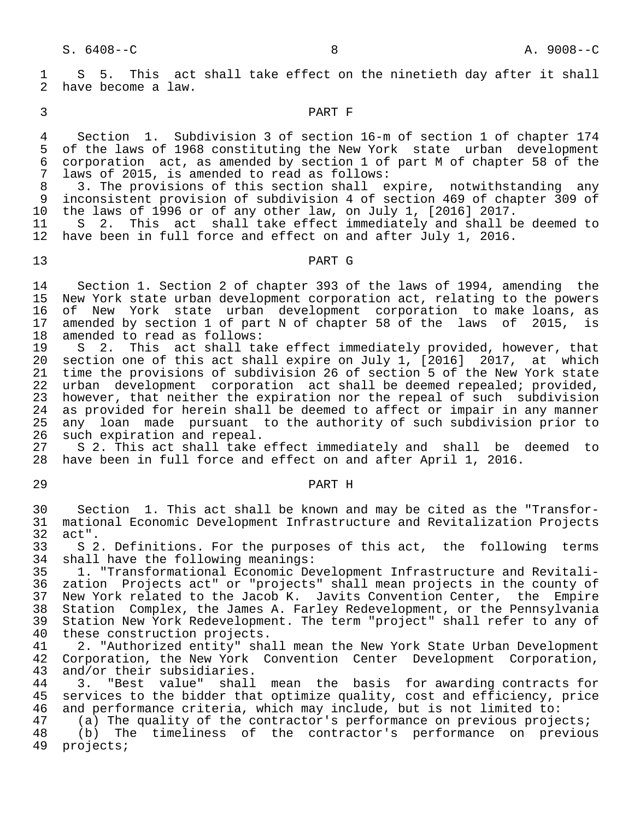1 S 5. This act shall take effect on the ninetieth day after it shall<br>2 have become a law. have become a law.

# 3 PART F

4 Section 1. Subdivision 3 of section 16-m of section 1 of chapter 174<br>5 of the laws of 1968 constituting the New York state urban development 5 of the laws of 1968 constituting the New York state urban development<br>6 corporation act, as amended by section 1 of part M of chapter 58 of the 6 corporation act, as amended by section 1 of part M of chapter 58 of the 7 laws of 2015, is amended to read as follows:<br>8 3. The provisions of this section shall e

8 3. The provisions of this section shall expire, notwithstanding any<br>9 inconsistent provision of subdivision 4 of section 469 of chapter 309 of 9 inconsistent provision of subdivision 4 of section 469 of chapter 309 of<br>10 the laws of 1996 or of any other law, on July 1, [2016] 2017. the laws of 1996 or of any other law, on July 1,  $[2016]$  2017.

11 S 2. This act shall take effect immediately and shall be deemed to<br>12 have been in full force and effect on and after July 1, 2016. have been in full force and effect on and after July 1, 2016.

# 13 PART G

14 Section 1. Section 2 of chapter 393 of the laws of 1994, amending the<br>15 New York state urban development corporation act, relating to the powers New York state urban development corporation act, relating to the powers 16 of New York state urban development corporation to make loans, as 17 amended by section 1 of part N of chapter 58 of the laws of 2015, is 18 amended to read as follows:<br>19 S 2. This act shall ta

 19 S 2. This act shall take effect immediately provided, however, that 20 section one of this act shall expire on July 1, [2016] 2017, at which 21 time the provisions of subdivision 26 of section 5 of the New York state 22 urban development corporation act shall be deemed repealed; provided,<br>23 however, that neither the expiration nor the repeal of such subdivision 23 however, that neither the expiration nor the repeal of such subdivision<br>24 as provided for herein shall be deemed to affect or impair in any manner 24 as provided for herein shall be deemed to affect or impair in any manner<br>25 any loan made pursuant to the authority of such subdivision prior to 25 any loan made pursuant to the authority of such subdivision prior to 26 such expiration and repeal. 26 such expiration and repeal.<br>27 S 2. This act shall take

27 S 2. This act shall take effect immediately and shall be deemed to<br>28 have been in full force and effect on and after April 1, 2016. have been in full force and effect on and after April 1, 2016.

# 29 PART H

 30 Section 1. This act shall be known and may be cited as the "Transfor- 31 mational Economic Development Infrastructure and Revitalization Projects 32 act".<br>33 S 2

33 S 2. Definitions. For the purposes of this act, the following terms<br>34 shall have the following meanings: 34 shall have the following meanings:<br>35 1. "Transformational Economic De

 35 1. "Transformational Economic Development Infrastructure and Revitali- 36 zation Projects act" or "projects" shall mean projects in the county of 37 New York related to the Jacob K. Javits Convention Center, the Empire<br>38 Station Complex, the James A. Farley Redevelopment, or the Pennsylvania 38 Station Complex, the James A. Farley Redevelopment, or the Pennsylvania<br>39 Station New York Redevelopment. The term "project" shall refer to any of 39 Station New York Redevelopment. The term "project" shall refer to any of 40 these construction projects. 40 these construction projects.<br>41 2. "Authorized entity" sha

41 2. "Authorized entity" shall mean the New York State Urban Development<br>42 Corporation, the New York Convention Center Development Corporation, 42 Corporation, the New York Convention Center Development Corporation,<br>43 and/or their subsidiaries. 43 and/or their subsidiaries.<br>44 3. "Best value" shall

44 3. "Best value" shall mean the basis for awarding contracts for<br>45 services to the bidder that optimize quality, cost and efficiency, price services to the bidder that optimize quality, cost and efficiency, price 46 and performance criteria, which may include, but is not limited to:<br>47 (a) The quality of the contractor's performance on previous proje

47 (a) The quality of the contractor's performance on previous projects;<br>48 (b) The timeliness of the contractor's performance on previou 48 (b) The timeliness of the contractor's performance on previous<br>49 projects; projects;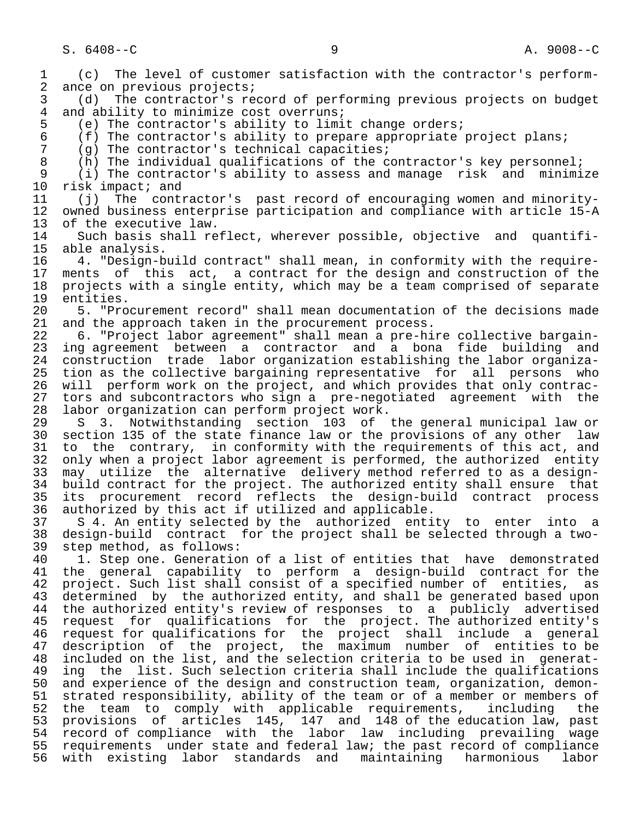1 (c) The level of customer satisfaction with the contractor's perform-<br>2 ance on previous projects; 2 ance on previous projects;<br>3 (d) The contractor's re 3 (d) The contractor's record of performing previous projects on budget 4 and ability to minimize cost overruns;<br>5 (e) The contractor's ability to limi 5 (e) The contractor's ability to limit change orders;<br>6 (f) The contractor's ability to prepare appropriate 6 (f) The contractor's ability to prepare appropriate project plans;<br>7 (g) The contractor's technical capacities; 7 (g) The contractor's technical capacities;<br>8 (b) The individual qualifications of the co 8 (h) The individual qualifications of the contractor's key personnel;<br>9 (i) The contractor's ability to assess and manage risk and minimi 9 (i) The contractor's ability to assess and manage risk and minimize<br>10 risk impact; and 10 risk impact; and<br>11 (i) The conti 11 (j) The contractor's past record of encouraging women and minority- 12 owned business enterprise participation and compliance with article 15-A<br>13 of the executive law. 13 of the executive law.<br>14 Such basis shall re 14 Such basis shall reflect, wherever possible, objective and quantifi-<br>15 able analysis. 15 able analysis.<br>16 4. "Design-b 16 4. "Design-build contract" shall mean, in conformity with the require- 17 ments of this act, a contract for the design and construction of the<br>18 projects with a single entity, which may be a team comprised of separate 18 projects with a single entity, which may be a team comprised of separate 19 entities.<br>20 5. "Pro 20 5. "Procurement record" shall mean documentation of the decisions made<br>21 and the approach taken in the procurement process. 21 and the approach taken in the procurement process.<br>22 6. "Project labor agreement" shall mean a pre-hi 22 6. "Project labor agreement" shall mean a pre-hire collective bargain-<br>23 ing agreement between a contractor and a bona fide building and ing agreement between a contractor and a bona fide building and 24 construction trade labor organization establishing the labor organiza tion as the collective bargaining representative for all persons who 26 will perform work on the project, and which provides that only contrac- 27 tors and subcontractors who sign a pre-negotiated agreement with the<br>28 labor organization can perform project work. 28 labor organization can perform project work.<br>29 S 3. Notwithstanding section 103 of 29 S 3. Notwithstanding section 103 of the general municipal law or<br>30 section 135 of the state finance law or the provisions of any other law section 135 of the state finance law or the provisions of any other law 31 to the contrary, in conformity with the requirements of this act, and<br>32 only when a project labor agreement is performed, the authorized entity 32 only when a project labor agreement is performed, the authorized entity<br>33 may utilize the alternative delivery method referred to as a design-33 may utilize the alternative delivery method referred to as a design-<br>34 build contract for the project. The authorized entity shall ensure that 34 build contract for the project. The authorized entity shall ensure that<br>35 its procurement record reflects the design-build contract process 35 its procurement record reflects the design-build contract process<br>36 authorized by this act if utilized and applicable. authorized by this act if utilized and applicable. 37 S 4. An entity selected by the authorized entity to enter into a 38 design-build contract for the project shall be selected through a two- 39 step method, as follows:<br>40 1. Step one. Generatio 40 1. Step one. Generation of a list of entities that have demonstrated<br>41 the general capability to perform a design-build contract for the 41 the general capability to perform a design-build contract for the<br>42 project. Such list shall consist of a specified number of entities, as 42 project. Such list shall consist of a specified number of entities, as<br>43 determined by the authorized entity, and shall be generated based upon 43 determined by the authorized entity, and shall be generated based upon<br>44 the authorized entity's review of responses to a publicly advertised 44 the authorized entity's review of responses to a publicly advertised<br>45 request for qualifications for the project. The authorized entity's 45 request for qualifications for the project. The authorized entity's 46 request for qualifications for the project shall include a general<br>47 description of the project, the maximum number of entities to be description of the project, the maximum number of entities to be 48 included on the list, and the selection criteria to be used in generat- 49 ing the list. Such selection criteria shall include the qualifications<br>50 and experience of the design and construction team, organization, demon-50 and experience of the design and construction team, organization, demon-<br>51 strated responsibility, ability of the team or of a member or members of strated responsibility, ability of the team or of a member or members of 52 the team to comply with applicable requirements, including the 53 provisions of articles 145, 147 and 148 of the education law, past 54 record of compliance with the labor law including prevailing wage 55 requirements under state and federal law; the past record of compliance<br>56 with existing labor standards and maintaining harmonious labor with existing labor standards and maintaining harmonious labor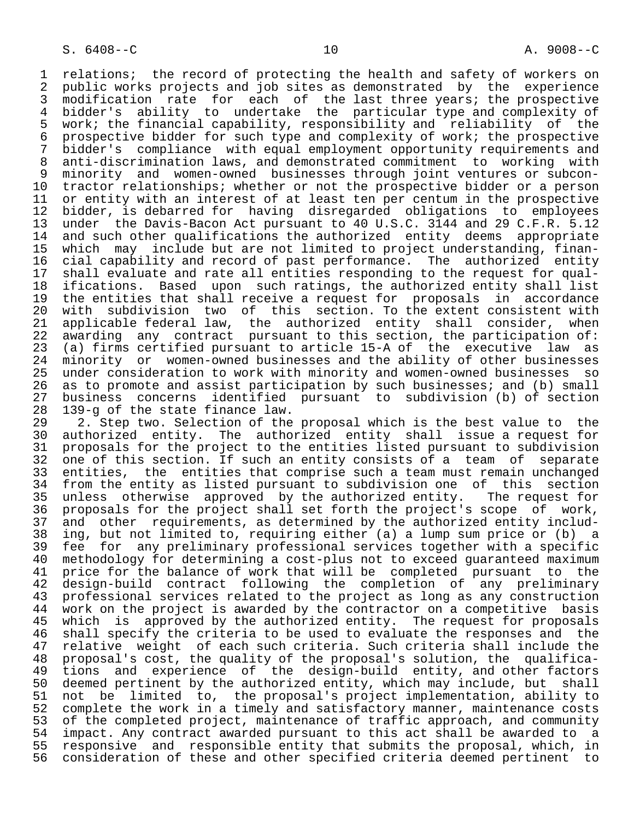1 relations; the record of protecting the health and safety of workers on<br>2 public works projects and job sites as demonstrated by the experience 2 public works projects and job sites as demonstrated by the experience<br>3 modification rate for each of the last three years; the prospective 3 modification rate for each of the last three years; the prospective<br>4 bidder's ability to undertake the particular type and complexity of 4 bidder's ability to undertake the particular type and complexity of<br>5 work; the financial capability, responsibility and reliability of the 5 work; the financial capability, responsibility and reliability of the 6 prospective bidder for such type and complexity of work; the prospective<br>7 bidder's compliance with equal employment opportunity requirements and 7 bidder's compliance with equal employment opportunity requirements and<br>8 anti-discrimination laws, and demonstrated commitment to working with 8 anti-discrimination laws, and demonstrated commitment to working with<br>9 minority and women-owned businesses through joint ventures or subcon-9 minority and women-owned businesses through joint ventures or subcon-<br>10 tractor relationships; whether or not the prospective bidder or a person 10 tractor relationships; whether or not the prospective bidder or a person<br>11 or entity with an interest of at least ten per centum in the prospective 11 or entity with an interest of at least ten per centum in the prospective<br>12 bidder, is debarred for having disregarded obligations to employees 12 bidder, is debarred for having disregarded obligations to employees<br>13 under the Davis-Bacon Act pursuant to 40 U.S.C. 3144 and 29 C.F.R. 5.12 13 under the Davis-Bacon Act pursuant to 40 U.S.C. 3144 and 29 C.F.R. 5.12<br>14 and such other qualifications the authorized entity deems appropriate 14 and such other qualifications the authorized entity deems appropriate<br>15 which may include but are not limited to project understanding, finan-15 which may include but are not limited to project understanding, finan-<br>16 cial capability and record of past performance. The authorized entity 16 cial capability and record of past performance. The authorized entity<br>17 shall evaluate and rate all entities responding to the request for qual-17 shall evaluate and rate all entities responding to the request for qual-<br>18 ifications. Based upon such ratings, the authorized entity shall list 18 ifications. Based upon such ratings, the authorized entity shall list<br>19 the entities that shall receive a request for proposals in accordance 19 the entities that shall receive a request for proposals in accordance<br>20 with subdivision two of this section. To the extent consistent with 20 with subdivision two of this section. To the extent consistent with<br>21 applicable federal law, the authorized entity shall consider, when 21 applicable federal law, the authorized entity shall consider,<br>22 awarding any contract pursuant to this section, the participation 22 awarding any contract pursuant to this section, the participation of:<br>23 (a) firms certified pursuant to article 15-A of the executive law as 23 (a) firms certified pursuant to article 15-A of the executive law as<br>24 minority or women-owned businesses and the ability of other businesses 24 minority or women-owned businesses and the ability of other businesses<br>25 under consideration to work with minority and women-owned businesses so 25 under consideration to work with minority and women-owned businesses so 26 as to promote and assist participation by such businesses; and (b) small<br>27 business concerns identified pursuant to subdivision (b) of section 27 business concerns identified pursuant to subdivision (b) of section

 28 139-g of the state finance law. 29 2. Step two. Selection of the proposal which is the best value to the<br>20 authorized entity. The authorized entity shall issue a request for 30 authorized entity. The authorized entity shall issue a request for 31 proposals for the project to the entities listed pursuant to subdivision<br>32 one of this section. If such an entity consists of a team of separate 32 one of this section. If such an entity consists of a team of separate<br>33 entities, the entities that comprise such a team must remain unchanged 33 entities, the entities that comprise such a team must remain unchanged<br>34 from the entity as listed pursuant to subdivision one of this section 34 from the entity as listed pursuant to subdivision one of this section<br>35 unless otherwise approved by the authorized entity. The request for 35 unless otherwise approved by the authorized entity.<br>36 proposals for the project shall set forth the project's proposals for the project shall set forth the project's scope of work, 37 and other requirements, as determined by the authorized entity includ- 38 ing, but not limited to, requiring either (a) a lump sum price or (b) a<br>39 fee for any preliminary professional services together with a specific 39 fee for any preliminary professional services together with a specific<br>40 methodology for determining a cost-plus not to exceed guaranteed maximum 40 methodology for determining a cost-plus not to exceed guaranteed maximum<br>41 price for the balance of work that will be completed pursuant to the 41 price for the balance of work that will be completed pursuant to the 42 design-build contract following the completion of any preliminary 43 professional services related to the project as long as any construction<br>44 work on the project is awarded by the contractor on a competitive basis 44 work on the project is awarded by the contractor on a competitive basis<br>45 which is approved by the authorized entity. The request for proposals 45 which is approved by the authorized entity. The request for proposals<br>46 shall specify the criteria to be used to evaluate the responses and the 46 shall specify the criteria to be used to evaluate the responses and the<br>47 relative weight of each such criteria. Such criteria shall include the 47 relative weight of each such criteria. Such criteria shall include the<br>48 proposal's cost, the quality of the proposal's solution, the qualifica- 48 proposal's cost, the quality of the proposal's solution, the qualifica- 49 tions and experience of the design-build entity, and other factors<br>50 deemed pertinent by the authorized entity, which may include, but shall 50 deemed pertinent by the authorized entity, which may include, but shall<br>51 not be limited to, the proposal's project implementation, ability to 51 not be limited to, the proposal's project implementation, ability to<br>52 complete the work in a timely and satisfactory manner, maintenance costs 52 complete the work in a timely and satisfactory manner, maintenance costs<br>53 of the completed project, maintenance of traffic approach, and community 53 of the completed project, maintenance of traffic approach, and community<br>54 impact. Any contract awarded pursuant to this act shall be awarded to a 54 impact. Any contract awarded pursuant to this act shall be awarded to a<br>55 responsive and responsible entity that submits the proposal, which, in 55 responsive and responsible entity that submits the proposal, which, in<br>56 consideration of these and other specified criteria deemed pertinent to consideration of these and other specified criteria deemed pertinent to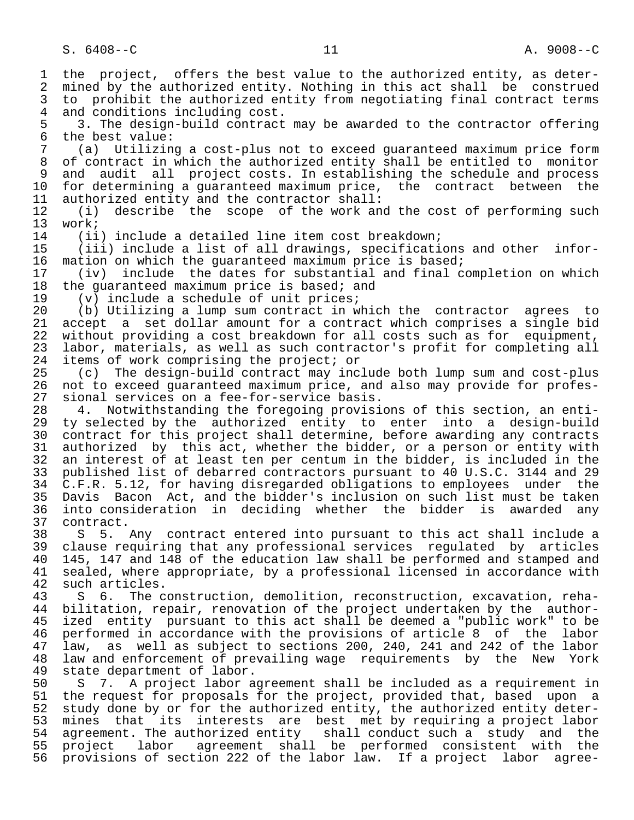1 the project, offers the best value to the authorized entity, as deter-<br>2 mined by the authorized entity. Nothing in this act shall be construed 2 mined by the authorized entity. Nothing in this act shall be construed<br>3 to prohibit the authorized entity from negotiating final contract terms 3 to prohibit the authorized entity from negotiating final contract terms<br>4 and conditions including cost. 4 and conditions including cost. 5 3. The design-build contract may be awarded to the contractor offering<br>6 the best value: 6 the best value:<br>7 (a) Utilizin 7 (a) Utilizing a cost-plus not to exceed guaranteed maximum price form of contract in which the authorized entity shall be entitled to monitor 9 and audit all project costs. In establishing the schedule and process<br>10 for determining a quaranteed maximum price, the contract between the 10 for determining a guaranteed maximum price, the contract between the<br>11 authorized entity and the contractor shall: 11 authorized entity and the contractor shall:<br>12 (i) describe the scope of the work an 12 (i) describe the scope of the work and the cost of performing such<br>13 work; 13 work;<br>14 (ii 14 (ii) include a detailed line item cost breakdown;<br>15 (iii) include a list of all drawings, specificati 15 (iii) include a list of all drawings, specifications and other infor-<br>16 mation on which the quaranteed maximum price is based; 16 mation on which the guaranteed maximum price is based;<br>17 (iv) include the dates for substantial and final c 17 (iv) include the dates for substantial and final completion on which 18 the guaranteed maximum price is based; and<br>19 (v) include a schedule of unit prices; 19 (v) include a schedule of unit prices;<br>20 (b) Utilizing a lump sum contract in w 20 (b) Utilizing a lump sum contract in which the contractor agrees to<br>21 accept a set dollar amount for a contract which comprises a single bid 21 accept a set dollar amount for a contract which comprises a single bid<br>22 without providing a cost breakdown for all costs such as for equipment, 22 without providing a cost breakdown for all costs such as for equipment,<br>23 labor, materials, as well as such contractor's profit for completing all labor, materials, as well as such contractor's profit for completing all 24 items of work comprising the project; or<br>25 (c) The design-build contract may incl 25 (c) The design-build contract may include both lump sum and cost-plus 26 not to exceed guaranteed maximum price, and also may provide for profes- 27 sional services on a fee-for-service basis.<br>28 4. Notwithstanding the foregoing provisi 28 4. Notwithstanding the foregoing provisions of this section, an enti- 29 ty selected by the authorized entity to enter into a design-build<br>20 contract for this project shall determine, before awarding any contracts 30 contract for this project shall determine, before awarding any contracts<br>31 authorized by this act, whether the bidder, or a person or entity with 31 authorized by this act, whether the bidder, or a person or entity with<br>32 an interest of at least ten per centum in the bidder, is included in the 32 an interest of at least ten per centum in the bidder, is included in the<br>33 published list of debarred contractors pursuant to 40 U.S.C. 3144 and 29 33 published list of debarred contractors pursuant to 40 U.S.C. 3144 and 29<br>34 C.F.R. 5.12, for having disregarded obligations to employees under the 34 C.F.R. 5.12, for having disregarded obligations to employees under the<br>35 Davis Bacon Act, and the bidder's inclusion on such list must be taken 35 Davis Bacon Act, and the bidder's inclusion on such list must be taken<br>36 into consideration in deciding whether the bidder is awarded any into consideration in deciding whether the bidder is awarded any 37 contract.<br>38 S 5. 38 S 5. Any contract entered into pursuant to this act shall include a<br>39 clause requiring that any professional services requlated by articles 39 clause requiring that any professional services regulated by articles<br>40 145, 147 and 148 of the education law shall be performed and stamped and 40 145, 147 and 148 of the education law shall be performed and stamped and<br>41 sealed, where appropriate, by a professional licensed in accordance with 41 sealed, where appropriate, by a professional licensed in accordance with 42 such articles. 42 such articles.<br>43 S 6. The c 43 S 6. The construction, demolition, reconstruction, excavation, reha- 44 bilitation, repair, renovation of the project undertaken by the author-<br>45 ized entity pursuant to this act shall be deemed a "public work" to be ized entity pursuant to this act shall be deemed a "public work" to be 46 performed in accordance with the provisions of article 8 of the labor<br>47 law, as well as subject to sections 200, 240, 241 and 242 of the labor law, as well as subject to sections 200, 240, 241 and 242 of the labor 48 law and enforcement of prevailing wage requirements by the New York<br>49 state department of labor. 49 state department of labor.<br>50 S 7. A project labor a 50 S 7. A project labor agreement shall be included as a requirement in<br>51 the request for proposals for the project, provided that, based upon a the request for proposals for the project, provided that, based upon a 52 study done by or for the authorized entity, the authorized entity deter-<br>53 mines that its interests are best met by requiring a project labor 53 mines that its interests are best met by requiring a project labor<br>54 agreement. The authorized entity shall conduct such a study and the 54 agreement. The authorized entity shall conduct such a study and the<br>55 project labor agreement shall be performed consistent with the project labor agreement shall be performed consistent with the 56 provisions of section 222 of the labor law. If a project labor agree-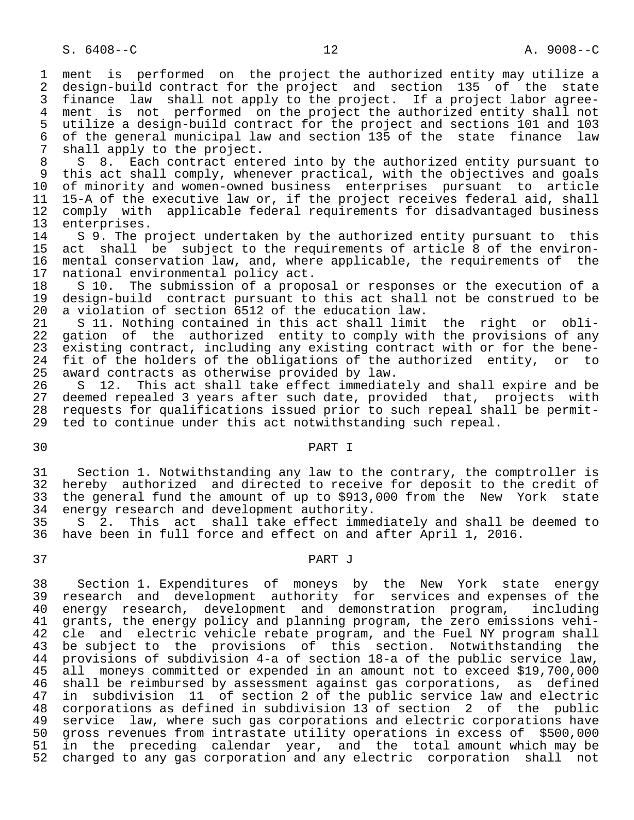1 ment is performed on the project the authorized entity may utilize a<br>2 design-build contract for the project and section 135 of the state 2 design-build contract for the project and section 135 of the state<br>3 finance law shall not apply to the project. If a project labor agree-3 finance law shall not apply to the project. If a project labor agree-<br>4 ment is not performed on the project the authorized entity shall not 4 ment is not performed on the project the authorized entity shall not<br>5 utilize a design-build contract for the project and sections 101 and 103 5 utilize a design-build contract for the project and sections 101 and 103 6 of the general municipal law and section 135 of the state finance law 7 shall apply to the project.<br>8 S 8. Each contract ente

8 S 8. Each contract entered into by the authorized entity pursuant to<br>9 this act shall comply, whenever practical, with the objectives and goals 9 this act shall comply, whenever practical, with the objectives and goals<br>10 of minority and women-owned business enterprises pursuant to article 10 of minority and women-owned business enterprises pursuant to article<br>11 15-A of the executive law or, if the project receives federal aid, shall 11 15-A of the executive law or, if the project receives federal aid, shall<br>12 comply with applicable federal requirements for disadvantaged business 12 comply with applicable federal requirements for disadvantaged business<br>13 enterprises. 13 enterprises.<br>14 S 9. The p

14 S 9. The project undertaken by the authorized entity pursuant to this<br>15 act shall be subject to the requirements of article 8 of the environ-15 act shall be subject to the requirements of article 8 of the environ-<br>16 mental conservation law, and, where applicable, the requirements of the 16 mental conservation law, and, where applicable, the requirements of the 17 national environmental policy act. 17 national environmental policy act.<br>18 S 10. The submission of a propo

18 S 10. The submission of a proposal or responses or the execution of a<br>19 design-build contract pursuant to this act shall not be construed to be 19 design-build contract pursuant to this act shall not be construed to be 100 a violation of section 6512 of the education law. 20 a violation of section 6512 of the education law.<br>21 S 11. Nothing contained in this act shall limit

21 S 11. Nothing contained in this act shall limit the right or obli-<br>22 gation of the authorized entity to comply with the provisions of any 22 gation of the authorized entity to comply with the provisions of any<br>23 existing contract, including any existing contract with or for the beneexisting contract, including any existing contract with or for the bene-24 fit of the holders of the obligations of the authorized entity, or to<br>25 award contracts as otherwise provided by law. award contracts as otherwise provided by law.

26 S 12. This act shall take effect immediately and shall expire and be<br>27 deemed repealed 3 years after such date, provided that, projects with 27 deemed repealed 3 years after such date, provided that, projects with<br>28 requests for qualifications issued prior to such repeal shall be permit-28 requests for qualifications issued prior to such repeal shall be permit-<br>29 ted to continue under this act notwithstanding such repeal. ted to continue under this act notwithstanding such repeal.

# 30 PART I

31 Section 1. Notwithstanding any law to the contrary, the comptroller is<br>32 hereby authorized and directed to receive for deposit to the credit of 32 hereby authorized and directed to receive for deposit to the credit of<br>33 the general fund the amount of up to \$913,000 from the New York state 33 the general fund the amount of up to \$913,000 from the New York state<br>34 energy research and development authority. energy research and development authority.

35 S 2. This act shall take effect immediately and shall be deemed to<br>36 have been in full force and effect on and after April 1, 2016. have been in full force and effect on and after April 1, 2016.

# 37 PART J

 38 Section 1. Expenditures of moneys by the New York state energy 39 research and development authority for services and expenses of the<br>40 energy research, development and demonstration program, including 40 energy research, development and demonstration program, including<br>41 grants, the energy policy and planning program, the zero emissions vehi-41 grants, the energy policy and planning program, the zero emissions vehi-<br>42 cle and electric vehicle rebate program, and the Fuel NY program shall 42 cle and electric vehicle rebate program, and the Fuel NY program shall<br>43 be subject to the provisions of this section. Notwithstanding the be subject to the provisions of this section. Notwithstanding the 44 provisions of subdivision 4-a of section 18-a of the public service law, 45 all moneys committed or expended in an amount not to exceed \$19,700,000 46 shall be reimbursed by assessment against gas corporations, as defined<br>47 in subdivision 11 of section 2 of the public service law and electric in subdivision 11 of section 2 of the public service law and electric 48 corporations as defined in subdivision 13 of section 2 of the public<br>49 service law, where such gas corporations and electric corporations have 49 service law, where such gas corporations and electric corporations have<br>50 gross revenues from intrastate utility operations in excess of \$500,000 50 gross revenues from intrastate utility operations in excess of \$500,000 51 in the preceding calendar year, and the total amount which may be<br>52 charged to any gas corporation and any electric corporation shall not charged to any gas corporation and any electric corporation shall not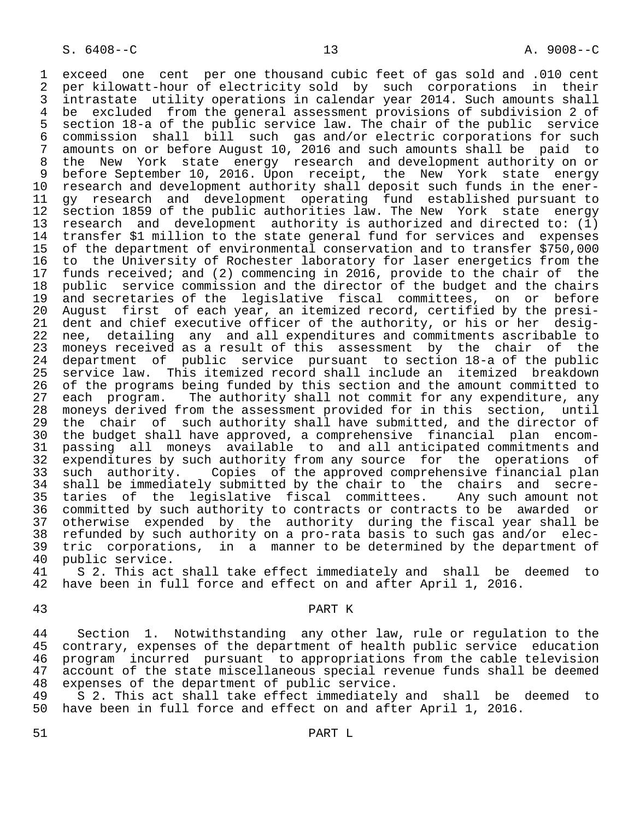1 exceed one cent per one thousand cubic feet of gas sold and .010 cent<br>2 per kilowatt-hour of electricity sold by such corporations in their 2 per kilowatt-hour of electricity sold by such corporations in their<br>3 intrastate utility operations in calendar year 2014. Such amounts shall 3 intrastate utility operations in calendar year 2014. Such amounts shall<br>4 be excluded from the general assessment provisions of subdivision 2 of 4 be excluded from the general assessment provisions of subdivision 2 of<br>5 section 18-a of the public service law. The chair of the public service 5 section 18-a of the public service law. The chair of the public service 6 commission shall bill such gas and/or electric corporations for such<br>7 amounts on or before August 10, 2016 and such amounts shall be paid to 7 amounts on or before August 10, 2016 and such amounts shall be paid to<br>8 the New York state energy research and development authority on or 8 the New York state energy research and development authority on or<br>9 before September 10, 2016, Upon receipt, the New York state energy 9 before September 10, 2016. Upon receipt, the New York state energy<br>10 research and development authority shall deposit such funds in the ener-10 research and development authority shall deposit such funds in the ener-<br>11 gy research and development operating fund established pursuant to 11 gy research and development operating fund established pursuant to<br>12 section 1859 of the public authorities law. The New York state energy 12 section 1859 of the public authorities law. The New York state energy<br>13 research and development authority is authorized and directed to: (1) 13 research and development authority is authorized and directed to: (1)<br>14 transfer \$1 million to the state general fund for services and expenses transfer \$1 million to the state general fund for services and expenses 15 of the department of environmental conservation and to transfer \$750,000 16 to the University of Rochester laboratory for laser energetics from the<br>17 funds received; and (2) commencing in 2016, provide to the chair of the 17 funds received; and (2) commencing in 2016, provide to the chair of the<br>18 public service commission and the director of the budget and the chairs 18 public service commission and the director of the budget and the chairs<br>19 and secretaries of the legislative fiscal committees, on or before 19 and secretaries of the legislative fiscal committees, on or before<br>20 August first of each year, an itemized record, certified by the presi-20 August first of each year, an itemized record, certified by the presi-<br>21 dent and chief executive officer of the authority, or his or her desig-21 dent and chief executive officer of the authority, or his or her desig-<br>22 nee, detailing any and all expenditures and commitments ascribable to 22 nee, detailing any and all expenditures and commitments ascribable to<br>23 moneys received as a result of this assessment by the chair of the 23 moneys received as a result of this assessment by the chair of the<br>24 department of public service pursuant to section 18-a of the public 24 department of public service pursuant to section 18-a of the public service law. This itemized record shall include an itemized breakdown 26 of the programs being funded by this section and the amount committed to<br>27 each program. The authority shall not commit for any expenditure, any 27 each program. The authority shall not commit for any expenditure, any<br>28 moneys derived from the assessment provided for in this section, until 28 moneys derived from the assessment provided for in this section, until<br>29 the chair of such authority shall have submitted, and the director of 29 the chair of such authority shall have submitted, and the director of<br>20 the budget shall have approved, a comprehensive financial plan encom- 30 the budget shall have approved, a comprehensive financial plan encom- 31 passing all moneys available to and all anticipated commitments and<br>32 expenditures by such authority from any source for the operations of 32 expenditures by such authority from any source for the operations of<br>33 such authority. Copies of the approved comprehensive financial plan 33 such authority. Copies of the approved comprehensive financial plan<br>34 shall be immediately submitted by the chair to the chairs and secre-34 shall be immediately submitted by the chair to the chairs and secre-<br>35 taries of the legislative fiscal committees. Any such amount not 35 taries of the legislative fiscal committees. Any such amount not<br>36 committed by such authority to contracts or contracts to be awarded or 36 committed by such authority to contracts or contracts to be awarded or 37 otherwise expended by the authority during the fiscal year shall be 38 refunded by such authority on a pro-rata basis to such gas and/or elec- 39 tric corporations, in a manner to be determined by the department of 40 public service. 40 public service.<br>41 S 2. This act

41 S 2. This act shall take effect immediately and shall be deemed to<br>42 have been in full force and effect on and after April 1, 2016. have been in full force and effect on and after April 1, 2016.

# 43 PART K

44 Section 1. Notwithstanding any other law, rule or regulation to the<br>45 contrary, expenses of the department of health public service education 45 contrary, expenses of the department of health public service education 46 program incurred pursuant to appropriations from the cable television 47 account of the state miscellaneous special revenue funds shall be deemed<br>48 expenses of the department of public service. 48 expenses of the department of public service.<br>49 S 2. This act shall take effect immediately

49 S 2. This act shall take effect immediately and shall be deemed to<br>50 have been in full force and effect on and after April 1, 2016. have been in full force and effect on and after April 1, 2016.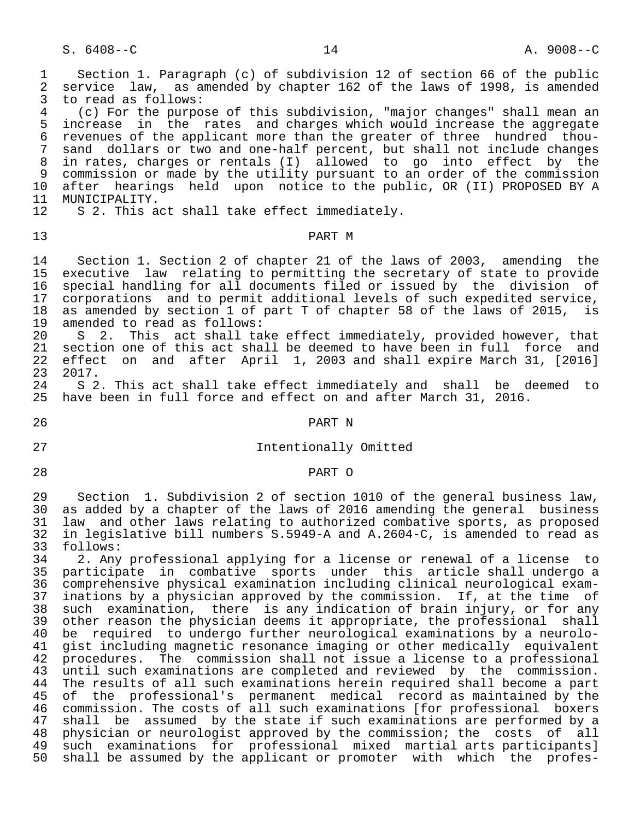1 Section 1. Paragraph (c) of subdivision 12 of section 66 of the public<br>2 service law, as amended by chapter 162 of the laws of 1998, is amended 2 service law, as amended by chapter 162 of the laws of 1998, is amended<br>3 to read as follows: 3 to read as follows:<br>4 (c) For the purpo 4 (c) For the purpose of this subdivision, "major changes" shall mean an<br>5 increase in the rates and charges which would increase the aggregate 5 increase in the rates and charges which would increase the aggregate 6 revenues of the applicant more than the greater of three hundred thou- 7 sand dollars or two and one-half percent, but shall not include changes 8 in rates, charges or rentals (I) allowed to go into effect by the 9 commission or made by the utility pursuant to an order of the commission<br>10 after hearings held upon notice to the public. OR (II) PROPOSED BY A 10 after hearings held upon notice to the public, OR (II) PROPOSED BY A 11 MUNICIPALITY. 11 MUNICIPALITY.<br>12 S 2. This a S 2. This act shall take effect immediately. 13 PART M 14 Section 1. Section 2 of chapter 21 of the laws of 2003, amending the<br>15 executive law relating to permitting the secretary of state to provide 15 executive law relating to permitting the secretary of state to provide<br>16 special handling for all documents filed or issued by the division of 16 special handling for all documents filed or issued by the division of<br>17 corporations and to permit additional levels of such expedited service, 17 corporations and to permit additional levels of such expedited service,<br>18 as amended by section 1 of part T of chapter 58 of the laws of 2015, is 18 as amended by section 1 of part T of chapter 58 of the laws of 2015, is<br>19 amended to read as follows: 19 amended to read as follows:<br>20 S 2. This act shall ta 20 S 2. This act shall take effect immediately, provided however, that<br>21 section one of this act shall be deemed to have been in full force and 21 section one of this act shall be deemed to have been in full force and<br>22 effect on and after April 1, 2003 and shall expire March 31, [2016] 22 effect on and after April 1, 2003 and shall expire March 31, [2016] 23 2017.<br>24 S 2 24 S 2. This act shall take effect immediately and shall be deemed to<br>25 have been in full force and effect on and after March 31, 2016. have been in full force and effect on and after March 31, 2016. 26 PART N 27 Intentionally Omitted 28 PART O 29 Section 1. Subdivision 2 of section 1010 of the general business law,<br>20 as added by a chapter of the laws of 2016 amending the general business as added by a chapter of the laws of 2016 amending the general business 31 law and other laws relating to authorized combative sports, as proposed<br>32 in legislative bill numbers S.5949-A and A.2604-C, is amended to read as 32 in legislative bill numbers S.5949-A and A.2604-C, is amended to read as 33 follows:<br>34 2. Any 34 2. Any professional applying for a license or renewal of a license to 35 participate in combative sports under this article shall undergo a 36 comprehensive physical examination including clinical neurological exam-<br>37 inations by a physician approved by the commission. If, at the time of 37 inations by a physician approved by the commission. If, at the time of<br>38 such examination, there is any indication of brain injury, or for any 38 such examination, there is any indication of brain injury, or for any<br>39 other reason the physician deems it appropriate, the professional shall other reason the physician deems it appropriate, the professional shall 40 be required to undergo further neurological examinations by a neurolo-<br>41 gist including magnetic resonance imaging or other medically equivalent 41 gist including magnetic resonance imaging or other medically equivalent<br>42 procedures. The commission shall not issue a license to a professional 42 procedures. The commission shall not issue a license to a professional<br>43 until such examinations are completed and reviewed by the commission. 43 until such examinations are completed and reviewed by the commission.<br>44 The results of all such examinations herein required shall become a part 44 The results of all such examinations herein required shall become a part<br>45 of the professional's permanent medical record as maintained by the of the professional's permanent medical record as maintained by the 46 commission. The costs of all such examinations [for professional boxers<br>47 shall be assumed by the state if such examinations are performed by a 47 shall be assumed by the state if such examinations are performed by a<br>48 physician or neurologist approved by the commission; the costs of all 48 physician or neurologist approved by the commission; the costs of all<br>49 such examinations for professional mixed martial arts participants] 49 such examinations for professional mixed martial arts participants]<br>50 shall be assumed by the applicant or promoter with which the professhall be assumed by the applicant or promoter with which the profes-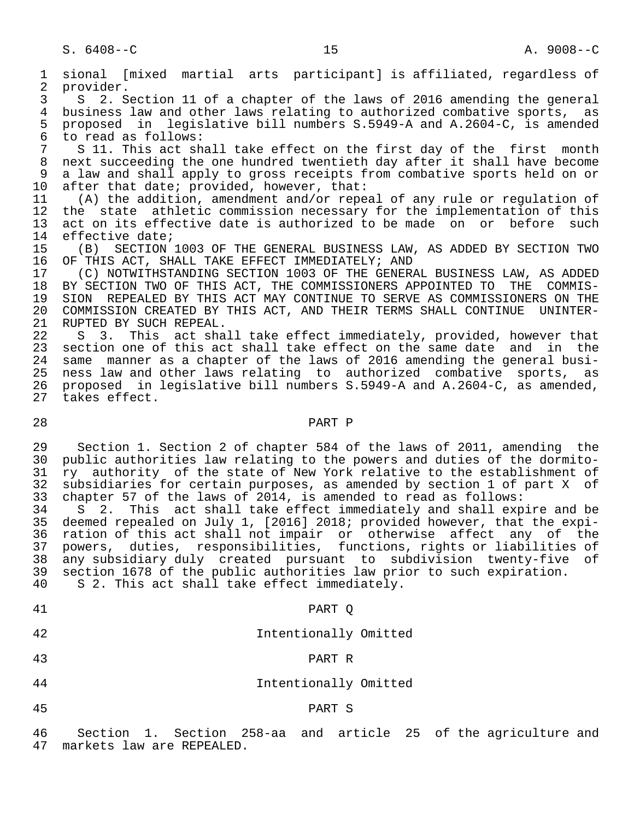1 sional [mixed martial arts participant] is affiliated, regardless of 2 provider.<br>3 S 2.S 3 S 2. Section 11 of a chapter of the laws of 2016 amending the general<br>4 business law and other laws relating to authorized combative sports, as 4 business law and other laws relating to authorized combative sports, as<br>5 proposed in legislative bill numbers S.5949-A and A.2604-C, is amended 5 proposed in legislative bill numbers S.5949-A and A.2604-C, is amended<br>6 to read as follows: 6 to read as follows:<br>7 S 11. This act sh 7 S 11. This act shall take effect on the first day of the first month<br>8 next succeeding the one hundred twentieth day after it shall have become next succeeding the one hundred twentieth day after it shall have become 9 a law and shall apply to gross receipts from combative sports held on or<br>10 after that date; provided, however, that: 10 after that date; provided, however, that:<br>11 (A) the addition, amendment and/or repe 11 (A) the addition, amendment and/or repeal of any rule or regulation of<br>12 the state athletic commission necessary for the implementation of this 12 the state athletic commission necessary for the implementation of this<br>13 act on its effective date is authorized to be made on or before such 13 act on its effective date is authorized to be made on or before such<br>14 effective date; 14 effective date;<br>15 (B) SECTION 15 (B) SECTION 1003 OF THE GENERAL BUSINESS LAW, AS ADDED BY SECTION TWO 16 OF THIS ACT, SHALL TAKE EFFECT IMMEDIATELY; AND 16 OF THIS ACT, SHALL TAKE EFFECT IMMEDIATELY; AND<br>17 (C) NOTWITHSTANDING SECTION 1003 OF THE GENER. 17 (C) NOTWITHSTANDING SECTION 1003 OF THE GENERAL BUSINESS LAW, AS ADDED<br>18 BY SECTION TWO OF THIS ACT, THE COMMISSIONERS APPOINTED TO THE COMMIS-18 BY SECTION TWO OF THIS ACT, THE COMMISSIONERS APPOINTED TO THE COMMIS-<br>19 SION REPEALED BY THIS ACT MAY CONTINUE TO SERVE AS COMMISSIONERS ON THE 19 SION REPEALED BY THIS ACT MAY CONTINUE TO SERVE AS COMMISSIONERS ON THE 20 COMMISSION CREATED BY THIS ACT, AND THEIR TERMS SHALL CONTINUE UNINTER-20 COMMISSION CREATED BY THIS ACT, AND THEIR TERMS SHALL CONTINUE UNINTER-<br>21 RUPTED BY SUCH REPEAL. 21 RUPTED BY SUCH REPEAL.<br>22 S 3. This act sha S 3. This act shall take effect immediately, provided, however that 23 section one of this act shall take effect on the same date and in the 24 same manner as a chapter of the laws of 2016 amending the general busi-<br>25 ness law and other laws relating to authorized combative sports, as 25 ness law and other laws relating to authorized combative sports, as 26 proposed in legislative bill numbers S.5949-A and A.2604-C, as amended, takes effect. 28 PART P 29 Section 1. Section 2 of chapter 584 of the laws of 2011, amending the<br>20 public authorities law relating to the powers and duties of the dormito-30 public authorities law relating to the powers and duties of the dormito-<br>31 ry authority of the state of New York relative to the establishment of 31 ry authority of the state of New York relative to the establishment of<br>32 subsidiaries for certain purposes, as amended by section 1 of part X of 32 subsidiaries for certain purposes, as amended by section 1 of part X of<br>33 chapter 57 of the laws of 2014, is amended to read as follows: 33 chapter 57 of the laws of 2014, is amended to read as follows:<br>34 S 2. This act shall take effect immediately and shall exp S 2. This act shall take effect immediately and shall expire and be 35 deemed repealed on July 1, [2016] 2018; provided however, that the expi-<br>36 ration of this act shall not impair or otherwise affect any of the 36 ration of this act shall not impair or otherwise affect any of the 37 powers, duties, responsibilities, functions, rights or liabilities of 38 any subsidiary duly created pursuant to subdivision twenty-five of<br>39 section 1678 of the public authorities law prior to such expiration. 39 section 1678 of the public authorities law prior to such expiration.<br>40 S 2. This act shall take effect immediately. S 2. This act shall take effect immediately. 41 PART Q 42 Intentionally Omitted 43 PART R 44 Intentionally Omitted

45 PART S

 46 Section 1. Section 258-aa and article 25 of the agriculture and markets law are REPEALED.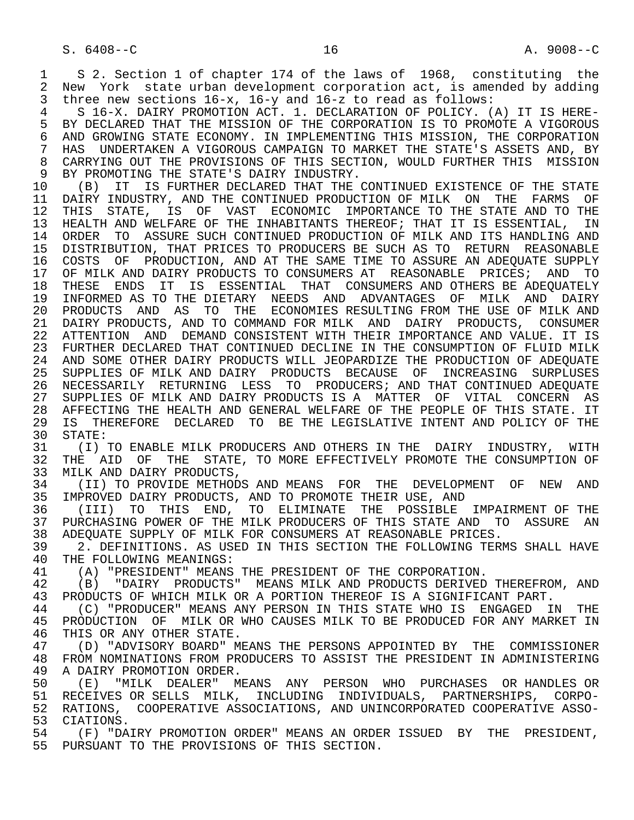1 S 2. Section 1 of chapter 174 of the laws of 1968, constituting the<br>2 New York state urban development corporation act, is amended by adding 2 New York state urban development corporation act, is amended by adding<br>3 three new sections 16-x, 16-y and 16-z to read as follows: three new sections  $16-x$ ,  $16-y$  and  $16-z$  to read as follows:

 4 S 16-X. DAIRY PROMOTION ACT. 1. DECLARATION OF POLICY. (A) IT IS HERE- 5 BY DECLARED THAT THE MISSION OF THE CORPORATION IS TO PROMOTE A VIGOROUS<br>6 AND GROWING STATE ECONOMY, IN IMPLEMENTING THIS MISSION, THE CORPORATION 6 AND GROWING STATE ECONOMY. IN IMPLEMENTING THIS MISSION, THE CORPORATION<br>7 HAS UNDERTAKEN A VIGOROUS CAMPAIGN TO MARKET THE STATE'S ASSETS AND, BY HAS UNDERTAKEN A VIGOROUS CAMPAIGN TO MARKET THE STATE'S ASSETS AND, BY 8 CARRYING OUT THE PROVISIONS OF THIS SECTION, WOULD FURTHER THIS MISSION<br>9 BY PROMOTING THE STATE'S DAIRY INDUSTRY. 9 BY PROMOTING THE STATE'S DAIRY INDUSTRY.<br>10 (B) IT IS FURTHER DECLARED THAT THE

10 (B) IT IS FURTHER DECLARED THAT THE CONTINUED EXISTENCE OF THE STATE<br>11 DAIRY INDUSTRY, AND THE CONTINUED PRODUCTION OF MILK ON THE FARMS OF 11 DAIRY INDUSTRY, AND THE CONTINUED PRODUCTION OF MILK ON THE FARMS OF<br>12 THIS STATE, IS OF VAST ECONOMIC IMPORTANCE TO THE STATE AND TO THE THIS STATE, IS OF VAST ECONOMIC IMPORTANCE TO THE STATE AND TO THE 13 HEALTH AND WELFARE OF THE INHABITANTS THEREOF; THAT IT IS ESSENTIAL, IN<br>14 ORDER TO ASSURE SUCH CONTINUED PRODUCTION OF MILK AND ITS HANDLING AND 14 ORDER TO ASSURE SUCH CONTINUED PRODUCTION OF MILK AND ITS HANDLING AND 15 DISTRIBUTION, THAT PRICES TO PRODUCERS BE SUCH AS TO RETURN REASONABLE<br>16 COSTS OF PRODUCTION, AND AT THE SAME TIME TO ASSURE AN ADEOUATE SUPPLY 16 COSTS OF PRODUCTION, AND AT THE SAME TIME TO ASSURE AN ADEQUATE SUPPLY<br>17 OF MILK AND DAIRY PRODUCTS TO CONSUMERS AT REASONABLE PRICES; AND TO 17 OF MILK AND DAIRY PRODUCTS TO CONSUMERS AT REASONABLE PRICES; AND TO<br>18 THESE ENDS IT IS ESSENTIAL THAT CONSUMERS AND OTHERS BE ADEOUATELY 18 THESE ENDS IT IS ESSENTIAL THAT CONSUMERS AND OTHERS BE ADEQUATELY<br>19 INFORMED AS TO THE DIETARY NEEDS AND ADVANTAGES OF MILK AND DAIRY 19 INFORMED AS TO THE DIETARY NEEDS AND ADVANTAGES OF MILK AND DAIRY 20 PRODUCTS AND AS TO THE ECONOMIES RESULTING FROM THE USE OF MILK AND 21 DAIRY PRODUCTS, AND TO COMMAND FOR MILK AND DAIRY PRODUCTS, CONSUMER 22 ATTENTION AND DEMAND CONSISTENT WITH THEIR IMPORTANCE AND VALUE. IT IS 23 FURTHER DECLARED THAT CONTINUED DECLINE IN THE CONSUMPTION OF FLUID MILK 24 AND SOME OTHER DAIRY PRODUCTS WILL JEOPARDIZE THE PRODUCTION OF ADEQUATE<br>25 SUPPLIES OF MILK AND DAIRY PRODUCTS BECAUSE OF INCREASING SURPLUSES 25 SUPPLIES OF MILK AND DAIRY PRODUCTS BECAUSE OF INCREASING SURPLUSES 26 NECESSARILY RETURNING LESS TO PRODUCERS; AND THAT CONTINUED ADEQUATE 27 SUPPLIES OF MILK AND DAIRY PRODUCTS IS A MATTER OF VITAL CONCERN AS<br>28 AFFECTING THE HEALTH AND GENERAL WELFARE OF THE PEOPLE OF THIS STATE. IT 28 AFFECTING THE HEALTH AND GENERAL WELFARE OF THE PEOPLE OF THIS STATE. IT<br>29 IS THEREFORE DECLARED TO BE THE LEGISLATIVE INTENT AND POLICY OF THE 29 IS THEREFORE DECLARED TO BE THE LEGISLATIVE INTENT AND POLICY OF THE 30 STATE:

30 STATE:<br>31 (I) 31 (I) TO ENABLE MILK PRODUCERS AND OTHERS IN THE DAIRY INDUSTRY, WITH<br>32 THE AID OF THE STATE, TO MORE EFFECTIVELY PROMOTE THE CONSUMPTION OF 32 THE AID OF THE STATE, TO MORE EFFECTIVELY PROMOTE THE CONSUMPTION OF 33 MILK AND DAIRY PRODUCTS. 33 MILK AND DAIRY PRODUCTS,<br>34 (II) TO PROVIDE METHODS

34 (II) TO PROVIDE METHODS AND MEANS FOR THE DEVELOPMENT OF NEW AND<br>35 IMPROVED DAIRY PRODUCTS, AND TO PROMOTE THEIR USE, AND 35 IMPROVED DAIRY PRODUCTS, AND TO PROMOTE THEIR USE, AND 36 (III) TO THIS END. TO ELIMINATE THE POSSIBLE

36 (III) TO THIS END, TO ELIMINATE THE POSSIBLE IMPAIRMENT OF THE 137 PURCHASING POWER OF THE MILK PRODUCERS OF THIS STATE AND TO ASSURE AN 37 PURCHASING POWER OF THE MILK PRODUCERS OF THIS STATE AND TO ASSURE AN<br>38 ADEOUATE SUPPLY OF MILK FOR CONSUMERS AT REASONABLE PRICES. 38 ADEQUATE SUPPLY OF MILK FOR CONSUMERS AT REASONABLE PRICES.<br>39 12. DEFINITIONS, AS USED IN THIS SECTION THE FOLLOWING TER

39 2. DEFINITIONS. AS USED IN THIS SECTION THE FOLLOWING TERMS SHALL HAVE 40 THE FOLLOWING MEANINGS: 40 THE FOLLOWING MEANINGS:<br>41 (A) "PRESIDENT" MEANS

41 (A) "PRESIDENT" MEANS THE PRESIDENT OF THE CORPORATION.<br>42 (B) "DAIRY PRODUCTS" MEANS MILK AND PRODUCTS DERIVED 42 (B) "DAIRY PRODUCTS" MEANS MILK AND PRODUCTS DERIVED THEREFROM, AND 43 PRODUCTS OF WHICH MILK OR A PORTION THERECT IS A SIGNIFICANT PART. 43 PRODUCTS OF WHICH MILK OR A PORTION THEREOF IS A SIGNIFICANT PART.<br>44 (C) "PRODUCER" MEANS ANY PERSON IN THIS STATE WHO IS ENGAGED II

44 (C) "PRODUCER" MEANS ANY PERSON IN THIS STATE WHO IS ENGAGED IN THE 45 PRODUCTION OF MILK OR WHO CAUSES MILK TO BE PRODUCED FOR ANY MARKET IN 45 PRODUCTION OF MILK OR WHO CAUSES MILK TO BE PRODUCED FOR ANY MARKET IN 46 THIS OR ANY OTHER STATE.<br>47 (D) "ADVISORY BOARD" M

47 (D) "ADVISORY BOARD" MEANS THE PERSONS APPOINTED BY THE COMMISSIONER<br>48 FROM NOMINATIONS FROM PRODUCERS TO ASSIST THE PRESIDENT IN ADMINISTERING 48 FROM NOMINATIONS FROM PRODUCERS TO ASSIST THE PRESIDENT IN ADMINISTERING<br>49 A DAIRY PROMOTION ORDER. 49 A DAIRY PROMOTION ORDER.<br>50 (E) "MILK DEALER" M

50 (E) "MILK DEALER" MEANS ANY PERSON WHO PURCHASES OR<sup>HANDLES</sup> OR<br>51 RECEIVES ORSELLS MILK, INCLUDING INDIVIDUALS, PARTNERSHIPS, CORPO-51 RECEIVES OR SELLS MILK, INCLUDING INDIVIDUALS, PARTNERSHIPS, CORPO-<br>52 RATIONS, COOPERATIVE ASSOCIATIONS, AND UNINCORPORATED COOPERATIVE ASSO-52 RATIONS, COOPERATIVE ASSOCIATIONS, AND UNINCORPORATED COOPERATIVE ASSO-<br>53 CIATIONS. 53 CIATIONS.<br>54 (F) "DA

54 (F) "DAIRY PROMOTION ORDER" MEANS AN ORDER ISSUED BY THE PRESIDENT,<br>55 PURSUANT TO THE PROVISIONS OF THIS SECTION. PURSUANT TO THE PROVISIONS OF THIS SECTION.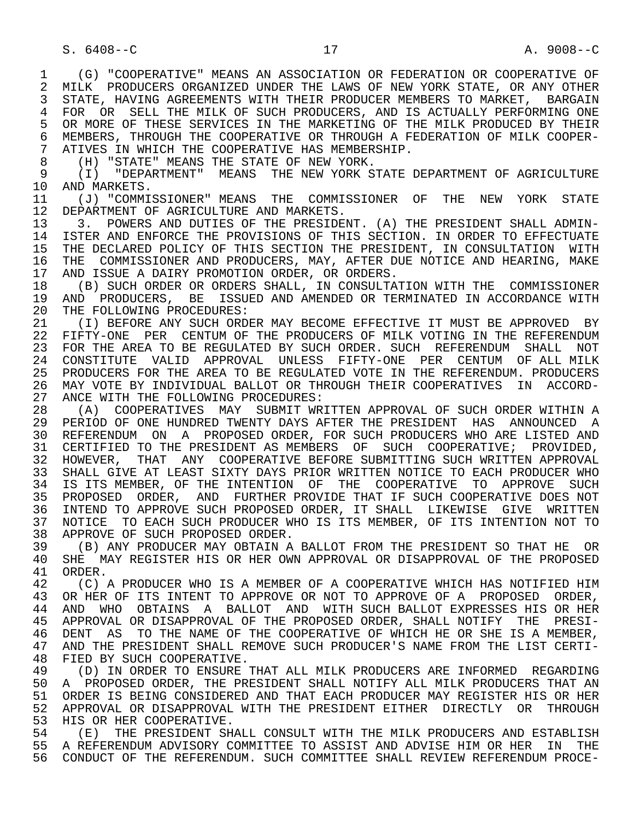1 (G) "COOPERATIVE" MEANS AN ASSOCIATION OR FEDERATION OR COOPERATIVE OF<br>2 MILK PRODUCERS ORGANIZED UNDER THE LAWS OF NEW YORK STATE, OR ANY OTHER 2 MILK PRODUCERS ORGANIZED UNDER THE LAWS OF NEW YORK STATE, OR ANY OTHER<br>3 STATE, HAVING AGREEMENTS WITH THEIR PRODUCER MEMBERS TO MARKET, BARGAIN 3 STATE, HAVING AGREEMENTS WITH THEIR PRODUCER MEMBERS TO MARKET, BARGAIN 4 FOR OR SELL THE MILK OF SUCH PRODUCERS, AND IS ACTUALLY PERFORMING ONE<br>5 OR MORE OF THESE SERVICES IN THE MARKETING OF THE MILK PRODUCED BY THEIR 5 OR MORE OF THESE SERVICES IN THE MARKETING OF THE MILK PRODUCED BY THEIR<br>6 MEMBERS, THROUGH THE COOPERATIVE OR THROUGH A FEDERATION OF MILK COOPER-6 MEMBERS, THROUGH THE COOPERATIVE OR THROUGH A FEDERATION OF MILK COOPER-<br>7 ATIVES IN WHICH THE COOPERATIVE HAS MEMBERSHIP. 7 ATIVES IN WHICH THE COOPERATIVE HAS MEMBERSHIP.<br>8 (H) "STATE" MEANS THE STATE OF NEW YORK.

8 (H) "STATE" MEANS THE STATE OF NEW YORK.<br>9 (I) "DEPARTMENT" MEANS THE NEW YORK S

 9 (I) "DEPARTMENT" MEANS THE NEW YORK STATE DEPARTMENT OF AGRICULTURE 10 AND MARKETS.<br>11 (J) "COMMI

11 (J) "COMMISSIONER" MEANS THE COMMISSIONER OF THE NEW YORK STATE<br>12 DEPARTMENT OF AGRICULTURE AND MARKETS. 12 DEPARTMENT OF AGRICULTURE AND MARKETS.<br>13 3. POWERS AND DUTIES OF THE PRESIDE

13 3. POWERS AND DUTIES OF THE PRESIDENT. (A) THE PRESIDENT SHALL ADMIN-<br>14 ISTER AND ENFORCE THE PROVISIONS OF THIS SECTION. IN ORDER TO EFFECTUATE 14 ISTER AND ENFORCE THE PROVISIONS OF THIS SECTION. IN ORDER TO EFFECTUATE 15 THE DECLARED POLICY OF THIS SECTION THE PRESIDENT, IN CONSULTATION WITH<br>16 THE COMMISSIONER AND PRODUCERS, MAY, AFTER DUE NOTICE AND HEARING, MAKE 16 THE COMMISSIONER AND PRODUCERS, MAY, AFTER DUE NOTICE AND HEARING, MAKE<br>17 AND ISSUE A DAIRY PROMOTION ORDER, OR ORDERS. 17 AND ISSUE A DAIRY PROMOTION ORDER, OR ORDERS.<br>18 (B) SUCH ORDER OR ORDERS SHALL, IN CONSULTA

18 (B) SUCH ORDER OR ORDERS SHALL, IN CONSULTATION WITH THE COMMISSIONER<br>19 AND PRODUCERS, BE ISSUED AND AMENDED OR TERMINATED IN ACCORDANCE WITH 19 AND PRODUCERS, BE ISSUED AND AMENDED OR TERMINATED IN ACCORDANCE WITH 20 THE FOLLOWING PROCEDURES: 20 THE FOLLOWING PROCEDURES:<br>21 (I) BEFORE ANY SUCH ORD

21 (I) BEFORE ANY SUCH ORDER MAY BECOME EFFECTIVE IT MUST BE APPROVED BY<br>22 FIFTY-ONE PER CENTUM OF THE PRODUCERS OF MILK VOTING IN THE REFERENDUM 22 FIFTY-ONE PER CENTUM OF THE PRODUCERS OF MILK VOTING IN THE REFERENDUM<br>23 FOR THE AREA TO BE REGULATED BY SUCH ORDER. SUCH REFERENDUM SHALL NOT 23 FOR THE AREA TO BE REGULATED BY SUCH ORDER. SUCH REFERENDUM SHALL NOT 24 CONSTITUTE VALID APPROVAL UNLESS FIFTY-ONE PER CENTUM OF ALL MILK<br>25 PRODUCERS FOR THE AREA TO BE REGULATED VOTE IN THE REFERENDUM. PRODUCERS 25 PRODUCERS FOR THE AREA TO BE REGULATED VOTE IN THE REFERENDUM. PRODUCERS 26 MAY VOTE BY INDIVIDUAL BALLOT OR THROUGH THEIR COOPERATIVES IN ACCORD-<br>27 ANCE WITH THE FOLLOWING PROCEDURES: 27 ANCE WITH THE FOLLOWING PROCEDURES:<br>28 (A) COOPERATIVES MAY SUBMIT WR

28 (A) COOPERATIVES MAY SUBMIT WRITTEN APPROVAL OF SUCH ORDER WITHIN A<br>29 PERIOD OF ONE HUNDRED TWENTY DAYS AFTER THE PRESIDENT HAS ANNOUNCED A 29 PERIOD OF ONE HUNDRED TWENTY DAYS AFTER THE PRESIDENT HAS ANNOUNCED A 30 REFERENDUM ON A PROPOSED ORDER, FOR SUCH PRODUCERS WHO ARE LISTED AND 31 CERTIFIED TO THE PRESIDENT AS MEMBERS OF SUCH COOPERATIVE; PROVIDED, 32 HOWEVER, THAT ANY COOPERATIVE BEFORE SUBMITTING SUCH WRITTEN APPROVAL<br>33 SHALL GIVE AT LEAST SIXTY DAYS PRIOR WRITTEN NOTICE TO EACH PRODUCER WHO SHALL GIVE AT LEAST SIXTY DAYS PRIOR WRITTEN NOTICE TO EACH PRODUCER WHO 34 IS ITS MEMBER, OF THE INTENTION OF THE COOPERATIVE TO APPROVE SUCH 35 PROPOSED ORDER, AND FURTHER PROVIDE THAT IF SUCH COOPERATIVE DOES NOT<br>36 INTEND TO APPROVE SUCH PROPOSED ORDER, IT SHALL LIKEWISE GIVE WRITTEN 36 INTEND TO APPROVE SUCH PROPOSED ORDER, IT SHALL LIKEWISE GIVE WRITTEN 37 NOTICE TO EACH SUCH PRODUCER WHO IS ITS MEMBER, OF ITS INTENTION NOT TO 38 APPROVE OF SUCH PROPOSED ORDER. 38 APPROVE OF SUCH PROPOSED ORDER.<br>39 (B) ANY PRODUCER MAY OBTAIN A

 39 (B) ANY PRODUCER MAY OBTAIN A BALLOT FROM THE PRESIDENT SO THAT HE OR 40 SHE MAY REGISTER HIS OR HER OWN APPROVAL OR DISAPPROVAL OF THE PROPOSED<br>41 ORDER 41 ORDER.<br>42 (C)

42 (C) A PRODUCER WHO IS A MEMBER OF A COOPERATIVE WHICH HAS NOTIFIED HIM<br>43 OR HER OF ITS INTENT TO APPROVE OR NOT TO APPROVE OF A PROPOSED ORDER. 43 OR HER OF ITS INTENT TO APPROVE OR NOT TO APPROVE OF A PROPOSED ORDER,<br>44 AND WHO OBTAINS A BALLOT AND WITH SUCH BALLOT EXPRESSES HIS OR HER 44 AND WHO OBTAINS A BALLOT AND WITH SUCH BALLOT EXPRESSES HIS OR HER<br>45 APPROVAL OR DISAPPROVAL OF THE PROPOSED ORDER, SHALL NOTIFY THE PRESI- 45 APPROVAL OR DISAPPROVAL OF THE PROPOSED ORDER, SHALL NOTIFY THE PRESI- 46 DENT AS TO THE NAME OF THE COOPERATIVE OF WHICH HE OR SHE IS A MEMBER,<br>47 AND THE PRESIDENT SHALL REMOVE SUCH PRODUCER'S NAME FROM THE LIST CERTI-47 AND THE PRESIDENT SHALL REMOVE SUCH PRODUCER'S NAME FROM THE LIST CERTI-<br>48 FIED BY SUCH COOPERATIVE.

48 FIED BY SUCH COOPERATIVE.<br>49 (D) IN ORDER TO ENSURE 49 (D) IN ORDER TO ENSURE THAT ALL MILK PRODUCERS ARE INFORMED REGARDING<br>50 A PROPOSED ORDER, THE PRESIDENT SHALL NOTIFY ALL MILK PRODUCERS THAT AN 50 A PROPOSED ORDER, THE PRESIDENT SHALL NOTIFY ALL MILK PRODUCERS THAT AN 51 ORDER IS BEING CONSIDERED AND THAT EACH PRODUCER MAY REGISTER HIS OR HER 51 ORDER IS BEING CONSIDERED AND THAT EACH PRODUCER MAY REGISTER HIS OR HER<br>52 APPROVAL OR DISAPPROVAL WITH THE PRESIDENT EITHER DIRECTLY OR THROUGH 52 APPROVAL OR DISAPPROVAL WITH THE PRESIDENT EITHER DIRECTLY OR THROUGH 53 HIS OR RER COOPERATIVE. 53 HIS OR HER COOPERATIVE.<br>54 (F) THE PRESIDENT SH

54 (E) THE PRESIDENT SHALL CONSULT WITH THE MILK PRODUCERS AND ESTABLISH<br>55 A REFERENDUM ADVISORY COMMITTEE TO ASSIST AND ADVISE HIM OR HER IN THE 55 A REFERENDUM ADVISORY COMMITTEE TO ASSIST AND ADVISE HIM OR HER IN THE 56 CONDUCT OF THE REFERENDUM. SUCH COMMITTEE SHALL REVIEW REFERENDUM PROCE-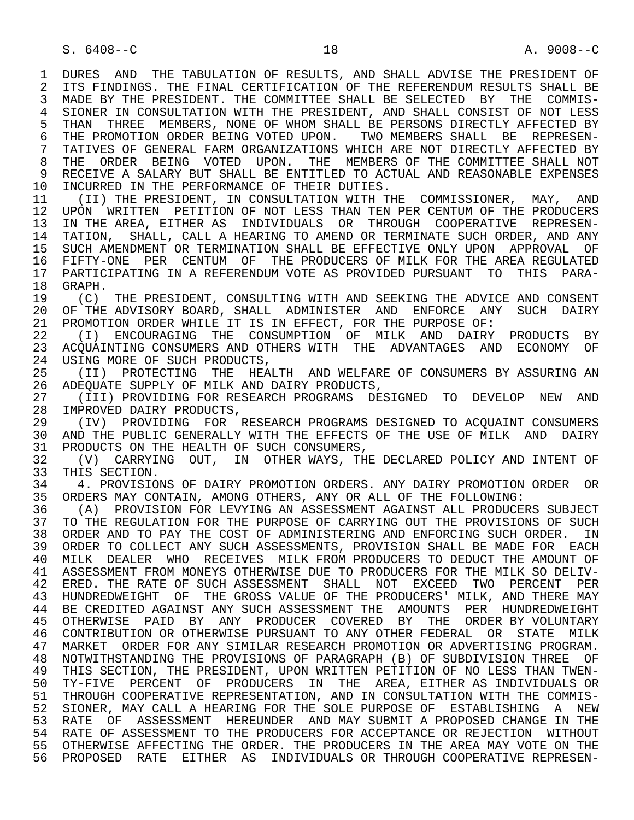1 DURES AND THE TABULATION OF RESULTS, AND SHALL ADVISE THE PRESIDENT OF<br>2 ITS FINDINGS. THE FINAL CERTIFICATION OF THE REFERENDUM RESULTS SHALL BE 2 ITS FINDINGS. THE FINAL CERTIFICATION OF THE REFERENDUM RESULTS SHALL BE<br>3 MADE BY THE PRESIDENT. THE COMMITTEE SHALL BE SELECTED BY THE COMMIS-MADE BY THE PRESIDENT. THE COMMITTEE SHALL BE SELECTED BY THE COMMIS-4 SIONER IN CONSULTATION WITH THE PRESIDENT, AND SHALL CONSIST OF NOT LESS<br>5 THAN THREE MEMBERS, NONE OF WHOM SHALL BE PERSONS DIRECTLY AFFECTED BY 5 THAN THREE MEMBERS, NONE OF WHOM SHALL BE PERSONS DIRECTLY AFFECTED BY<br>6 THE PROMOTION ORDER BEING VOTED UPON. TWO MEMBERS SHALL BE REPRESEN-6 THE PROMOTION ORDER BEING VOTED UPON. TWO MEMBERS SHALL BE REPRESEN-<br>7 TATIVES OF GENERAL FARM ORGANIZATIONS WHICH ARE NOT DIRECTLY AFFECTED BY 7 TATIVES OF GENERAL FARM ORGANIZATIONS WHICH ARE NOT DIRECTLY AFFECTED BY 8 THE ORDER BEING VOTED UPON. THE MEMBERS OF THE COMMITTEE SHALL NOT<br>9 RECEIVE A SALARY BUT SHALL BE ENTITLED TO ACTUAL AND REASONABLE EXPENSES 9 RECEIVE A SALARY BUT SHALL BE ENTITLED TO ACTUAL AND REASONABLE EXPENSES<br>10 INCURRED IN THE PERFORMANCE OF THEIR DUTIES. 10 INCURRED IN THE PERFORMANCE OF THEIR DUTIES.<br>11 (II) THE PRESIDENT, IN CONSULTATION WITH TI 11 (II) THE PRESIDENT, IN CONSULTATION WITH THE COMMISSIONER, MAY, AND<br>12 UPON WRITTEN PETITION OF NOT LESS THAN TEN PER CENTUM OF THE PRODUCERS 12 UPON WRITTEN PETITION OF NOT LESS THAN TEN PER CENTUM OF THE PRODUCERS 13 IN THE AREA, EITHER AS INDIVIDUALS OR THROUGH COOPERATIVE REPRESEN-<br>14 TATION, SHALL, CALL A HEARING TO AMEND OR TERMINATE SUCH ORDER, AND ANY 14 TATION, SHALL, CALL A HEARING TO AMEND OR TERMINATE SUCH ORDER, AND ANY 15 SUCH AMENDMENT OR TERMINATION SHALL BE EFFECTIVE ONLY UPON APPROVAL OF<br>16 FIFTY-ONE PER CENTUM OF THE PRODUCERS OF MILK FOR THE AREA REGULATED 16 FIFTY-ONE PER CENTUM OF THE PRODUCERS OF MILK FOR THE AREA REGULATED<br>17 PARTICIPATING IN A REFERENDUM VOTE AS PROVIDED PURSUANT TO THIS PARA- 17 PARTICIPATING IN A REFERENDUM VOTE AS PROVIDED PURSUANT TO THIS PARA-  $18$  GRAPH.<br> $19$   $(C)$ 19 (C) THE PRESIDENT, CONSULTING WITH AND SEEKING THE ADVICE AND CONSENT<br>20 OF THE ADVISORY BOARD, SHALL ADMINISTER AND ENFORCE ANY SUCH DAIRY 20 OF THE ADVISORY BOARD, SHALL ADMINISTER AND ENFORCE ANY SUCH DAIRY<br>21 PROMOTION ORDER WHILE IT IS IN EFFECT, FOR THE PURPOSE OF: 21 PROMOTION ORDER WHILE IT IS IN EFFECT, FOR THE PURPOSE OF:<br>22 (I) ENCOURAGING THE CONSUMPTION OF MILK AND DAIRY 22 (I) ENCOURAGING THE CONSUMPTION OF MILK AND DAIRY PRODUCTS BY<br>23 ACOUAINTING CONSUMERS AND OTHERS WITH THE ADVANTAGES AND ECONOMY OF ACOUAINTING CONSUMERS AND OTHERS WITH THE ADVANTAGES AND ECONOMY 24 USING MORE OF SUCH PRODUCTS,<br>25 (II) PROTECTING THE HEA 25 (II) PROTECTING THE HEALTH AND WELFARE OF CONSUMERS BY ASSURING AN 26 ADEQUATE SUPPLY OF MILK AND DAIRY PRODUCTS,<br>27 (III) PROVIDING FOR RESEARCH PROGRAMS DES 27 (III) PROVIDING FOR RESEARCH PROGRAMS DESIGNED TO DEVELOP NEW AND<br>28 IMPROVED DAIRY PRODUCTS. 28 IMPROVED DAIRY PRODUCTS,<br>29 (IV) PROVIDING FOR 29 (IV) PROVIDING FOR RESEARCH PROGRAMS DESIGNED TO ACQUAINT CONSUMERS<br>30 AND THE PUBLIC GENERALLY WITH THE EFFECTS OF THE USE OF MILK AND DAIRY 30 AND THE PUBLIC GENERALLY WITH THE EFFECTS OF THE USE OF MILK AND DAIRY<br>31 PRODUCTS ON THE HEALTH OF SUCH CONSUMERS. 31 PRODUCTS ON THE HEALTH OF SUCH CONSUMERS,<br>32 (V) CARRYING OUT, IN OTHER WAYS, TH 32 (V) CARRYING OUT, IN OTHER WAYS, THE DECLARED POLICY AND INTENT OF 33 THIS SECTION. 33 THIS SECTION.<br>34 4. PROVISIO 34 4. PROVISIONS OF DAIRY PROMOTION ORDERS. ANY DAIRY PROMOTION ORDER OR<br>35 ORDERS MAY CONTAIN, AMONG OTHERS, ANY OR ALL OF THE FOLLOWING: 35 ORDERS MAY CONTAIN, AMONG OTHERS, ANY OR ALL OF THE FOLLOWING:<br>36 (A) PROVISION FOR LEVYING AN ASSESSMENT AGAINST ALL PRODUCE (A) PROVISION FOR LEVYING AN ASSESSMENT AGAINST ALL PRODUCERS SUBJECT 37 TO THE REGULATION FOR THE PURPOSE OF CARRYING OUT THE PROVISIONS OF SUCH<br>38 ORDER AND TO PAY THE COST OF ADMINISTERING AND ENFORCING SUCH ORDER. IN 38 ORDER AND TO PAY THE COST OF ADMINISTERING AND ENFORCING SUCH ORDER. IN<br>39 ORDER TO COLLECT ANY SUCH ASSESSMENTS, PROVISION SHALL BE MADE FOR EACH 39 ORDER TO COLLECT ANY SUCH ASSESSMENTS, PROVISION SHALL BE MADE FOR EACH<br>40 MILK DEALER WHO RECEIVES MILK FROM PRODUCERS TO DEDUCT THE AMOUNT OF 40 MILK DEALER WHO RECEIVES MILK FROM PRODUCERS TO DEDUCT THE AMOUNT OF 41 ASSESSMENT FROM MONEYS OTHERWISE DUE TO PRODUCERS FOR THE MILK SO DELIV-<br>42 ERED. THE RATE OF SUCH ASSESSMENT SHALL NOT EXCEED TWO PERCENT PER 42 ERED. THE RATE OF SUCH ASSESSMENT SHALL NOT EXCEED TWO PERCENT PER<br>43 HUNDREDWEIGHT OF THE GROSS VALUE OF THE PRODUCERS' MILK, AND THERE MAY 43 HUNDREDWEIGHT OF THE GROSS VALUE OF THE PRODUCERS' MILK, AND THERE MAY<br>44 BE CREDITED AGAINST ANY SUCH ASSESSMENT THE AMOUNTS PER HUNDREDWEIGHT 44 BE CREDITED AGAINST ANY SUCH ASSESSMENT THE AMOUNTS PER HUNDREDWEIGHT<br>45 OTHERWISE PAID BY ANY PRODUCER COVERED BY THE ORDER BY VOLUNTARY 45 OTHERWISE PAID BY ANY PRODUCER COVERED BY THE ORDER BY VOLUNTARY 46 CONTRIBUTION OR OTHERWISE PURSUANT TO ANY OTHER FEDERAL OR STATE MILK<br>47 MARKET ORDER FOR ANY SIMILAR RESEARCH PROMOTION OR ADVERTISING PROGRAM. 47 MARKET ORDER FOR ANY SIMILAR RESEARCH PROMOTION OR ADVERTISING PROGRAM. 48 NOTWITHSTANDING THE PROVISIONS OF PARAGRAPH (B) OF SUBDIVISION THREE OF<br>49 THIS SECTION, THE PRESIDENT, UPON WRITTEN PETITION OF NO LESS THAN TWEN-49 THIS SECTION, THE PRESIDENT, UPON WRITTEN PETITION OF NO LESS THAN TWEN-<br>50 TY-FIVE PERCENT OF PRODUCERS IN THE AREA, EITHER AS INDIVIDUALS OR 50 TY-FIVE PERCENT OF PRODUCERS IN THE AREA, EITHER AS INDIVIDUALS OR<br>51 THROUGH COOPERATIVE REPRESENTATION, AND IN CONSULTATION WITH THE COMMIS-51 THROUGH COOPERATIVE REPRESENTATION, AND IN CONSULTATION WITH THE COMMIS-<br>52 SIONER, MAY CALL A HEARING FOR THE SOLE PURPOSE OF ESTABLISHING A NEW 52 SIONER, MAY CALL A HEARING FOR THE SOLE PURPOSE OF ESTABLISHING A NEW<br>53 RATE OF ASSESSMENT HEREUNDER AND MAY SUBMIT A PROPOSED CHANGE IN THE 53 RATE OF ASSESSMENT HEREUNDER AND MAY SUBMIT A PROPOSED CHANGE IN THE 54 RATE OF ASSESSMENT TO THE PRODUCERS FOR ACCEPTANCE OR REJECTION WITHOUT 54 RATE OF ASSESSMENT TO THE PRODUCERS FOR ACCEPTANCE OR REJECTION WITHOUT<br>55 OTHERWISE AFFECTING THE ORDER. THE PRODUCERS IN THE AREA MAY VOTE ON THE 55 OTHERWISE AFFECTING THE ORDER. THE PRODUCERS IN THE AREA MAY VOTE ON THE 56 PROPOSED RATE EITHER AS INDIVIDUALS OR THROUGH COOPERATIVE REPRESEN-56 PROPOSED RATE EITHER AS INDIVIDUALS OR THROUGH COOPERATIVE REPRESEN-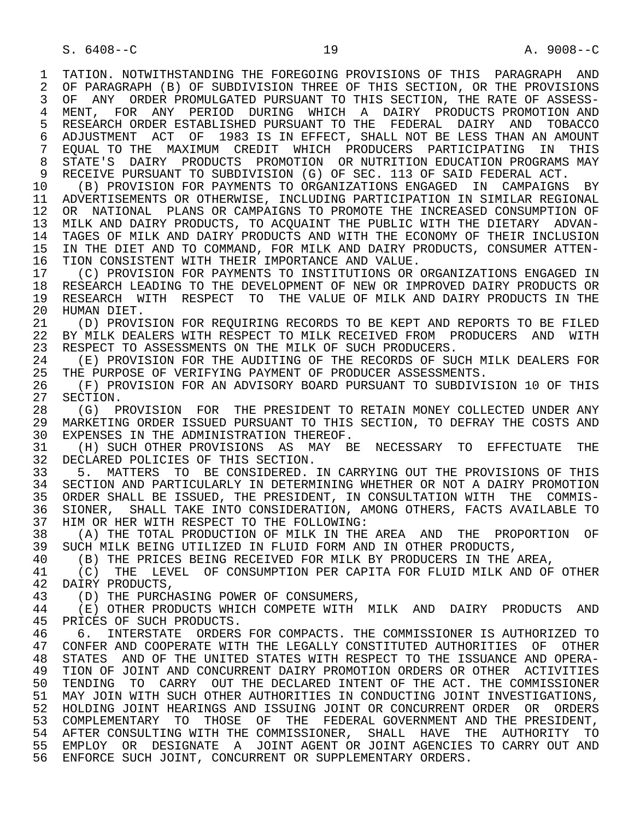S. 6408--C 19 19 A. 9008--C

1 TATION. NOTWITHSTANDING THE FOREGOING PROVISIONS OF THIS PARAGRAPH AND<br>2 OF PARAGRAPH (B) OF SUBDIVISION THREE OF THIS SECTION, OR THE PROVISIONS 2 OF PARAGRAPH (B) OF SUBDIVISION THREE OF THIS SECTION, OR THE PROVISIONS<br>3 OF ANY ORDER PROMULGATED PURSUANT TO THIS SECTION, THE RATE OF ASSESS-OF ANY ORDER PROMULGATED PURSUANT TO THIS SECTION, THE RATE OF ASSESS-4 MENT, FOR ANY PERIOD DURING WHICH A DAIRY PRODUCTS-PROMOTION-AND<br>5 RESEARCH-ORDER-ESTABLISHED-PURSUANT-TO-THE FEDERAL DAIRY AND TOBACCO 5 RESEARCH ORDER ESTABLISHED PURSUANT TO THE FEDERAL DAIRY AND TOBACCO<br>6 ADJUSTMENT ACT OF 1983 IS IN EFFECT, SHALL NOT BE LESS THAN AN AMOUNT 6 ADJUSTMENT ACT OF 1983 IS IN EFFECT, SHALL NOT BE LESS THAN AN AMOUNT<br>7 EOUAL TO THE MAXIMUM CREDIT WHICH PRODUCERS PARTICIPATING IN THIS 7 EQUAL TO THE MAXIMUM CREDIT WHICH PRODUCERS PARTICIPATING IN THIS 8 STATE'S DAIRY PRODUCTS PROMOTION OR<sup>NUTRITION EDUCATION PROGRAMS MAY</sup><br>9 RECEIVE PURSUANT TO SUBDIVISION (G) OF SEC. 113 OF SAID FEDERAL ACT. 9 RECEIVE PURSUANT TO SUBDIVISION (G) OF SEC. 113 OF SAID FEDERAL ACT.<br>10 (B) PROVISION FOR PAYMENTS TO ORGANIZATIONS ENGAGED IN CAMPAIGNS 10 (B) PROVISION FOR PAYMENTS TO ORGANIZATIONS ENGAGED IN CAMPAIGNS BY<br>11 ADVERTISEMENTS OR OTHERWISE, INCLUDING PARTICIPATION IN SIMILAR REGIONAL 11 ADVERTISEMENTS OR OTHERWISE, INCLUDING PARTICIPATION IN SIMILAR REGIONAL 12 OR NATIONAL PLANS OR CAMPAIGNS TO PROMOTE THE INCREASED CONSUMPTION OF 13 MILK AND DAIRY PRODUCTS, TO ACQUAINT THE PUBLIC WITH THE DIETARY ADVAN-<br>14 TAGES OF MILK AND DAIRY PRODUCTS AND WITH THE ECONOMY OF THEIR INCLUSION 14 TAGES OF MILK AND DAIRY PRODUCTS AND WITH THE ECONOMY OF THEIR INCLUSION 15 IN THE DIET AND TO COMMAND, FOR MILK AND DAIRY PRODUCTS, CONSUMER ATTEN-<br>16 TION CONSISTENT WITH THEIR IMPORTANCE AND VALUE. 16 TION CONSISTENT WITH THEIR IMPORTANCE AND VALUE.<br>17 (C) PROVISION FOR PAYMENTS TO INSTITUTIONS OR 17 (C) PROVISION FOR PAYMENTS TO INSTITUTIONS OR ORGANIZATIONS ENGAGED IN<br>18 RESEARCH LEADING TO THE DEVELOPMENT OF NEW OR IMPROVED DAIRY PRODUCTS OR 18 RESEARCH LEADING TO THE DEVELOPMENT OF NEW OR IMPROVED DAIRY PRODUCTS OR<br>19 RESEARCH WITH RESPECT TO THE VALUE OF MILK AND DAIRY PRODUCTS IN THE 19 RESEARCH WITH RESPECT TO THE VALUE OF MILK AND DAIRY PRODUCTS IN THE 20 HUMAN DIET. 20 HUMAN DIET.<br>21 (D) PROVI 21 (D) PROVISION FOR REQUIRING RECORDS TO BE KEPT AND REPORTS TO BE FILED<br>22 BY MILK DEALERS WITH RESPECT TO MILK RECEIVED FROM PRODUCERS AND WITH 22 BY MILK DEALERS WITH RESPECT TO MILK RECEIVED FROM PRODUCERS AND WITH 23 RESPECT TO ASSESSMENTS ON THE MILK OF SUCH PRODUCERS. 23 RESPECT TO ASSESSMENTS ON THE MILK OF SUCH PRODUCERS.<br>24 (E) PROVISION FOR THE AUDITING OF THE RECORDS OF SU 24 (E) PROVISION FOR THE AUDITING OF THE RECORDS OF SUCH MILK DEALERS FOR<br>25 THE PURPOSE OF VERIFYING PAYMENT OF PRODUCER ASSESSMENTS. THE PURPOSE OF VERIFYING PAYMENT OF PRODUCER ASSESSMENTS. 26 (F) PROVISION FOR AN ADVISORY BOARD PURSUANT TO SUBDIVISION 10 OF THIS 27 SECTION. 27 SECTION.<br>28 (G) P 28 (G) PROVISION FOR THE PRESIDENT TO RETAIN MONEY COLLECTED UNDER ANY<br>29 MARKETING ORDER ISSUED PURSUANT TO THIS SECTION, TO DEFRAY THE COSTS AND 29 MARKETING ORDER ISSUED PURSUANT TO THIS SECTION, TO DEFRAY THE COSTS AND 30 EXPENSES IN THE ADMINISTRATION THEROF. 30 EXPENSES IN THE ADMINISTRATION THEREOF.<br>31 (H) SUCH OTHER PROVISIONS AS MAY BI 31 (H) SUCH OTHER PROVISIONS AS MAY BE NECESSARY TO EFFECTUATE THE 32 DECLARED POLICIES OF THIS SECTION. 32 DECLARED POLICIES OF THIS SECTION.<br>33 5. MATTERS TO BE CONSIDERED. 33 5. MATTERS TO BE CONSIDERED. IN CARRYING OUT THE PROVISIONS OF THIS 34 SECTION AND PARTICULARLY IN DETERMINING WHETHER OR NOT A DAIRY PROMOTION<br>35 ORDER SHALL BE ISSUED, THE PRESIDENT, IN CONSULTATION WITH THE COMMIS-35 ORDER SHALL BE ISSUED, THE PRESIDENT, IN CONSULTATION WITH THE COMMIS-<br>36 SIONER, SHALL TAKE INTO CONSIDERATION, AMONG OTHERS, FACTS AVAILABLE TO 36 SIONER, SHALL TAKE INTO CONSIDERATION, AMONG OTHERS, FACTS AVAILABLE TO 37 HIM OR HER WITH RESPECT TO THE FOLLOWING:<br>38 (A) THE TOTAL PRODUCTION OF MILK IN THE 38 (A) THE TOTAL PRODUCTION OF MILK IN THE AREA AND THE PROPORTION OF 39 SUCH MILK BEING UTILIZED IN FLUID FORM AND IN OTHER PRODUCTS. 39 SUCH MILK BEING UTILIZED IN FLUID FORM AND IN OTHER PRODUCTS,<br>40 (B) THE PRICES BEING RECEIVED FOR MILK BY PRODUCERS IN THE 40 (B) THE PRICES BEING RECEIVED FOR MILK BY PRODUCERS IN THE AREA,<br>41 (C) THE LEVEL OF CONSUMPTION PER CAPITA FOR FLUID MILK AND OF 41 (C) THE LEVEL OF CONSUMPTION PER CAPITA FOR FLUID MILK AND OF OTHER 42 DAIRY PRODUCTS. 42 DAIRY PRODUCTS,<br>43 (D) THE PURCH 43 (D) THE PURCHASING POWER OF CONSUMERS,<br>44 (E) OTHER PRODUCTS WHICH COMPETE WITH 44 (E) OTHER PRODUCTS WHICH COMPETE WITH MILK AND DAIRY PRODUCTS AND 45 PRICES OF SUCH PRODUCTS. PRICES OF SUCH PRODUCTS. 46 6. INTERSTATE ORDERS FOR COMPACTS. THE COMMISSIONER IS AUTHORIZED TO 47 CONFER AND COOPERATE WITH THE LEGALLY CONSTITUTED AUTHORITIES OF OTHER 47 CONFER AND COOPERATE WITH THE LEGALLY CONSTITUTED AUTHORITIES OF OTHER 48 STATES AND OF THE UNITED STATES WITH RESPECT TO THE ISSUANCE AND OPERA-<br>49 TION OF JOINT AND CONCURRENT DAIRY PROMOTION ORDERS OR OTHER ACTIVITIES 49 TION OF JOINT AND CONCURRENT DAIRY PROMOTION ORDERS OR OTHER ACTIVITIES<br>50 TENDING TO CARRY OUT THE DECLARED INTENT OF THE ACT. THE COMMISSIONER TENDING TO CARRY OUT THE DECLARED INTENT OF THE ACT. THE COMMISSIONER 51 MAY JOIN WITH SUCH OTHER AUTHORITIES IN CONDUCTING JOINT INVESTIGATIONS, 52 HOLDING JOINT HEARINGS AND ISSUING JOINT OR CONCURRENT ORDER OR ORDERS 53 COMPLEMENTARY TO THOSE OF THE FEDERAL-GOVERNMENT-AND-THE-PRESIDENT,<br>54 AFTER-CONSULTING-WITH-THE-COMMISSIONER, SHALL HAVE THE AUTHORITY TO AFTER CONSULTING WITH THE COMMISSIONER, SHALL HAVE THE AUTHORITY TO 55 EMPLOY OR DESIGNATE A JOINT AGENT OR JOINT AGENCIES TO CARRY OUT AND 56 ENFORCE SUCH JOINT, CONCURRENT OR SUPPLEMENTARY ORDERS.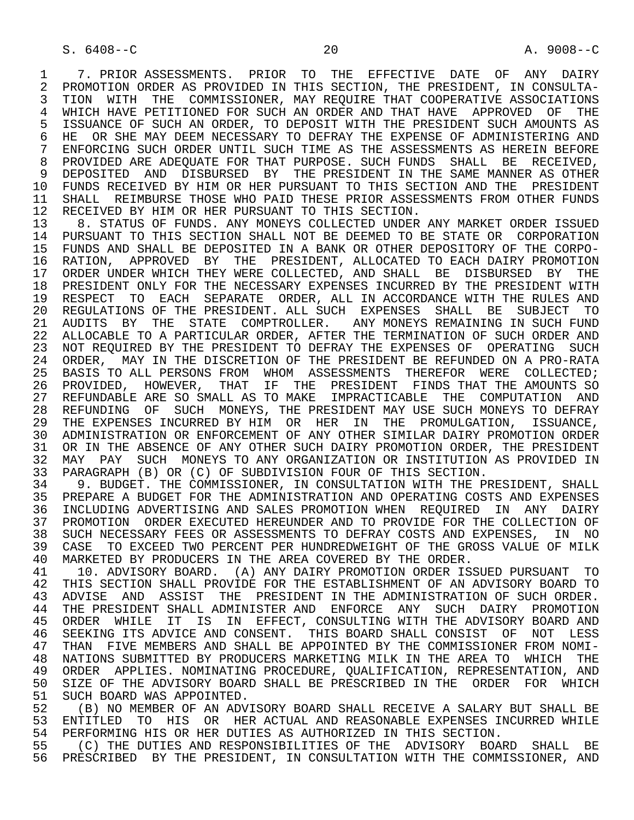1 7. PRIOR ASSESSMENTS. PRIOR TO THE EFFECTIVE DATE OF ANY DAIRY<br>2 PROMOTION ORDER AS PROVIDED IN THIS SECTION, THE PRESIDENT, IN CONSULTA-2 PROMOTION ORDER AS PROVIDED IN THIS SECTION, THE PRESIDENT, IN CONSULTA-<br>3 TION WITH THE COMMISSIONER, MAY REOUIRE THAT COOPERATIVE ASSOCIATIONS 3 TION WITH THE COMMISSIONER, MAY REQUIRE THAT COOPERATIVE ASSOCIATIONS 4 WHICH HAVE PETITIONED FOR SUCH AN ORDER AND THAT HAVE APPROVED OF THE 5 ISSUANCE OF SUCH AN ORDER, TO DEPOSIT WITH THE PRESIDENT SUCH AMOUNTS AS 5 ISSUANCE OF SUCH AN ORDER, TO DEPOSIT WITH THE PRESIDENT SUCH AMOUNTS AS<br>6 HE OR SHE MAY DEEM NECESSARY TO DEFRAY THE EXPENSE OF ADMINISTERING AND 6 HE OR SHE MAY DEEM NECESSARY TO DEFRAY THE EXPENSE OF ADMINISTERING AND<br>7 ENFORCING SUCH ORDER UNTIL SUCH TIME AS THE ASSESSMENTS AS HEREIN BEFORE 7 ENFORCING SUCH ORDER UNTIL SUCH TIME AS THE ASSESSMENTS AS HEREIN BEFORE<br>8 PROVIDED ARE ADEOUATE FOR THAT PURPOSE. SUCH FUNDS SHALL, BE. RECEIVED. 8 PROVIDED ARE ADEQUATE FOR THAT PURPOSE. SUCH FUNDS SHALL BE RECEIVED,<br>9 DEPOSITED AND DISBURSED BY THE PRESIDENT IN THE SAME MANNER AS OTHER DEPOSITED AND DISBURSED BY THE PRESIDENT IN THE SAME MANNER AS OTHER 10 FUNDS RECEIVED BY HIM OR HER PURSUANT TO THIS SECTION AND THE PRESIDENT<br>11 SHALL REIMBURSE THOSE WHO PAID THESE PRIOR ASSESSMENTS FROM OTHER FUNDS 11 SHALL REIMBURSE THOSE WHO PAID THESE PRIOR ASSESSMENTS FROM OTHER FUNDS<br>12 RECEIVED BY HIM OR HER PURSUANT TO THIS SECTION. 12 RECEIVED BY HIM OR HER PURSUANT TO THIS SECTION.<br>13 8. STATUS OF FUNDS. ANY MONEYS COLLECTED UNDER

13 8. STATUS OF FUNDS. ANY MONEYS COLLECTED UNDER ANY MARKET ORDER ISSUED<br>14 PURSUANT TO THIS SECTION SHALL NOT BE DEEMED TO BE STATE OR CORPORATION 14 PURSUANT TO THIS SECTION SHALL NOT BE DEEMED TO BE STATE OR CORPORATION 15 FUNDS AND SHALL BE DEPOSITED IN A BANK OR OTHER DEPOSITORY OF THE CORPO- 16 RATION, APPROVED BY THE PRESIDENT, ALLOCATED TO EACH DAIRY PROMOTION 17 ORDER UNDER WHICH THEY WERE COLLECTED, AND SHALL BE DISBURSED BY THE 18 PRESIDENT ONLY FOR THE NECESSARY EXPENSES INCURRED BY THE PRESIDENT WITH 19 RESPECT TO EACH SEPARATE ORDER, ALL IN ACCORDANCE WITH THE RULES AND 20 REGULATIONS OF THE PRESIDENT. ALL SUCH EXPENSES SHALL BE SUBJECT TO 21 AUDITS BY THE STATE COMPTROLLER. ANY MONEYS REMAINING IN SUCH FUND 22 ALLOCABLE TO A PARTICULAR ORDER, AFTER THE TERMINATION OF SUCH ORDER AND 23 NOT REQUIRED BY THE PRESIDENT TO DEFRAY THE EXPENSES OF OPERATING SUCH 24 ORDER, MAY IN THE DISCRETION OF THE PRESIDENT BE REFUNDED ON A PRO-RATA<br>25 BASIS TO ALL PERSONS FROM WHOM ASSESSMENTS THEREFOR WERE COLLECTED; BASIS TO ALL PERSONS FROM WHOM ASSESSMENTS THEREFOR WERE COLLECTED; 26 PROVIDED, HOWEVER, THAT IF THE PRESIDENT FINDS THAT THE AMOUNTS SO 27 REFUNDABLE ARE SO SMALL AS TO MAKE IMPRACTICABLE THE COMPUTATION AND 28 REFUNDING OF SUCH MONEYS, THE PRESIDENT MAY USE SUCH MONEYS TO DEFRAY 29 THE EXPENSES INCURRED BY HIM OR HER IN THE PROMULGATION, ISSUANCE, 30 ADMINISTRATION OR ENFORCEMENT OF ANY OTHER SIMILAR DAIRY PROMOTION ORDER 31 OR IN THE ABSENCE OF ANY OTHER SUCH DAIRY PROMOTION ORDER, THE PRESIDENT<br>32 MAY PAY SUCH MONEYS TO ANY ORGANIZATION OR INSTITUTION AS PROVIDED IN 32 MAY PAY SUCH MONEYS TO ANY ORGANIZATION OR INSTITUTION AS PROVIDED IN<br>33 PARAGRAPH (B) OR (C) OF SUBDIVISION FOUR OF THIS SECTION. 33 PARAGRAPH (B) OR (C) OF SUBDIVISION FOUR OF THIS SECTION.<br>34 9. BUDGET. THE COMMISSIONER, IN CONSULTATION WITH THE PF

34 9. BUDGET. THE COMMISSIONER, IN CONSULTATION WITH THE PRESIDENT, SHALL<br>35 PREPARE A BUDGET FOR THE ADMINISTRATION AND OPERATING COSTS AND EXPENSES 35 PREPARE A BUDGET FOR THE ADMINISTRATION AND OPERATING COSTS AND EXPENSES<br>36 INCLUDING ADVERTISING AND SALES PROMOTION WHEN REOUIRED IN ANY DAIRY 36 INCLUDING ADVERTISING AND SALES PROMOTION WHEN REQUIRED IN ANY DAIRY 37 PROMOTION ORDER EXECUTED HEREUNDER AND TO PROVIDE FOR THE COLLECTION OF 38 SUCH NECESSARY FEES OR ASSESSMENTS TO DEFRAY COSTS AND EXPENSES, IN NO 38 SUCH NECESSARY FEES OR ASSESSMENTS TO DEFRAY COSTS AND EXPENSES, IN NO<br>39 CASE, TO EXCEED TWO PERCENT PER HUNDREDWEIGHT OF THE GROSS VALUE OF MILK 39 CASE TO EXCEED TWO PERCENT PER HUNDREDWEIGHT OF THE GROSS VALUE OF MILK<br>40 MARKETED BY PRODUCERS IN THE AREA COVERED BY THE ORDER. 40 MARKETED BY PRODUCERS IN THE AREA COVERED BY THE ORDER.<br>41 10. ADVISORY BOARD. (A) ANY DAIRY PROMOTION ORDER IS.

41 10. ADVISORY BOARD. (A) ANY DAIRY PROMOTION ORDER ISSUED PURSUANT TO<br>42 THIS SECTION SHALL PROVIDE FOR THE ESTABLISHMENT OF AN ADVISORY BOARD TO 42 THIS SECTION SHALL PROVIDE FOR THE ESTABLISHMENT OF AN ADVISORY BOARD TO<br>43 ADVISE, AND. ASSIST, THE PRESIDENT IN THE ADMINISTRATION OF SUCH ORDER. 43 ADVISE AND ASSIST THE PRESIDENT IN THE ADMINISTRATION OF SUCH ORDER.<br>44 THE PRESIDENT SHALL ADMINISTER AND ENFORCE ANY SUCH DAIRY PROMOTION 44 THE PRESIDENT SHALL ADMINISTER AND ENFORCE ANY SUCH DAIRY PROMOTION 45 ORDER WHILE IT IS IN EFFECT, CONSULTING WITH THE ADVISORY BOARD AND 46 SEEKING ITS ADVICE AND CONSENT. THIS BOARD SHALL CONSIST OF NOT LESS<br>47 THAN FIVE MEMBERS AND SHALL BE APPOINTED BY THE COMMISSIONER FROM NOMI-THAN FIVE MEMBERS AND SHALL BE APPOINTED BY THE COMMISSIONER FROM NOMI-48 NATIONS SUBMITTED BY PRODUCERS MARKETING MILK IN THE AREA TO WHICH THE 49 ORDER APPLIES. NOMINATING PROCEDURE, QUALIFICATION, REPRESENTATION, AND 49 ORDER APPLIES. NOMINATING PROCEDURE, QUALIFICATION, REPRESENTATION, AND<br>50 SIZE OF THE ADVISORY BOARD SHALL BE PRESCRIBED IN THE ORDER FOR WHICH 50 SIZE OF THE ADVISORY BOARD SHALL BE PRESCRIBED IN THE ORDER FOR WHICH 51 SUCH BOARD WAS APPOINTED. 51 SUCH BOARD WAS APPOINTED.<br>52 (B) NO MEMBER OF AN ADV.

 52 (B) NO MEMBER OF AN ADVISORY BOARD SHALL RECEIVE A SALARY BUT SHALL BE 53 ENTITLED TO HIS OR HER ACTUAL AND REASONABLE EXPENSES INCURRED WHILE 54 PERFORMING HIS OR HER DUTIES AS AUTHORIZED IN THIS SECTION.

 55 (C) THE DUTIES AND RESPONSIBILITIES OF THE ADVISORY BOARD SHALL BE 56 PRESCRIBED BY THE PRESIDENT, IN CONSULTATION WITH THE COMMISSIONER, AND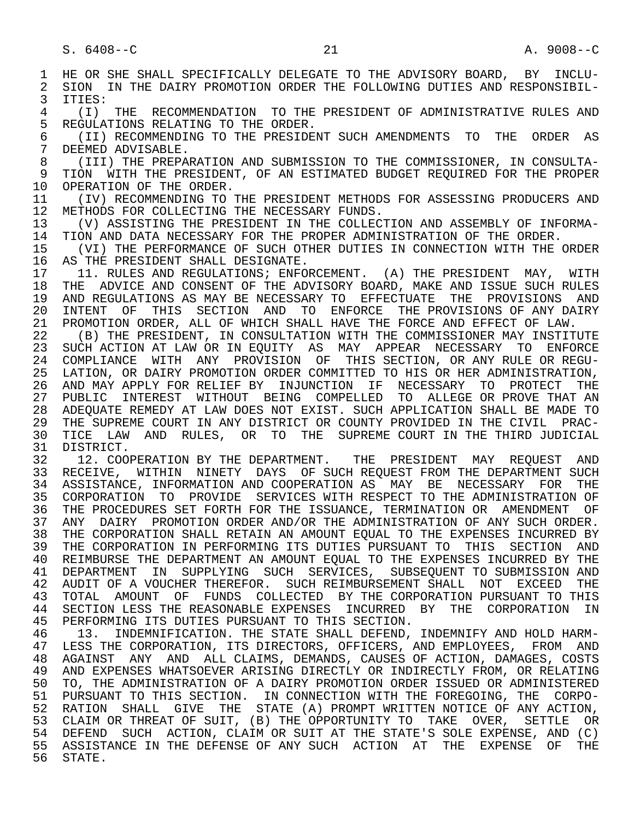1 HE OR SHE SHALL SPECIFICALLY DELEGATE TO THE ADVISORY BOARD, BY INCLU-<br>2 SION IN THE DAIRY PROMOTION ORDER THE FOLLOWING DUTIES AND RESPONSIBIL-2 SION IN THE DAIRY PROMOTION ORDER THE FOLLOWING DUTIES AND RESPONSIBIL-<br>3 ITIES:  $3$  ITIES:<br> $4$   $(1)$ 4 (I) THE RECOMMENDATION TO THE PRESIDENT OF ADMINISTRATIVE RULES AND<br>5 REGULATIONS RELATING TO THE ORDER. 5 REGULATIONS RELATING TO THE ORDER.<br>6 (II) RECOMMENDING TO THE PRESIDE 6 (II) RECOMMENDING TO THE PRESIDENT SUCH AMENDMENTS TO THE ORDER AS<br>7 DEEMED ADVISABLE. 7 DEEMED ADVISABLE.<br>8 (TTT) THE PREPAL 8 (III) THE PREPARATION AND SUBMISSION TO THE COMMISSIONER, IN CONSULTA- 9 TION WITH THE PRESIDENT, OF AN ESTIMATED BUDGET REQUIRED FOR THE PROPER 10 OPERATION OF THE ORDER. 10 OPERATION OF THE ORDER.<br>11 (IV) RECOMMENDING TO 11 (IV) RECOMMENDING TO THE PRESIDENT METHODS FOR ASSESSING PRODUCERS AND 12 METHODS FOR COLLECTING THE NECESSARY FUNDS. 12 METHODS FOR COLLECTING THE NECESSARY FUNDS.<br>13 (V) ASSISTING THE PRESIDENT IN THE COLLECT 13 (V) ASSISTING THE PRESIDENT IN THE COLLECTION AND ASSEMBLY OF INFORMA-<br>14 TION AND DATA NECESSARY FOR THE PROPER ADMINISTRATION OF THE ORDER 14 TION AND DATA NECESSARY FOR THE PROPER ADMINISTRATION OF THE ORDER.<br>15 (VI) THE PERFORMANCE OF SUCH OTHER DUTIES IN CONNECTION WITH THE 15 (VI) THE PERFORMANCE OF SUCH OTHER DUTIES IN CONNECTION WITH THE ORDER<br>16 AS THE PRESIDENT SHALL DESIGNATE. 16 AS THE PRESIDENT SHALL DESIGNATE.<br>17 11. RULES AND REGULATIONS; ENFO 17 11. RULES AND REGULATIONS; ENFORCEMENT. (A) THE PRESIDENT MAY, WITH 18 THE ADVICE AND CONSENT OF THE ADVISORY BOARD, MAKE AND ISSUE SUCH RULES 18 THE ADVICE AND CONSENT OF THE ADVISORY BOARD, MAKE AND ISSUE SUCH RULES<br>19 AND REGULATIONS AS MAY BE NECESSARY TO EFFECTUATE THE PROVISIONS AND 19 AND REGULATIONS AS MAY BE NECESSARY TO EFFECTUATE THE PROVISIONS AND<br>20 INTENT OF THIS SECTION AND TO ENFORCE THE PROVISIONS OF ANY DAIRY 20 INTENT OF THIS SECTION AND TO ENFORCE THE PROVISIONS OF ANY DAIRY<br>21 PROMOTION ORDER, ALL OF WHICH SHALL HAVE THE FORCE AND EFFECT OF LAW. 21 PROMOTION ORDER, ALL OF WHICH SHALL HAVE THE FORCE AND EFFECT OF LAW.<br>22 (B) THE PRESIDENT, IN CONSULTATION WITH THE COMMISSIONER MAY INSTIT 22 (B) THE PRESIDENT, IN CONSULTATION WITH THE COMMISSIONER MAY INSTITUTE<br>23 SUCH ACTION AT LAW OR IN EOUITY AS MAY APPEAR NECESSARY TO ENFORCE 23 SUCH ACTION AT LAW OR IN EQUITY AS MAY APPEAR NECESSARY TO ENFORCE 24 COMPLIANCE WITH ANY PROVISION OF THIS SECTION, OR ANY RULE OR REGU-<br>25 LATION, OR DAIRY PROMOTION ORDER COMMITTED TO HIS OR HER ADMINISTRATION, LATION, OR DAIRY PROMOTION ORDER COMMITTED TO HIS OR HER ADMINISTRATION, 26 AND MAY APPLY FOR RELIEF BY INJUNCTION IF NECESSARY TO PROTECT THE 27 PUBLIC INTEREST WITHOUT BEING COMPELLED TO ALLEGE<sup> OR PROVE THAT AN</sup><br>28 ADEOUATE REMEDY AT LAW DOES NOT EXIST. SUCH APPLICATION SHALL BE MADE TO 28 ADEQUATE REMEDY AT LAW DOES NOT EXIST. SUCH APPLICATION SHALL BE MADE TO<br>29 THE SUPREME COURT IN ANY DISTRICT OR COUNTY PROVIDED IN THE CIVIL PRAC-29 THE SUPREME COURT IN ANY DISTRICT OR COUNTY PROVIDED IN THE CIVIL PRAC-<br>30 TICE LAW AND RULES, OR TO THE SUPREME COURT IN THE THIRD JUDICIAL 30 TICE LAW AND RULES, OR TO THE SUPREME COURT IN THE THIRD JUDICIAL 31 DISTRICT. 31 DISTRICT.<br>32 12. COO 32 12. COOPERATION BY THE DEPARTMENT. THE PRESIDENT MAY REQUEST AND<br>33 RECEIVE, WITHIN NINETY DAYS OF SUCH-REOUEST FROM THE DEPARTMENT SUCH 33 RECEIVE, WITHIN NINETY DAYS OF SUCH REQUEST FROM THE DEPARTMENT SUCH<br>34 ASSISTANCE, INFORMATION AND COOPERATION AS MAY BE NECESSARY FOR THE 34 ASSISTANCE, INFORMATION AND COOPERATION AS MAY BE NECESSARY FOR THE<br>35 CORPORATION TO PROVIDE SERVICES WITH RESPECT TO THE ADMINISTRATION OF 35 CORPORATION TO PROVIDE SERVICES WITH RESPECT TO THE ADMINISTRATION OF 36 THE PROCEDURES SET FORTH FOR THE ISSUANCE, TERMINATION OR AMENDMENT OF THE PROCEDURES SET FORTH FOR THE ISSUANCE, TERMINATION OR AMENDMENT OF 37 ANY DAIRY PROMOTION ORDER AND/OR THE ADMINISTRATION OF ANY SUCH ORDER.<br>38 THE CORPORATION SHALL RETAIN AN AMOUNT EOUAL TO THE EXPENSES INCURRED BY 38 THE CORPORATION SHALL RETAIN AN AMOUNT EQUAL TO THE EXPENSES INCURRED BY<br>39 THE CORPORATION IN PERFORMING ITS DUTIES PURSUANT TO THIS SECTION AND THE CORPORATION IN PERFORMING ITS DUTIES PURSUANT TO THIS SECTION AND 40 REIMBURSE THE DEPARTMENT AN AMOUNT EQUAL TO THE EXPENSES INCURRED BY THE 41 DEPARTMENT IN SUPPLYING SUCH SERVICES. SUBSEQUENT TO SUBMISSION AND 41 DEPARTMENT IN SUPPLYING SUCH SERVICES, SUBSEQUENT—TO-SUBMISSION AND 42 AUDIT OF A VOUCHER THEREFOR. SUCH REIMBURSEMENT SHALL NOT EXCEED THE 42 AUDIT OF A VOUCHER THEREFOR. SUCH REIMBURSEMENT SHALL NOT EXCEED THE 43 TOTAL AMOUNT OF FUNDS COLLECTED BY THE CORPORATION PURSUANT TO THIS 43 TOTAL AMOUNT OF FUNDS COLLECTED BY THE CORPORATION PURSUANT TO THIS<br>44 SECTION LESS THE REASONABLE EXPENSES INCURRED BY THE CORPORATION IN 44 SECTION LESS THE REASONABLE EXPENSES INCURRED BY THE CORPORATION IN<br>45 PERFORMING ITS DUTIES PURSUANT TO THIS SECTION. PERFORMING ITS DUTIES PURSUANT TO THIS SECTION. 46 13. INDEMNIFICATION. THE STATE SHALL DEFEND, INDEMNIFY AND HOLD HARM-<br>47 LESS THE CORPORATION, ITS DIRECTORS, OFFICERS, AND EMPLOYEES, FROM AND LESS THE CORPORATION, ITS DIRECTORS, OFFICERS, AND EMPLOYEES, FROM AND 48 AGAINST ANY AND ALL CLAIMS, DEMANDS, CAUSES OF ACTION, DAMAGES, COSTS<br>49 AND EXPENSES WHATSOEVER ARISING DIRECTLY OR INDIRECTLY FROM, OR RELATING 49 AND EXPENSES WHATSOEVER ARISING DIRECTLY OR INDIRECTLY FROM, OR RELATING<br>50 TO, THE ADMINISTRATION OF A DAIRY PROMOTION ORDER ISSUED OR ADMINISTERED 50 TO, THE ADMINISTRATION OF A DAIRY PROMOTION ORDER ISSUED OR ADMINISTERED<br>51 PURSUANT TO THIS SECTION. IN CONNECTION WITH THE FOREGOING, THE CORPO- 51 PURSUANT TO THIS SECTION. IN CONNECTION WITH THE FOREGOING, THE CORPO- 52 RATION SHALL GIVE THE STATE (A) PROMPT WRITTEN NOTICE OF ANY ACTION, 53 CLAIM OR THREAT OF SUIT, (B) THE OPPORTUNITY TO TAKE OVER, SETTLE OR 54 DEFEND SUCH ACTION, CLAIM OR SUIT AT THE STATE'S SOLE EXPENSE, AND (C) 55 ASSISTANCE IN THE DEFENSE OF ANY SUCH ACTION AT THE EXPENSE OF THE 56 STATE.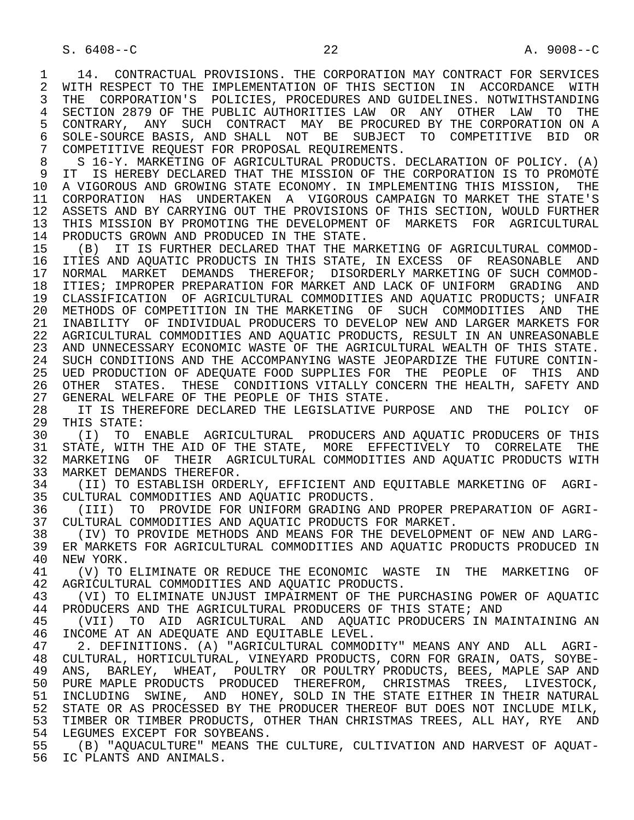1 14. CONTRACTUAL PROVISIONS. THE CORPORATION MAY CONTRACT FOR SERVICES<br>2 WITH RESPECT TO THE IMPLEMENTATION OF THIS SECTION IN ACCORDANCE WITH 2 WITH RESPECT TO THE IMPLEMENTATION OF THIS SECTION IN ACCORDANCE WITH<br>3 THE CORPORATION'S POLICIES, PROCEDURES AND GUIDELINES, NOTWITHSTANDING THE CORPORATION'S POLICIES, PROCEDURES AND GUIDELINES. NOTWITHSTANDING 4 SECTION 2879 OF THE PUBLIC AUTHORITIES LAW OR ANY OTHER LAW TO THE 5 CONTRARY, ANY SUCH CONTRACT MAY BE PROCURED BY THE CORPORATION ON A 5 CONTRARY, ANY SUCH CONTRACT MAY BE PROCURED BY THE CORPORATION ON A<br>6 SOLE-SOURCE BASIS, AND SHALL NOT BE SUBJECT TO COMPETITIVE BID OR 6 SOLE-SOURCE BASIS, AND SHALL NOT BE SUBJECT TO COMPETITIVE BID OR<br>7 COMPETITIVE REOUEST FOR PROPOSAL REOUIREMENTS. 7 COMPETITIVE REQUEST FOR PROPOSAL REQUIREMENTS.

 8 S 16-Y. MARKETING OF AGRICULTURAL PRODUCTS. DECLARATION OF POLICY. (A) 9 IT IS HEREBY DECLARED THAT THE MISSION OF THE CORPORATION IS TO PROMOTE<br>10 A VIGOROUS AND GROWING STATE ECONOMY, IN IMPLEMENTING THIS MISSION, THE 10 A VIGOROUS AND GROWING STATE ECONOMY. IN IMPLEMENTING THIS MISSION, THE<br>11 CORPORATION HAS UNDERTAKEN A VIGOROUS CAMPAIGN TO MARKET THE STATE'S 11 CORPORATION HAS UNDERTAKEN A VIGOROUS CAMPAIGN TO MARKET THE STATE'S<br>12 ASSETS AND BY CARRYING OUT THE PROVISIONS OF THIS SECTION, WOULD FURTHER 12 ASSETS AND BY CARRYING OUT THE PROVISIONS OF THIS SECTION, WOULD FURTHER<br>13 THIS MISSION BY PROMOTING THE DEVELOPMENT OF MARKETS FOR AGRICULTURAL 13 THIS MISSION BY PROMOTING THE DEVELOPMENT OF MARKETS FOR AGRICULTURAL<br>14 PRODUCTS GROWN AND PRODUCED IN THE STATE. PRODUCTS GROWN AND PRODUCED IN THE STATE.

15 (B) IT IS FURTHER DECLARED THAT THE MARKETING OF AGRICULTURAL COMMOD-<br>16 ITIES AND AOUATIC PRODUCTS IN THIS STATE, IN EXCESS OF REASONABLE AND 16 ITIES AND AQUATIC PRODUCTS IN THIS STATE, IN EXCESS OF REASONABLE AND<br>17 NORMAL, MARKET DEMANDS THEREFOR; DISORDERLY MARKETING OF SUCH COMMOD-17 NORMAL MARKET DEMANDS THEREFOR; DISORDERLY MARKETING OF SUCH COMMOD-<br>18 ITIES; IMPROPER PREPARATION FOR MARKET AND LACK OF UNIFORM GRADING AND 18 ITIES; IMPROPER PREPARATION FOR MARKET AND LACK OF UNIFORM GRADING AND<br>19 CLASSIFICATION OF AGRICULTURAL COMMODITIES AND AOUATIC PRODUCTS; UNFAIR 19 CLASSIFICATION OF AGRICULTURAL COMMODITIES AND AQUATIC PRODUCTS; UNFAIR 20 METHODS OF COMPETITION IN THE MARKETING OF SUCH COMMODITIES AND THE 21 INABILITY OF INDIVIDUAL PRODUCERS TO DEVELOP NEW AND LARGER MARKETS FOR 21 INABILITY OF INDIVIDUAL PRODUCERS TO DEVELOP NEW AND LARGER MARKETS FOR 22 AGRICULTURAL COMMODITIES AND AQUATIC PRODUCTS, RESULT IN AN UNREASONABLE 23 AND UNNECESSARY ECONOMIC WASTE OF THE AGRICULTURAL WEALTH OF THIS STATE. 24 SUCH CONDITIONS AND THE ACCOMPANYING WASTE JEOPARDIZE THE FUTURE CONTIN-<br>25 UED PRODUCTION OF ADEOUATE FOOD SUPPLIES FOR THE PEOPLE OF THIS AND 25 UED PRODUCTION OF ADEQUATE FOOD SUPPLIES FOR THE PEOPLE OF THIS AND 26 OTHER STATES. THESE CONDITIONS VITALLY CONCERN THE HEALTH, SAFETY AND<br>27 GENERAL WELFARE OF THE PEOPLE OF THIS STATE. 27 GENERAL WELFARE OF THE PEOPLE OF THIS STATE.<br>28 IT IS THEREFORE DECLARED THE LEGISLATIVE P

28 IT IS THEREFORE DECLARED THE LEGISLATIVE PURPOSE AND THE POLICY OF 29 THIS STATE: 29 THIS STATE:<br>30 (I) TO

30 (I) TO ENABLE AGRICULTURAL PRODUCERS AND AQUATIC PRODUCERS OF THIS<br>31 STATE, WITH THE AID OF THE STATE, MORE EFFECTIVELY TO CORRELATE THE 31 STATE, WITH THE AID OF THE STATE, MORE EFFECTIVELY TO CORRELATE THE 32 MARKETING OF THEIR AGRICULTURAL COMMODITIES AND AOUATIC PRODUCTS WITH 32 MARKETING OF THEIR AGRICULTURAL COMMODITIES AND AQUATIC PRODUCTS WITH 33 MARKET DEMANDS THEREFOR. 33 MARKET DEMANDS THEREFOR.<br>34 (II) TO ESTABLISH ORDE

34 (II) TO ESTABLISH ORDERLY, EFFICIENT AND EQUITABLE MARKETING OF AGRI-<br>35 CULTURAL COMMODITIES AND AOUATIC PRODUCTS. 35 CULTURAL COMMODITIES AND AQUATIC PRODUCTS.<br>36 (III) TO PROVIDE FOR UNIFORM GRADING A

36 (III) TO PROVIDE FOR UNIFORM GRADING AND PROPER PREPARATION OF AGRI-<br>37 CULTURAL COMMODITIES AND AOUATIC PRODUCTS FOR MARKET. 37 CULTURAL COMMODITIES AND AQUATIC PRODUCTS FOR MARKET.<br>38 (IV) TO PROVIDE METHODS AND MEANS FOR THE DEVELOPMEI

38 (IV) TO PROVIDE METHODS AND MEANS FOR THE DEVELOPMENT OF NEW AND LARG-<br>39 ER MARKETS FOR AGRICULTURAL COMMODITIES AND AOUATIC PRODUCTS PRODUCED IN 39 ER MARKETS FOR AGRICULTURAL COMMODITIES AND AQUATIC PRODUCTS PRODUCED IN 40 NEW YORK.<br>41 (V) TO

41 (V) TO ELIMINATE OR REDUCE THE ECONOMIC WASTE IN THE MARKETING OF 42 AGRICULTURAL COMMODITIES AND AOUATIC PRODUCTS. 42 AGRICULTURAL COMMODITIES AND AQUATIC PRODUCTS.<br>43 (VI) TO ELIMINATE UNJUST IMPAIRMENT OF THE P

43 (VI) TO ELIMINATE UNJUST IMPAIRMENT OF THE PURCHASING POWER OF AQUATIC<br>44 PRODUCERS AND THE AGRICULTURAL PRODUCERS OF THIS STATE; AND 44 PRODUCERS AND THE AGRICULTURAL PRODUCERS OF THIS STATE; AND 45 (VII) TO AID AGRICULTURAL AND AOUATIC PRODUCERS IN M

(VII) TO AID AGRICULTURAL AND AOUATIC PRODUCERS IN MAINTAINING AN 46 INCOME AT AN ADEQUATE AND EQUITABLE LEVEL.<br>47 3. DEFINITIONS. (A) "AGRICULTURAL COMMOD

47 2. DEFINITIONS. (A) "AGRICULTURAL COMMODITY" MEANS ANY AND ALL AGRI-<br>48 CULTURAL, HORTICULTURAL, VINEYARD PRODUCTS, CORN FOR GRAIN, OATS, SOYBE- 48 CULTURAL, HORTICULTURAL, VINEYARD PRODUCTS, CORN FOR GRAIN, OATS, SOYBE- 49 ANS, BARLEY, WHEAT, POULTRY OR POULTRY PRODUCTS, BEES, MAPLE SAP AND<br>50 PURE MAPLE PRODUCTS PRODUCED THEREFROM, CHRISTMAS TREES, LIVESTOCK, 50 PURE MAPLE PRODUCTS PRODUCED THEREFROM, CHRISTMAS TREES, LIVESTOCK,<br>51 INCLUDING SWINE, AND HONEY, SOLD IN THE STATE EITHER IN THEIR NATURAL 51 INCLUDING SWINE, AND HONEY, SOLD IN THE STATE EITHER IN THEIR NATURAL 52 STATE OR AS PROCESSED BY THE PRODUCER THEREOF BUT DOES NOT INCLUDE MILK,<br>53 TIMBER OR TIMBER PRODUCTS, OTHER THAN CHRISTMAS TREES, ALL HAY, RYE AND TIMBER OR TIMBER PRODUCTS, OTHER THAN CHRISTMAS TREES, ALL HAY, RYE AND 54 LEGUMES EXCEPT FOR SOYBEANS.

 55 (B) "AQUACULTURE" MEANS THE CULTURE, CULTIVATION AND HARVEST OF AQUAT- 56 IC PLANTS AND ANIMALS.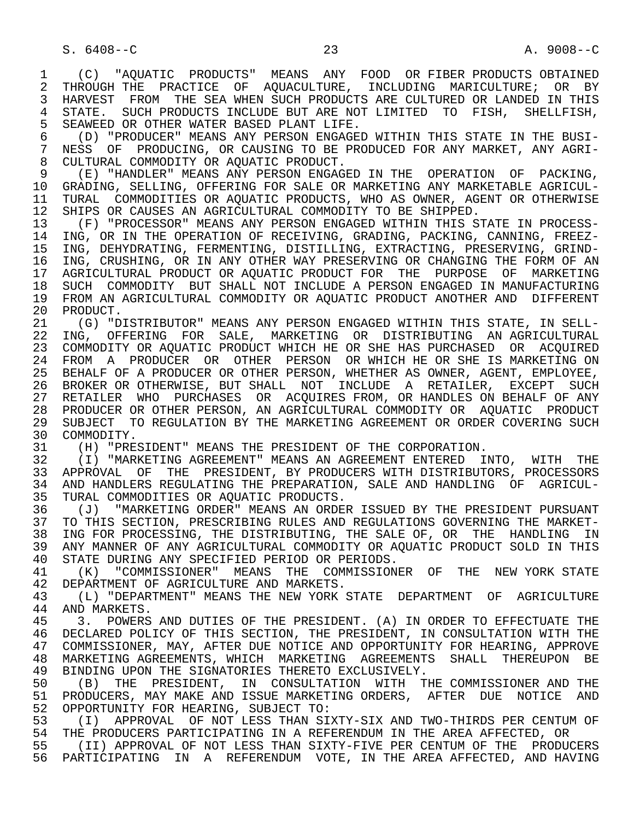1 (C) "AQUATIC PRODUCTS" MEANS ANY FOOD OR FIBER PRODUCTS OBTAINED<br>2 THROUGH THE PRACTICE OF AOUACULTURE, INCLUDING MARICULTURE; OR BY 2 THROUGH THE PRACTICE OF AQUACULTURE, INCLUDING MARICULTURE; OR BY<br>3 HARVEST FROM THE SEA WHEN SUCH PRODUCTS ARE CULTURED OR LANDED IN THIS 3 HARVEST FROM THE SEA WHEN SUCH PRODUCTS ARE CULTURED OR LANDED IN THIS 4 STATE. SUCH PRODUCTS INCLUDE BUT ARE NOT LIMITED TO FISH, SHELLFISH,<br>5 SEAWEED OR OTHER WATER BASED PLANT LIFE. 5 SEAWEED OR OTHER WATER BASED PLANT LIFE.<br>6 (D) "PRODUCER" MEANS ANY PERSON ENGAGEI

 6 (D) "PRODUCER" MEANS ANY PERSON ENGAGED WITHIN THIS STATE IN THE BUSI- 7 NESS OF PRODUCING, OR CAUSING TO BE PRODUCED FOR ANY MARKET, ANY AGRI- 8 CULTURAL COMMODITY OR AQUATIC PRODUCT.

9 (E) "HANDLER" MEANS ANY PERSON ENGAGED IN THE OPERATION OF PACKING,<br>10 GRADING, SELLING, OFFERING FOR SALE OR MARKETING ANY MARKETABLE AGRICUL- 10 GRADING, SELLING, OFFERING FOR SALE OR MARKETING ANY MARKETABLE AGRICUL- 11 TURAL COMMODITIES OR AQUATIC PRODUCTS, WHO AS OWNER, AGENT OR OTHERWISE<br>12 SHIPS OR CAUSES AN AGRICULTURAL COMMODITY TO BE SHIPPED. 12 SHIPS OR CAUSES AN AGRICULTURAL COMMODITY TO BE SHIPPED.<br>13 (F) "PROCESSOR" MEANS ANY PERSON ENGAGED WITHIN THIS S'

13 (F) "PROCESSOR" MEANS ANY PERSON ENGAGED WITHIN THIS STATE IN PROCESS-<br>14 ING OR IN THE OPERATION OF RECEIVING, GRADING, PACKING, CANNING, FREEZ-ING, OR IN THE OPERATION OF RECEIVING, GRADING, PACKING, CANNING, FREEZ-15 ING, DEHYDRATING, FERMENTING, DISTILLING, EXTRACTING, PRESERVING, GRIND-<br>16 ING. CRUSHING. OR IN ANY OTHER WAY PRESERVING OR CHANGING THE FORM OF AN 16 ING, CRUSHING, OR IN ANY OTHER WAY PRESERVING OR CHANGING THE FORM OF AN<br>17 AGRICULTURAL PRODUCT OR AOUATIC PRODUCT FOR THE PURPOSE OF MARKETING 17 AGRICULTURAL PRODUCT OR AQUATIC PRODUCT FOR THE PURPOSE OF MARKETING<br>18 SUCH COMMODITY BUT SHALL NOT INCLUDE A PERSON ENGAGED IN MANUFACTURING 18 SUCH COMMODITY BUT SHALL NOT INCLUDE A PERSON ENGAGED IN MANUFACTURING<br>19 FROM AN AGRICULTURAL COMMODITY OR AOUATIC PRODUCT ANOTHER AND DIFFERENT 19 FROM AN AGRICULTURAL COMMODITY OR AQUATIC PRODUCT ANOTHER AND DIFFERENT<br>20 PRODUCT. 20 PRODUCT.<br>21 (G) "D

21 (G) "DISTRIBUTOR" MEANS ANY PERSON ENGAGED WITHIN THIS STATE, IN SELL-<br>22 ING. OFFERING FOR SALE. MARKETING OR DISTRIBUTING AN AGRICULTURAL 22 ING, OFFERING FOR SALE, MARKETING OR DISTRIBUTING AN AGRICULTURAL<br>23 COMMODITY OR AOUATIC PRODUCT WHICH HE OR SHE HAS PURCHASED OR ACOUIRED 23 COMMODITY OR AQUATIC PRODUCT WHICH HE OR SHE HAS PURCHASED OR ACQUIRED 24 FROM A PRODUCER OR OTHER PERSON ORWHICH HE ORSHE IS MARKETING ON<br>25 BEHALF OF A PRODUCER OR OTHER PERSON, WHETHER AS OWNER, AGENT, EMPLOYEE, BEHALF OF A PRODUCER OR OTHER PERSON, WHETHER AS OWNER, AGENT, EMPLOYEE, 26 BROKER OR OTHERWISE, BUT SHALL NOT INCLUDE A RETAILER, EXCEPT SUCH 27 RETAILER WHO PURCHASES OR ACQUIRES FROM, OR HANDLES ON BEHALF OF ANY 28 PRODUCER OR OTHER PERSON, AN AGRICULTURAL COMMODITY OR AQUATIC PRODUCT 29 SUBJECT TO REGULATION BY THE MARKETING AGREEMENT OR ORDER COVERING SUCH 30 COMMODITY 30 COMMODITY.<br>31 (H) "PRE

31 (H) "PRESIDENT" MEANS THE PRESIDENT OF THE CORPORATION.<br>32 (I) "MARKETING AGREEMENT" MEANS AN AGREEMENT ENTERED I

32 (I) "MARKETING AGREEMENT" MEANS AN AGREEMENT ENTERED INTO, WITH THE<br>33 APPROVAL OF THE PRESIDENT, BY PRODUCERS WITH DISTRIBUTORS, PROCESSORS 33 APPROVAL OF THE PRESIDENT, BY PRODUCERS WITH DISTRIBUTORS, PROCESSORS<br>34 AND HANDLERS REGULATING THE PREPARATION, SALE AND HANDLING OF AGRICUL-34 AND HANDLERS REGULATING THE PREPARATION, SALE AND HANDLING OF AGRICUL-<br>35 TURAL COMMODITIES OR AOUATIC PRODUCTS. 35 TURAL COMMODITIES OR AQUATIC PRODUCTS.<br>36 (J) "MARKETING ORDER" MEANS AN ORDEI

 36 (J) "MARKETING ORDER" MEANS AN ORDER ISSUED BY THE PRESIDENT PURSUANT 37 TO THIS SECTION, PRESCRIBING RULES AND REGULATIONS GOVERNING THE MARKET-<br>38 ING FOR PROCESSING, THE DISTRIBUTING, THE SALE OF, OR THE HANDLING IN 38 ING FOR PROCESSING, THE DISTRIBUTING, THE SALE OF, OR THE HANDLING IN<br>39 ANY MANNER OF ANY AGRICULTURAL COMMODITY OR AOUATIC PRODUCT SOLD IN THIS 39 ANY MANNER OF ANY AGRICULTURAL COMMODITY OR AQUATIC PRODUCT SOLD IN THIS<br>40 STATE DURING ANY SPECIFIED PERIOD OR PERIODS. 40 STATE DURING ANY SPECIFIED PERIOD OR PERIODS.<br>41 (K) "COMMISSIONER" MEANS THE COMMISSION

41 (K) "COMMISSIONER" MEANS THE COMMISSIONER OF THE NEW YORK STATE<br>42 DEPARTMENT OF AGRICULTURE AND MARKETS. 42 DEPARTMENT OF AGRICULTURE AND MARKETS.<br>43 (L) "DEPARTMENT" MEANS THE NEW YORK!

 43 (L) "DEPARTMENT" MEANS THE NEW YORK STATE DEPARTMENT OF AGRICULTURE 44 AND MARKETS.<br>45 3. POWERS

 45 3. POWERS AND DUTIES OF THE PRESIDENT. (A) IN ORDER TO EFFECTUATE THE 46 DECLARED POLICY OF THIS SECTION, THE PRESIDENT, IN CONSULTATION WITH THE 47 COMMISSIONER, MAY, AFTER DUE NOTICE AND OPPORTUNITY FOR HEARING, APPROVE 47 COMMISSIONER, MAY, AFTER DUE NOTICE AND OPPORTUNITY FOR HEARING, APPROVE 48 MARKETING AGREEMENTS, WHICH MARKETING AGREEMENTS SHALL THEREUPON BE<br>49 BINDING UPON THE SIGNATORIES THERETO EXCLUSIVELY. 49 BINDING UPON THE SIGNATORIES THERETO EXCLUSIVELY.<br>50 (B) THE PRESIDENT, IN CONSULTATION WITH TH

50 (B) THE PRESIDENT, IN CONSULTATION WITH THE COMMISSIONER AND THE 51 PRODUCERS, MAY MAKE AND ISSUE MARKETING ORDERS, AFTER DUE NOTICE AND 51 PRODUCERS, MAY MAKE AND ISSUE MARKETING ORDERS, AFTER DUE NOTICE AND<br>52 OPPORTUNITY FOR HEARING, SUBJECT TO: 52 OPPORTUNITY FOR HEARING, SUBJECT TO:<br>53 (I) APPROVAL OF NOT LESS THAN SI

 53 (I) APPROVAL OF NOT LESS THAN SIXTY-SIX AND TWO-THIRDS PER CENTUM OF 54 THE PRODUCERS PARTICIPATING IN A REFERENDUM IN THE AREA AFFECTED, OR<br>55 (II) APPROVAL OF NOT LESS THAN SIXTY-FIVE PER CENTUM OF THE PRODU

 55 (II) APPROVAL OF NOT LESS THAN SIXTY-FIVE PER CENTUM OF THE PRODUCERS 56 PARTICIPATING IN A REFERENDUM VOTE, IN THE AREA AFFECTED, AND HAVING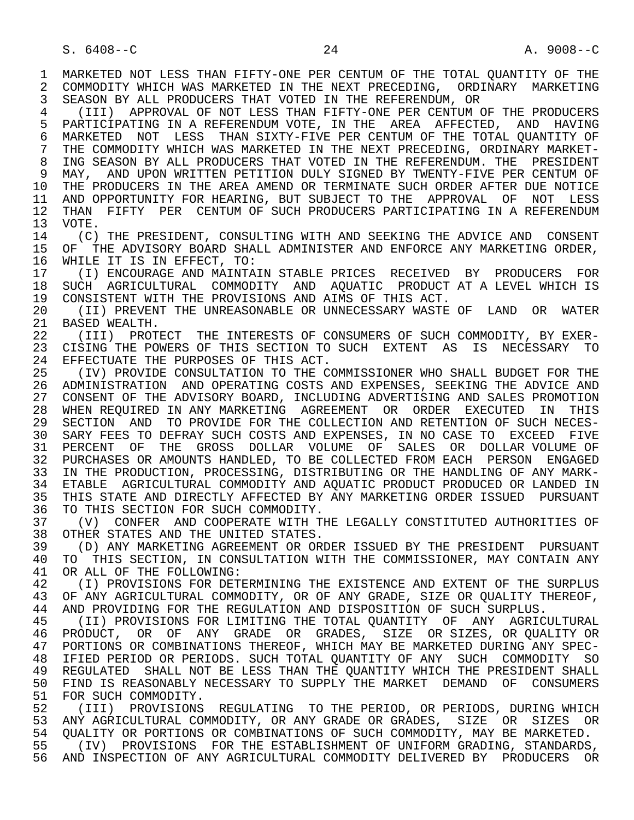1 MARKETED NOT LESS THAN FIFTY-ONE PER CENTUM OF THE TOTAL QUANTITY OF THE 2 COMMODITY WHICH WAS MARKETED IN THE NEXT PRECEDING. ORDINARY MARKETING 2 COMMODITY WHICH WAS MARKETED IN THE NEXT PRECEDING, ORDINARY MARKETING<br>3 SEASON BY ALL PRODUCERS THAT VOTED IN THE REFERENDUM, OR 3 SEASON BY ALL PRODUCERS THAT VOTED IN THE REFERENDUM, OR 4 (III) APPROVAL OF NOT LESS THAN FIFTY-ONE PER CENTUM OF THE PRODUCERS<br>5 PARTICIPATING IN A REFERENDUM VOTE, IN THE AREA AFFECTED, AND HAVING 5 PARTICIPATING IN A REFERENDUM VOTE, IN THE AREA AFFECTED, AND HAVING<br>6 MARKETED NOT LESS THAN SIXTY-FIVE PER CENTUM OF THE TOTAL OUANTITY OF 6 MARKETED NOT LESS THAN SIXTY-FIVE PER CENTUM OF THE TOTAL QUANTITY OF<br>7 THE COMMODITY WHICH WAS MARKETED IN THE NEXT PRECEDING, ORDINARY MARKET- 7 THE COMMODITY WHICH WAS MARKETED IN THE NEXT PRECEDING, ORDINARY MARKET- 8 ING SEASON BY ALL PRODUCERS THAT VOTED IN THE REFERENDUM. THE PRESIDENT 8 MAY, AND UPON WRITTEN PETITION DULY SIGNED BY TWENTY-FIVE PER CENTUM OF 9 MAY, AND UPON WRITTEN PETITION DULY SIGNED BY TWENTY-FIVE PER CENTUM OF<br>10 THE PRODUCERS IN THE AREA AMEND OR TERMINATE SUCH ORDER AFTER DUE NOTICE 10 THE PRODUCERS IN THE AREA AMEND OR TERMINATE SUCH ORDER AFTER DUE NOTICE<br>11 AND OPPORTUNITY FOR HEARING, BUT SUBJECT TO THE APPROVAL OF NOT LESS 11 AND OPPORTUNITY FOR HEARING, BUT SUBJECT TO THE APPROVAL OF NOT LESS<br>12 THAN FIFTY PER CENTUM OF SUCH PRODUCERS PARTICIPATING IN A REFERENDUM 12 THAN FIFTY PER CENTUM OF SUCH PRODUCERS PARTICIPATING IN A REFERENDUM 13 VOTE.  $13$  VOTE.<br> $14$  (C) 14 (C) THE PRESIDENT, CONSULTING WITH AND SEEKING THE ADVICE AND CONSENT<br>15 OF THE ADVISORY BOARD SHALL ADMINISTER AND ENFORCE ANY MARKETING ORDER, 15 OF THE ADVISORY BOARD SHALL ADMINISTER AND ENFORCE ANY MARKETING ORDER,<br>16 WHILE IT IS IN EFFECT, TO: 16 WHILE IT IS IN EFFECT, TO:<br>17 (I) ENCOURAGE AND MAINTA 17 (I) ENCOURAGE AND MAINTAIN STABLE PRICES RECEIVED BY PRODUCERS FOR 18 SUCH AGRICULTURAL COMMODITY AND AQUATIC PRODUCT AT A LEVEL WHICH IS<br>19 CONSISTENT WITH THE PROVISIONS AND AIMS OF THIS ACT. 19 CONSISTENT WITH THE PROVISIONS AND AIMS OF THIS ACT.<br>20 (II) PREVENT THE UNREASONABLE OR UNNECESSARY WASTE 20 (II) PREVENT THE UNREASONABLE OR UNNECESSARY WASTE OF LAND OR WATER<br>21 BASED WEALTH. 21 BASED WEALTH.<br>22 (III) PROT 22 (III) PROTECT THE INTERESTS OF CONSUMERS OF SUCH COMMODITY, BY EXER-<br>23 CISING THE POWERS OF THIS SECTION TO SUCH EXTENT AS IS NECESSARY TO 23 CISING THE POWERS OF THIS SECTION TO SUCH EXTENT AS IS NECESSARY TO 24 EFFECTUATE THE PURPOSES OF THIS ACT.<br>25 (IV) PROVIDE CONSULTATION TO THE C 25 (IV) PROVIDE CONSULTATION TO THE COMMISSIONER WHO SHALL BUDGET FOR THE 26 ADMINISTRATION AND OPERATING COSTS AND EXPENSES, SEEKING THE ADVICE AND 27 CONSENT OF THE ADVISORY BOARD, INCLUDING ADVERTISING AND SALES PROMOTION 28 WHEN REQUIRED IN ANY MARKETING AGREEMENT OR ORDER EXECUTED IN THIS 29 SECTION AND TO PROVIDE FOR THE COLLECTION AND RETENTION OF SUCH NECES- 30 SARY FEES TO DEFRAY SUCH COSTS AND EXPENSES, IN NO CASE TO EXCEED FIVE 31 PERCENT OF THE GROSS DOLLAR VOLUME OF SALES OR DOLLAR VOLUME OF 32 PURCHASES OR AMOUNTS HANDLED. TO BE COLLECTED FROM EACH PERSON ENGAGED 32 PURCHASES OR AMOUNTS HANDLED, TO BE COLLECTED FROM EACH PERSON ENGAGED<br>33 IN THE PRODUCTION, PROCESSING, DISTRIBUTING OR THE HANDLING OF ANY MARK-33 IN THE PRODUCTION, PROCESSING, DISTRIBUTING OR THE HANDLING OF ANY MARK-<br>34 ETABLE AGRICULTURAL COMMODITY AND AOUATIC PRODUCT PRODUCED OR LANDED IN 34 ETABLE AGRICULTURAL COMMODITY AND AQUATIC PRODUCT PRODUCED OR LANDED IN<br>35 THIS STATE AND DIRECTLY AFFECTED BY ANY MARKETING ORDER ISSUED PURSUANT 35 THIS STATE AND DIRECTLY AFFECTED BY ANY MARKETING ORDER ISSUED PURSUANT<br>36 TO THIS SECTION FOR SUCH COMMODITY. TO THIS SECTION FOR SUCH COMMODITY. 37 (V) CONFER AND COOPERATE WITH THE LEGALLY CONSTITUTED AUTHORITIES OF 38 OTHER STATES AND THE UNITED STATES.<br>39 (D) ANY MARKETING AGREEMENT OR OR 39 (D) ANY MARKETING AGREEMENT OR ORDER ISSUED BY THE PRESIDENT PURSUANT<br>40 TO THIS SECTION, IN CONSULTATION WITH THE COMMISSIONER, MAY CONTAIN ANY 40 TO THIS SECTION, IN CONSULTATION WITH THE COMMISSIONER, MAY CONTAIN ANY 41 OR ALL OF THE FOLLOWING: 41 OR ALL OF THE FOLLOWING:<br>42 (I) PROVISIONS FOR DET 42 (I) PROVISIONS FOR DETERMINING THE EXISTENCE AND EXTENT OF THE SURPLUS<br>43 OF ANY AGRICULTURAL COMMODITY, OR OF ANY GRADE, SIZE OR OUALITY THEREOF, 43 OF ANY AGRICULTURAL COMMODITY, OR OF ANY GRADE, SIZE OR QUALITY THEREOF,<br>44 AND PROVIDING FOR THE REGULATION AND DISPOSITION OF SUCH SURPLUS. 44 AND PROVIDING FOR THE REGULATION AND DISPOSITION OF SUCH SURPLUS.<br>45 (II) PROVISIONS FOR LIMITING THE TOTAL OUANTITY OF ANY AGRIC (II) PROVISIONS FOR LIMITING THE TOTAL OUANTITY OF ANY AGRICULTURAL 46 PRODUCT, OR OF ANY GRADE OR GRADES, SIZE OR SIZES, OR QUALITY OR<br>47 PORTIONS OR COMBINATIONS THEREOF, WHICH MAY BE MARKETED DURING ANY SPEC- 47 PORTIONS OR COMBINATIONS THEREOF, WHICH MAY BE MARKETED DURING ANY SPEC- 48 IFIED PERIOD OR PERIODS. SUCH TOTAL QUANTITY OF ANY SUCH COMMODITY SO<br>49 REGULATED SHALL NOT BE LESS THAN THE OUANTITY WHICH THE PRESIDENT SHALL 49 REGULATED SHALL NOT BE LESS THAN THE QUANTITY WHICH THE PRESIDENT SHALL<br>50 FIND IS REASONABLY NECESSARY TO SUPPLY THE MARKET DEMAND OF CONSUMERS 50 FIND IS REASONABLY NECESSARY TO SUPPLY THE MARKET DEMAND OF CONSUMERS 51 FOR SUCH COMMODITY.<br>52 (III) PROVISIONS (III) PROVISIONS REGULATING TO THE PERIOD, OR PERIODS, DURING WHICH 53 ANY AGRICULTURAL COMMODITY, OR ANY GRADE OR GRADES, SIZE OR SIZES OR<br>54 OUALITY OR PORTIONS OR COMBINATIONS OF SUCH COMMODITY, MAY BE MARKETED. 54 QUALITY OR PORTIONS OR COMBINATIONS OF SUCH COMMODITY, MAY BE MARKETED.<br>55 (IV) PROVISIONS FOR THE ESTABLISHMENT OF UNIFORM GRADING, STANDARDS (IV) PROVISIONS FOR THE ESTABLISHMENT OF UNIFORM GRADING, STANDARDS, 56 AND INSPECTION OF ANY AGRICULTURAL COMMODITY DELIVERED BY PRODUCERS OR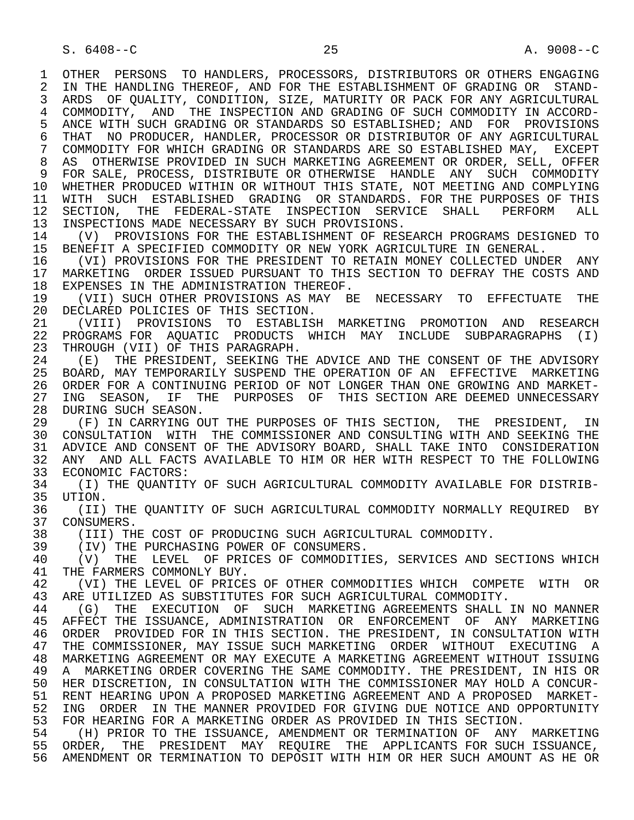1 OTHER PERSONS TO HANDLERS, PROCESSORS, DISTRIBUTORS OR OTHERS ENGAGING<br>2 IN THE HANDLING THEREOF, AND FOR THE ESTABLISHMENT OF GRADING OR STAND-2 IN THE HANDLING THEREOF, AND FOR THE ESTABLISHMENT OF GRADING OR STAND-<br>3 ARDS OF OUALITY, CONDITION, SIZE, MATURITY OR PACK FOR ANY AGRICULTURAL 3 ARDS OF QUALITY, CONDITION, SIZE, MATURITY OR PACK FOR ANY AGRICULTURAL 4 COMMODITY, AND THE INSPECTION AND GRADING OF SUCH COMMODITY IN ACCORD-<br>5 ANCE WITH SUCH GRADING OR STANDARDS SO ESTABLISHED; AND FOR PROVISIONS 5 ANCE WITH SUCH GRADING OR STANDARDS SO ESTABLISHED; AND FOR PROVISIONS<br>6 THAT NO PRODUCER, HANDLER, PROCESSOR OR DISTRIBUTOR OF ANY AGRICULTURAL 6 THAT NO PRODUCER, HANDLER, PROCESSOR OR DISTRIBUTOR OF ANY AGRICULTURAL<br>7 COMMODITY FOR WHICH GRADING OR STANDARDS ARE SO ESTABLISHED MAY, EXCEPT 7 COMMODITY FOR WHICH GRADING OR STANDARDS ARE SO ESTABLISHED MAY, EXCEPT 8 AS OTHERWISE PROVIDED IN SUCH MARKETING AGREEMENT OR ORDER, SELL, OFFER 9 FOR SALE, PROCESS, DISTRIBUTE OR OTHERWISE HANDLE ANY SUCH COMMODITY<br>10 WHETHER PRODUCED WITHIN OR WITHOUT THIS STATE, NOT MEETING AND COMPLYING 10 WHETHER PRODUCED WITHIN OR WITHOUT THIS STATE, NOT MEETING AND COMPLYING<br>11 WITH SUCH ESTABLISHED GRADING OR STANDARDS, FOR THE PURPOSES OF THIS 11 WITH SUCH ESTABLISHED GRADING OR STANDARDS. FOR THE PURPOSES OF THIS<br>12 SECTION, THE FEDERAL-STATE INSPECTION SERVICE SHALL PERFORM ALL 12 SECTION, THE FEDERAL-STATE INSPECTION SERVICE SHALL PERFORM ALL<br>13 INSPECTIONS MADE-NECESSARY-BY-SUCH-PROVISIONS. 13 INSPECTIONS MADE NECESSARY BY SUCH PROVISIONS.<br>14 (V) PROVISIONS FOR THE ESTABLISHMENT OF RES 14 (V) PROVISIONS FOR THE ESTABLISHMENT OF RESEARCH PROGRAMS DESIGNED TO<br>15 BENEFIT A SPECIFIED COMMODITY OR NEW YORK AGRICULTURE IN GENERAL. 15 BENEFIT A SPECIFIED COMMODITY OR NEW YORK AGRICULTURE IN GENERAL.<br>16 (VI) PROVISIONS FOR THE PRESIDENT TO RETAIN MONEY COLLECTED UND 16 The UNIM PROVISIONS FOR THE PRESIDENT TO RETAIN MONEY COLLECTED UNDER ANY<br>17 MARKETING ORDER ISSUED PURSUANT TO THIS SECTION TO DEFRAY THE COSTS AND 17 MARKETING ORDER ISSUED PURSUANT TO THIS SECTION TO DEFRAY THE COSTS AND 18 EXPENSES IN THE ADMINISTRATION THEREOF. 18 EXPENSES IN THE ADMINISTRATION THEREOF.<br>19 (VII) SUCH OTHER PROVISIONS AS MAY BE 19 (VII) SUCH OTHER PROVISIONS AS MAY BE NECESSARY TO EFFECTUATE THE 20 DECLARED POLICIES OF THIS SECTION. 20 DECLARED POLICIES OF THIS SECTION.<br>21 (VIII) PROVISIONS TO ESTABLISE 21 (VIII) PROVISIONS TO ESTABLISH MARKETING PROMOTION AND RESEARCH 22 PROGRAMS FOR AQUATIC PRODUCTS WHICH MAY INCLUDE SUBPARAGRAPHS (I)<br>23 THROUGH (VII) OF THIS PARAGRAPH. THROUGH (VII) OF THIS PARAGRAPH. 24 (E) THE PRESIDENT, SEEKING THE ADVICE AND THE CONSENT OF THE ADVISORY<br>25 BOARD, MAY TEMPORARILY SUSPEND THE OPERATION OF AN EFFECTIVE MARKETING 25 BOARD, MAY TEMPORARILY SUSPEND THE OPERATION OF AN EFFECTIVE MARKETING 26 ORDER FOR A CONTINUING PERIOD OF NOT LONGER THAN ONE GROWING AND MARKET-<br>27 ING SEASON, IF THE PURPOSES OF THIS SECTION ARE DEEMED UNNECESSARY 27 ING SEASON, IF THE PURPOSES OF THIS SECTION ARE DEEMED UNNECESSARY<br>28 DURING SUCH SEASON. 28 DURING SUCH SEASON.<br>29 (F) IN CARRYING O 29 (F) IN CARRYING OUT THE PURPOSES OF THIS SECTION, THE PRESIDENT, IN<br>30 CONSULTATION WITH THE COMMISSIONER AND CONSULTING WITH AND SEEKING THE 30 CONSULTATION WITH THE COMMISSIONER AND CONSULTING WITH AND SEEKING THE<br>31 ADVICE AND CONSENT OF THE ADVISORY BOARD, SHALL TAKE INTO CONSIDERATION 31 ADVICE AND CONSENT OF THE ADVISORY BOARD, SHALL TAKE INTO CONSIDERATION<br>32 ANY AND ALL FACTS AVAILABLE TO HIM OR HER WITH RESPECT TO THE FOLLOWING 32 ANY AND ALL FACTS AVAILABLE TO HIM OR HER WITH RESPECT TO THE FOLLOWING 33 ECONOMIC FACTORS: 33 ECONOMIC FACTORS:<br>34 (I) THE OUANTITY 34 (I) THE QUANTITY OF SUCH AGRICULTURAL COMMODITY AVAILABLE FOR DISTRIB-<br>35 UTION. 35 UTION.<br>36 (II) 36 (II) THE QUANTITY OF SUCH AGRICULTURAL COMMODITY NORMALLY REQUIRED BY<br>37 CONSUMERS. 37 CONSUMERS.<br>38 (III) THI 38 (III) THE COST OF PRODUCING SUCH AGRICULTURAL COMMODITY.<br>39 (IV) THE PURCHASING POWER OF CONSUMERS. 39 (IV) THE PURCHASING POWER OF CONSUMERS.<br>40 (V) THE LEVEL OF PRICES OF COMMODITI 40 (V) THE LEVEL OF PRICES OF COMMODITIES, SERVICES AND SECTIONS WHICH 41 THE FARMERS COMMONLY BUY. 41 THE FARMERS COMMONLY BUY.<br>42 (VI) THE LEVEL OF PRICE 42 (VI) THE LEVEL OF PRICES OF OTHER COMMODITIES WHICH COMPETE WITH OR<br>43 ARE UTILIZED AS SUBSTITUTES FOR SUCH AGRICULTURAL COMMODITY 43 ARE UTILIZED AS SUBSTITUTES FOR SUCH AGRICULTURAL COMMODITY.<br>44 (G) THE EXECUTION OF SUCH MARKETING AGREEMENTS SHALL 44 (G) THE EXECUTION OF SUCH MARKETING AGREEMENTS SHALL IN NO MANNER<br>45 AFFECT THE ISSUANCE, ADMINISTRATION OR ENFORCEMENT OF ANY MARKETING 45 AFFECT THE ISSUANCE, ADMINISTRATION OR ENFORCEMENT OF ANY MARKETING 46 ORDER PROVIDED FOR IN THIS SECTION. THE PRESIDENT, IN CONSULTATION WITH 47 THE COMMISSIONER, MAY ISSUE SUCH MARKETING ORDER WITHOUT EXECUTING A<br>48 MARKETING AGREEMENT OR MAY EXECUTE A MARKETING AGREEMENT WITHOUT ISSUING 48 MARKETING AGREEMENT OR MAY EXECUTE A MARKETING AGREEMENT WITHOUT ISSUING<br>49 A MARKETING ORDER COVERING THE SAME COMMODITY. THE PRESIDENT, IN HIS OR 49 A MARKETING ORDER COVERING THE SAME COMMODITY. THE PRESIDENT, IN HIS OR<br>50 HER DISCRETION, IN CONSULTATION WITH THE COMMISSIONER MAY HOLD A CONCUR-50 HER DISCRETION, IN CONSULTATION WITH THE COMMISSIONER MAY HOLD A CONCUR-<br>51 RENT HEARING UPON A PROPOSED MARKETING AGREEMENT AND A PROPOSED MARKET-51 RENT HEARING UPON A PROPOSED MARKETING AGREEMENT AND A PROPOSED MARKET-<br>52 ING ORDER IN THE MANNER PROVIDED FOR GIVING DUE NOTICE AND OPPORTUNITY 52 ING ORDER IN THE MANNER PROVIDED FOR GIVING DUE NOTICE AND OPPORTUNITY<br>53 FOR HEARING FOR A MARKETING ORDER AS PROVIDED IN THIS SECTION. 53 FOR HEARING FOR A MARKETING ORDER AS PROVIDED IN THIS SECTION.<br>54 The Prior to the Issuance, amendment or termination of ANY 54 (H) PRIOR TO THE ISSUANCE, AMENDMENT OR TERMINATION OF ANY MARKETING<br>55 ORDER, THE PRESIDENT MAY REOUIRE THE APPLICANTS FOR SUCH ISSUANCE, 55 ORDER, THE PRESIDENT MAY REQUIRE THE APPLICANTS FOR SUCH ISSUANCE, 56 AMENDMENT OR TERMINATION TO DEPOSIT WITH HIM OR HER SUCH AMOUNT AS HE OR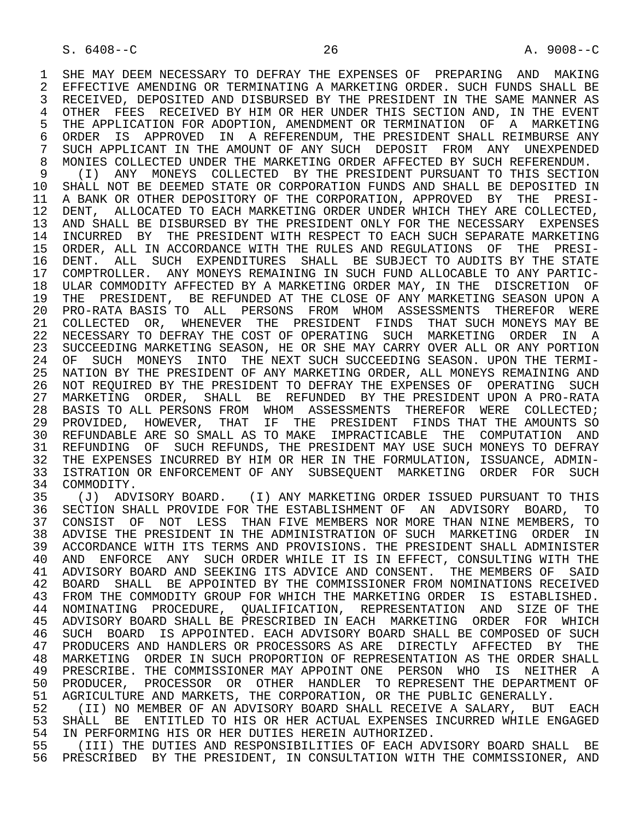1 SHE MAY DEEM NECESSARY TO DEFRAY THE EXPENSES OF PREPARING AND MAKING<br>2 EFFECTIVE AMENDING OR TERMINATING A MARKETING ORDER. SUCH FUNDS SHALL BE 2 EFFECTIVE AMENDING OR TERMINATING A MARKETING ORDER. SUCH FUNDS SHALL BE<br>3 RECEIVED, DEPOSITED AND DISBURSED BY THE PRESIDENT IN THE SAME MANNER AS 3 RECEIVED, DEPOSITED AND DISBURSED BY THE PRESIDENT IN THE SAME MANNER AS 4 OTHER FEES RECEIVED BY HIM OR HER UNDER THIS SECTION AND, IN THE EVENT<br>5 THE APPLICATION FOR ADOPTION, AMENDMENT OR TERMINATION OF A MARKETING 5 THE APPLICATION FOR ADOPTION, AMENDMENT OR TERMINATION OF A MARKETING<br>6 ORDER IS APPROVED IN A REFERENDUM, THE PRESIDENT SHALL REIMBURSE ANY 6 ORDER IS APPROVED IN A REFERENDUM, THE PRESIDENT SHALL REIMBURSE ANY<br>7 SUCH APPLICANT IN THE AMOUNT OF ANY SUCH DEPOSIT FROM ANY UNEXPENDED 7 SUCH APPLICANT IN THE AMOUNT OF ANY SUCH DEPOSIT FROM ANY UNEXPENDED<br>8 MONTES COLLECTED UNDER THE MARKETING ORDER AFFECTED BY SUCH REFERENDUM 8 MONIES COLLECTED UNDER THE MARKETING ORDER AFFECTED BY SUCH REFERENDUM.<br>9 (I) ANY MONEYS COLLECTED BY THE PRESIDENT PURSUANT TO THIS SECTION 9 (I) ANY MONEYS COLLECTED BY THE PRESIDENT PURSUANT TO THIS SECTION 10 SHALL NOT BE DEEMED STATE OR CORPORATION FUNDS AND SHALL BE DEPOSITED IN<br>11 A BANK OR OTHER DEPOSITORY OF THE CORPORATION, APPROVED BY THE PRESI-11 A BANK OR OTHER DEPOSITORY OF THE CORPORATION, APPROVED BY THE PRESI-<br>12 DENT, ALLOCATED TO EACH MARKETING ORDER UNDER WHICH THEY ARE COLLECTED, 12 DENT, ALLOCATED TO EACH MARKETING ORDER UNDER WHICH THEY ARE COLLECTED,<br>13 AND SHALL BE DISBURSED BY THE PRESIDENT ONLY FOR THE NECESSARY EXPENSES 13 AND SHALL BE DISBURSED BY THE PRESIDENT ONLY FOR THE NECESSARY EXPENSES<br>14 INCURRED. BY THE PRESIDENT WITH RESPECT TO EACH SUCH SEPARATE MARKETING 14 INCURRED BY THE PRESIDENT WITH RESPECT TO EACH SUCH SEPARATE MARKETING 15 ORDER, ALL IN ACCORDANCE WITH THE RULES AND REGULATIONS OF THE PRESI-<br>16 DENT. ALL SUCH EXPENDITURES SHALL BE SUBJECT TO AUDITS BY THE STATE 16 DENT. ALL SUCH EXPENDITURES SHALL BE SUBJECT TO AUDITS BY THE STATE<br>17 COMPTROLLER. ANY MONEYS REMAINING IN SUCH FUND ALLOCABLE TO ANY PARTIC-17 COMPTROLLER. ANY MONEYS REMAINING IN SUCH FUND ALLOCABLE TO ANY PARTIC-<br>18 ULAR COMMODITY AFFECTED BY A MARKETING ORDER MAY, IN THE DISCRETION OF 18 ULAR COMMODITY AFFECTED BY A MARKETING ORDER MAY, IN THE DISCRETION OF 19 THE PRESIDENT, BE REFUNDED AT THE CLOSE OF ANY MARKETING SEASON UPON A 20 PRO-RATA BASIS TO ALL PERSONS FROM WHOM ASSESSMENTS THEREFOR WERE 21 COLLECTED OR, WHENEVER THE PRESIDENT FINDS THAT SUCH MONEYS MAY BE 22 NECESSARY TO DEFRAY THE COST OF OPERATING SUCH MARKETING ORDER IN A 23 SUCCEEDING MARKETING SEASON, HE OR SHE MAY CARRY OVER ALL OR ANY PORTION 24 OF SUCH MONEYS INTO THE NEXT SUCH SUCCEEDING SEASON. UPON THE TERMI-<br>25 NATION BY THE PRESIDENT OF ANY MARKETING ORDER, ALL MONEYS REMAINING AND 25 NATION BY THE PRESIDENT OF ANY MARKETING ORDER, ALL MONEYS REMAINING AND 26 NOT REQUIRED BY THE PRESIDENT TO DEFRAY THE EXPENSES OF OPERATING SUCH 27 MARKETING ORDER, SHALL BE REFUNDED BY THE PRESIDENT UPON A PRO-RATA 28 BASIS TO ALL PERSONS FROM WHOM ASSESSMENTS THEREFOR WERE COLLECTED; 29 PROVIDED, HOWEVER, THAT IF THE PRESIDENT FINDS THAT THE AMOUNTS SO 30 REFUNDABLE ARE SO SMALL AS TO MAKE IMPRACTICABLE THE COMPUTATION AND 31 REFUNDING OF SUCH REFUNDS, THE PRESIDENT MAY USE SUCH MONEYS TO DEFRAY<br>32 THE EXPENSES INCURRED BY HIM OR HER IN THE FORMULATION, ISSUANCE, ADMIN-32 THE EXPENSES INCURRED BY HIM OR HER IN THE FORMULATION, ISSUANCE, ADMIN-<br>33 ISTRATION OR ENFORCEMENT OF ANY SUBSEOUENT MARKETING ORDER FOR SUCH 33 ISTRATION OR ENFORCEMENT OF ANY SUBSEQUENT MARKETING ORDER FOR SUCH

34 COMMODITY.<br>35 (J) ADV 35 (J) ADVISORY BOARD. (I) ANY MARKETING ORDER ISSUED PURSUANT TO THIS<br>36 SECTION SHALL PROVIDE FOR THE ESTABLISHMENT OF AN ADVISORY BOARD. TO 36 SECTION SHALL PROVIDE FOR THE ESTABLISHMENT OF AN ADVISORY BOARD, TO 37 CONSIST OF NOT LESS THAN FIVE MEMBERS NOR MORE THAN NINE MEMBERS, TO<br>38 ADVISE THE PRESIDENT IN THE ADMINISTRATION OF SUCH MARKETING ORDER IN 38 ADVISE THE PRESIDENT IN THE ADMINISTRATION OF SUCH MARKETING ORDER IN<br>39 ACCORDANCE WITH ITS TERMS AND PROVISIONS. THE PRESIDENT SHALL ADMINISTER ACCORDANCE WITH ITS TERMS AND PROVISIONS. THE PRESIDENT SHALL ADMINISTER 40 AND ENFORCE ANY SUCH ORDER WHILE IT IS IN EFFECT, CONSULTING WITH THE 41 ADVISORY BOARD AND SEEKING ITS ADVICE AND CONSENT. THE MEMBERS OF SAID 42 BOARD SHALL BE APPOINTED BY THE COMMISSIONER FROM NOMINATIONS RECEIVED<br>43 FROM THE COMMODITY GROUP FOR WHICH THE MARKETING ORDER IS ESTABLISHED. FROM THE COMMODITY GROUP FOR WHICH THE MARKETING ORDER IS ESTABLISHED. 44 NOMINATING PROCEDURE, QUALIFICATION, REPRESENTATION AND SIZE OF THE 45 ADVISORY BOARD SHALL BE PRESCRIBED IN EACH MARKETING ORDER FOR WHICH 46 SUCH BOARD IS APPOINTED. EACH ADVISORY BOARD SHALL BE COMPOSED OF SUCH 47 PRODUCERS AND HANDLERS OR PROCESSORS AS ARE DIRECTLY AFFECTED BY THE 47 PRODUCERS AND HANDLERS OR PROCESSORS AS ARE DIRECTLY AFFECTED BY THE 48 MARKETING ORDER IN SUCH PROPORTION OF REPRESENTATION AS THE ORDER SHALL<br>49 PRESCRIBE. THE COMMISSIONER MAY APPOINT ONE PERSON WHO IS NEITHER A 49 PRESCRIBE. THE COMMISSIONER MAY APPOINT ONE PERSON WHO IS NEITHER A<br>50 PRODUCER, PROCESSOR OR OTHER HANDLER TO REPRESENT THE DEPARTMENT OF 50 PRODUCER, PROCESSOR OR OTHER HANDLER TO REPRESENT THE DEPARTMENT OF<br>51 AGRICULTURE AND MARKETS, THE CORPORATION, OR THE PUBLIC GENERALLY. 51 AGRICULTURE AND MARKETS, THE CORPORATION, OR THE PUBLIC GENERALLY.<br>52 (II) NO MEMBER OF AN ADVISORY BOARD SHALL RECEIVE A SALARY. BUT

52 (II) NO MEMBER OF AN ADVISORY BOARD SHALL RECEIVE A SALARY, BUT EACH<br>53 SHALL BE ENTITLED TO HIS OR HER ACTUAL EXPENSES INCURRED WHILE ENGAGED 53 SHALL BE ENTITLED TO HIS OR HER ACTUAL EXPENSES INCURRED WHILE ENGAGED<br>54 IN PERFORMING HIS OR HER DUTIES HEREIN AUTHORIZED. 54 IN PERFORMING HIS OR HER DUTIES HEREIN AUTHORIZED.<br>55 (III) THE DUTIES AND RESPONSIBILITIES OF EACH ADY

 55 (III) THE DUTIES AND RESPONSIBILITIES OF EACH ADVISORY BOARD SHALL BE 56 PRESCRIBED BY THE PRESIDENT, IN CONSULTATION WITH THE COMMISSIONER, AND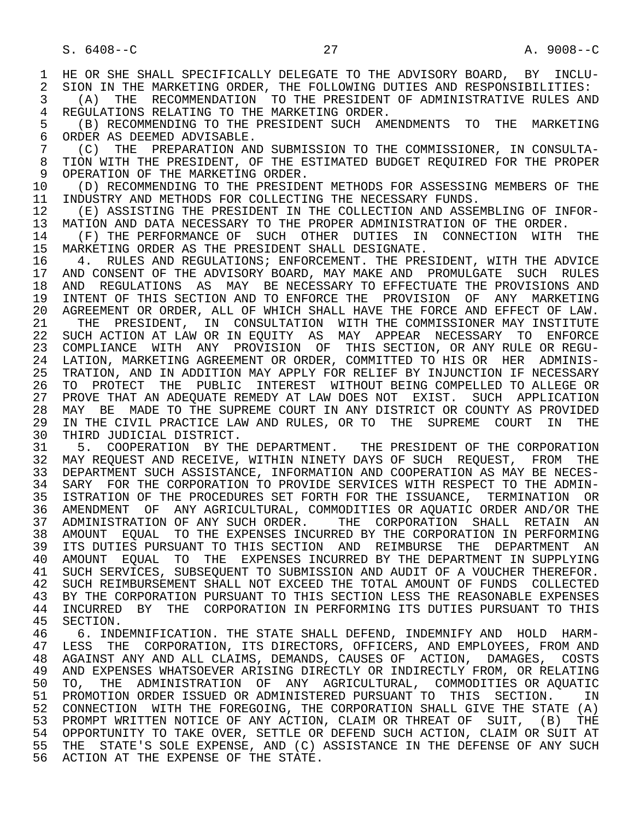1 HE OR SHE SHALL SPECIFICALLY DELEGATE TO THE ADVISORY BOARD, BY INCLU-<br>2 SION IN THE MARKETING ORDER, THE FOLLOWING DUTIES AND RESPONSIBILITIES: 2 SION IN THE MARKETING ORDER, THE FOLLOWING DUTIES AND RESPONSIBILITIES:<br>3 (A) THE RECOMMENDATION TO THE PRESIDENT OF ADMINISTRATIVE RULES ANI 3 (A) THE RECOMMENDATION TO THE PRESIDENT OF ADMINISTRATIVE RULES AND 4 REGULATIONS RELATING TO THE MARKETING ORDER 4 REGULATIONS RELATING TO THE MARKETING ORDER.<br>5 (B) RECOMMENDING TO THE PRESIDENT SUCH AM 5 (B) RECOMMENDING TO THE PRESIDENT SUCH AMENDMENTS TO THE MARKETING<br>6 ORDER AS DEEMED ADVISABLE. 6 ORDER AS DEEMED ADVISABLE.<br>7 (C) THE PREPARATION AN 7 (C) THE PREPARATION AND SUBMISSION TO THE COMMISSIONER, IN CONSULTA- 8 TION WITH THE PRESIDENT, OF THE ESTIMATED BUDGET REQUIRED FOR THE PROPER<br>9 OPERATION OF THE MARKETING ORDER. 9 OPERATION OF THE MARKETING ORDER.<br>10 (D) RECOMMENDING TO THE PRESIDE 10 (D) RECOMMENDING TO THE PRESIDENT METHODS FOR ASSESSING MEMBERS OF THE 11 INDUSTRY AND METHODS FOR COLLECTING THE NECESSARY FUNDS. 11 INDUSTRY AND METHODS FOR COLLECTING THE NECESSARY FUNDS.<br>12 (E) ASSISTING THE PRESIDENT IN THE COLLECTION AND ASSE 12 (E) ASSISTING THE PRESIDENT IN THE COLLECTION AND ASSEMBLING OF INFOR-<br>13 MATION AND DATA NECESSARY TO THE PROPER ADMINISTRATION OF THE ORDER. 13 MATION AND DATA NECESSARY TO THE PROPER ADMINISTRATION OF THE ORDER.<br>14 (F) THE PERFORMANCE OF SUCH OTHER DUTIES IN CONNECTION WITH 14 (F) THE PERFORMANCE OF SUCH OTHER DUTIES IN CONNECTION WITH THE THE SUCH OTHER SUCH OTHER AS THE PRESIDENT SHALL DESIGNATE. 15 MARKETING ORDER AS THE PRESIDENT SHALL DESIGNATE.<br>16 4. RULES AND REGULATIONS; ENFORCEMENT. THE PRE 16 1. RULES AND REGULATIONS; ENFORCEMENT. THE PRESIDENT, WITH THE ADVICE<br>17 AND CONSENT OF THE ADVISORY BOARD, MAY MAKE AND PROMULGATE SUCH RULES 17 AND CONSENT OF THE ADVISORY BOARD, MAY MAKE AND PROMULGATE SUCH RULES<br>18 AND REGULATIONS AS MAY BE NECESSARY TO EFFECTUATE THE PROVISIONS AND 18 AND REGULATIONS AS MAY BE NECESSARY TO EFFECTUATE THE PROVISIONS AND 19 INTENT OF THIS SECTION AND TO ENFORCE THE PROVISION OF ANY MARKETING 19 INTENT OF THIS SECTION AND TO ENFORCE THE PROVISION OF ANY MARKETING<br>20 AGREEMENT OR ORDER, ALL OF WHICH SHALL HAVE THE FORCE AND EFFECT OF LAW. 20 AGREEMENT OR ORDER, ALL OF WHICH SHALL HAVE THE FORCE AND EFFECT OF LAW.<br>21 THE PRESIDENT, IN CONSULTATION WITH THE COMMISSIONER MAY INSTITUTE 21 THE PRESIDENT, IN CONSULTATION WITH THE COMMISSIONER MAY INSTITUTE<br>22 SUCH ACTION AT LAW OR IN EOUITY AS MAY APPEAR NECESSARY TO ENFORCE 22 SUCH ACTION AT LAW OR IN EQUITY AS MAY APPEAR NECESSARY TO ENFORCE<br>23 COMPLIANCE WITH ANY PROVISION OF THIS SECTION, OR ANY RULE OR REGU- 23 COMPLIANCE WITH ANY PROVISION OF THIS SECTION, OR ANY RULE OR REGU- 24 LATION, MARKETING AGREEMENT OR ORDER, COMMITTED TO HIS OR HER ADMINIS-<br>25 TRATION, AND IN ADDITION MAY APPLY FOR RELIEF BY INJUNCTION IF NECESSARY 25 TRATION, AND IN ADDITION MAY APPLY FOR RELIEF BY INJUNCTION IF NECESSARY 26 TO PROTECT THE PUBLIC INTEREST WITHOUT BEING COMPELLED TO ALLEGE OR<br>27 PROVE THAT AN ADEOUATE REMEDY AT LAW DOES NOT EXIST. SUCH APPLICATION 27 PROVE THAT AN ADEQUATE REMEDY AT LAW DOES NOT EXIST. SUCH APPLICATION<br>28 MAY BE MADE TO THE SUPREME COURT IN ANY DISTRICT OR COUNTY AS PROVIDED 28 MAY BE MADE TO THE SUPREME COURT IN ANY DISTRICT OR COUNTY AS PROVIDED<br>29 IN THE CIVIL PRACTICE LAW AND RULES, OR TO THE SUPREME COURT IN THE 29 IN THE CIVIL PRACTICE LAW AND RULES, OR TO THE SUPREME COURT IN THE 30 THIRD JUDICIAL DISTRICT. 30 THIRD JUDICIAL DISTRICT.<br>31 5. COOPERATION BY THI 31 5. COOPERATION BY THE DEPARTMENT. THE PRESIDENT OF THE CORPORATION<br>32 MAY REOUEST AND RECEIVE, WITHIN NINETY DAYS OF SUCH REOUEST, FROM THE 32 MAY REQUEST AND RECEIVE, WITHIN NINETY DAYS OF SUCH REQUEST, FROM THE<br>33 DEPARTMENT SUCH ASSISTANCE, INFORMATION AND COOPERATION AS MAY BE NECES- 33 DEPARTMENT SUCH ASSISTANCE, INFORMATION AND COOPERATION AS MAY BE NECES- 34 SARY FOR THE CORPORATION TO PROVIDE SERVICES WITH RESPECT TO THE ADMIN- 35 ISTRATION OF THE PROCEDURES SET FORTH FOR THE ISSUANCE, TERMINATION OR 36 AMENDMENT OF ANY AGRICULTURAL, COMMODITIES OR AQUATIC ORDER AND/OR THE 37 ADMINISTRATION OF ANY SUCH ORDER. THE CORPORATION SHALL RETAIN AN 38 AMOUNT EQUAL TO THE EXPENSES INCURRED BY THE CORPORATION IN PERFORMING<br>39 ITS DUTIES PURSUANT TO THIS SECTION AND REIMBURSE THE DEPARTMENT AN ITS DUTIES PURSUANT TO THIS SECTION AND REIMBURSE THE DEPARTMENT AN 40 AMOUNT EQUAL TO THE EXPENSES INCURRED BY THE DEPARTMENT IN SUPPLYING 41 SUCH SERVICES, SUBSEQUENT TO SUBMISSION AND AUDIT OF A VOUCHER THEREFOR.<br>42 SUCH REIMBURSEMENT SHALL NOT EXCEED THE TOTAL AMOUNT OF FUNDS COLLECTED 42 SUCH REIMBURSEMENT SHALL NOT EXCEED THE TOTAL AMOUNT OF FUNDS COLLECTED<br>43 BY THE CORPORATION PURSUANT TO THIS SECTION LESS THE REASONABLE EXPENSES 43 BY THE CORPORATION PURSUANT TO THIS SECTION LESS THE REASONABLE EXPENSES<br>44 INCURRED BY THE CORPORATION IN PERFORMING ITS DUTIES PURSUANT TO THIS 44 INCURRED BY THE CORPORATION IN PERFORMING ITS DUTIES PURSUANT TO THIS 45 SECTION. SECTION. 46 6. INDEMNIFICATION. THE STATE SHALL DEFEND, INDEMNIFY AND HOLD HARM-<br>47 LESS THE CORPORATION, ITS DIRECTORS, OFFICERS, AND EMPLOYEES, FROM AND LESS THE CORPORATION, ITS DIRECTORS, OFFICERS, AND EMPLOYEES, FROM AND 48 AGAINST ANY AND ALL CLAIMS, DEMANDS, CAUSES OF ACTION, DAMAGES, COSTS<br>49 AND EXPENSES WHATSOEVER ARISING DIRECTLY OR INDIRECTLY FROM, OR RELATING 49 AND EXPENSES WHATSOEVER ARISING DIRECTLY OR INDIRECTLY FROM, OR RELATING<br>50 TO, THE ADMINISTRATION OF ANY AGRICULTURAL, COMMODITIES OR AOUATIC 50 TO, THE ADMINISTRATION OF ANY AGRICULTURAL, COMMODITIES OR AQUATIC<br>51 PROMOTION ORDER ISSUED OR ADMINISTERED PURSUANT TO THIS SECTION. IN 51 PROMOTION ORDER ISSUED OR ADMINISTERED PURSUANT TO THIS SECTION. IN 52 CONNECTION WITH THE FOREGOING, THE CORPORATION SHALL GIVE THE STATE (A) 53 PROMPT WRITTEN NOTICE OF ANY ACTION, CLAIM OR THREAT OF SUIT, (B) THE 54 OPPORTUNITY TO TAKE OVER, SETTLE OR DEFEND SUCH ACTION, CLAIM OR SUIT AT 55 THE STATE'S SOLE EXPENSE, AND (C) ASSISTANCE IN THE DEFENSE OF ANY SUCH 56 ACTION AT THE EXPENSE OF THE STATE.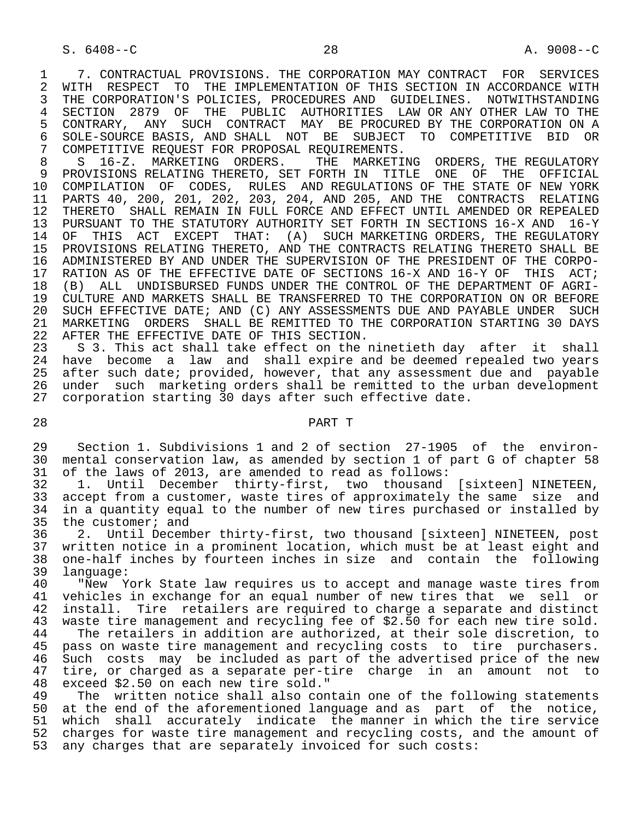1 7. CONTRACTUAL PROVISIONS. THE CORPORATION MAY CONTRACT FOR SERVICES<br>2 WITH RESPECT TO THE IMPLEMENTATION OF THIS SECTION IN ACCORDANCE WITH 2 WITH RESPECT TO THE IMPLEMENTATION OF THIS SECTION IN ACCORDANCE WITH<br>3 THE CORPORATION'S POLICIES, PROCEDURES AND GUIDELINES, NOTWITHSTANDING THE CORPORATION'S POLICIES, PROCEDURES AND GUIDELINES. NOTWITHSTANDING<br>SECTION 2879 OF THE PUBLIC AUTHORITIES LAW OR ANY OTHER LAW TO THE 4 SECTION 2879 OF THE PUBLIC AUTHORITIES LAW OR ANY OTHER LAW TO THE 5 CONTRARY, ANY SUCH CONTRACT MAY BE PROCURED BY THE CORPORATION ON A 5 CONTRARY, ANY SUCH CONTRACT MAY BE PROCURED BY THE CORPORATION ON A<br>6 SOLE-SOURCE BASIS, AND SHALL NOT BE SUBJECT TO COMPETITIVE BID OR 6 SOLE-SOURCE BASIS, AND SHALL NOT BE SUBJECT TO COMPETITIVE BID OR<br>7 COMPETITIVE REOUEST FOR PROPOSAL REOUIREMENTS. 7 COMPETITIVE REQUEST FOR PROPOSAL REQUIREMENTS.<br>8 S. 16-Z. MARKETING ORDERS. THE MARKETI

8 S 16-Z. MARKETING ORDERS. THE MARKETING ORDERS, THE REGULATORY<br>9 PROVISIONS RELATING THERETO, SET FORTH IN TITLE ONE OF THE OFFICIAL 9 PROVISIONS RELATING THERETO, SET FORTH IN TITLE ONE OF THE OFFICIAL<br>10 COMPILATION OF CODES, RULES AND REGULATIONS OF THE STATE OF NEW YORK 10 COMPILATION OF CODES, RULES AND REGULATIONS OF THE STATE OF NEW YORK<br>11 PARTS 40, 200, 201, 202, 203, 204, AND 205, AND THE CONTRACTS RELATING 11 PARTS 40, 200, 201, 202, 203, 204, AND 205, AND THE CONTRACTS RELATING<br>12 THERETO SHALL REMAIN IN FULL FORCE AND EFFECT UNTIL AMENDED OR REPEALED 12 THERETO SHALL REMAIN IN FULL FORCE AND EFFECT UNTIL AMENDED OR REPEALED<br>13 PURSUANT TO THE STATUTORY AUTHORITY SET FORTH IN SECTIONS 16-X AND 16-Y 13 PURSUANT TO THE STATUTORY AUTHORITY SET FORTH IN SECTIONS 16-X AND 16-Y<br>14 OF THIS ACT EXCEPT THAT: (A) SUCH MARKETING ORDERS, THE REGULATORY OF THIS ACT EXCEPT THAT: (A) SUCH MARKETING ORDERS, THE REGULATORY 15 PROVISIONS RELATING THERETO, AND THE CONTRACTS RELATING THERETO SHALL BE<br>16 ADMINISTERED BY AND UNDER THE SUPERVISION OF THE PRESIDENT OF THE CORPO-16 ADMINISTERED BY AND UNDER THE SUPERVISION OF THE PRESIDENT OF THE CORPO-<br>17 RATION AS OF THE EFFECTIVE DATE OF SECTIONS 16-X AND 16-Y OF THIS ACT; 17 RATION AS OF THE EFFECTIVE DATE OF SECTIONS 16-X AND 16-Y OF THIS ACT;<br>18 (B) ALL UNDISBURSED FUNDS UNDER THE CONTROL OF THE DEPARTMENT OF AGRI-18 (B) ALL UNDISBURSED FUNDS UNDER THE CONTROL OF THE DEPARTMENT OF AGRI-<br>19 CULTURE AND MARKETS SHALL BE TRANSFERRED TO THE CORPORATION ON OR BEFORE 19 CULTURE AND MARKETS SHALL BE TRANSFERRED TO THE CORPORATION ON OR BEFORE<br>20 SUCH EFFECTIVE DATE; AND (C) ANY ASSESSMENTS DUE AND PAYABLE UNDER SUCH 20 SUCH EFFECTIVE DATE; AND (C) ANY ASSESSMENTS DUE AND PAYABLE UNDER SUCH<br>21 MARKETING ORDERS SHALL BE REMITTED TO THE CORPORATION STARTING 30 DAYS 21 MARKETING ORDERS SHALL BE REMITTED TO THE CORPORATION STARTING 30 DAYS<br>22 AFTER THE EFFECTIVE DATE OF THIS SECTION. 22 AFTER THE EFFECTIVE DATE OF THIS SECTION.<br>23 S 3. This act shall take effect on the

23 S 3. This act shall take effect on the ninetieth day after it shall<br>24 have become a law and shall expire and be deemed repealed two vears 24 have become a law and shall expire and be deemed repealed two years<br>25 after such date; provided, however, that any assessment due and pavable after such date; provided, however, that any assessment due and payable 26 under such marketing orders shall be remitted to the urban development<br>27 corporation starting 30 days after such effective date. corporation starting 30 days after such effective date.

# 28 PART T

29 Section 1. Subdivisions 1 and 2 of section 27-1905 of the environ-<br>30 mental conservation law, as amended by section 1 of part G of chapter 58 30 mental conservation law, as amended by section 1 of part G of chapter 58<br>31 of the laws of 2013, are amended to read as follows: 31 of the laws of 2013, are amended to read as follows:<br>32 1. Until December thirty-first, two thousand

32 1. Until December thirty-first, two thousand [sixteen] NINETEEN,<br>33 accept from a customer, waste tires of approximately the same size and 33 accept from a customer, waste tires of approximately the same size and<br>34 in a quantity equal to the number of new tires purchased or installed by in a quantity equal to the number of new tires purchased or installed by 35 the customer; and<br>36 2. Until Deceml

 36 2. Until December thirty-first, two thousand [sixteen] NINETEEN, post 37 written notice in a prominent location, which must be at least eight and<br>38 one-half inches by fourteen inches in size and contain the following 38 one-half inches by fourteen inches in size and contain the following 39 language:<br>40 "New Y

40 The York State law requires us to accept and manage waste tires from<br>41 vehicles in exchange for an equal number of new tires that we sell or 41 vehicles in exchange for an equal number of new tires that we sell or<br>42 install. Tire retailers are required to charge a separate and distinct 42 install. Tire retailers are required to charge a separate and distinct<br>43 waste tire management and recycling fee of \$2.50 for each new tire sold. waste tire management and recycling fee of \$2.50 for each new tire sold. 44 The retailers in addition are authorized, at their sole discretion, to<br>45 pass on waste tire management and recycling costs to tire purchasers. pass on waste tire management and recycling costs to tire purchasers. 46 Such costs may be included as part of the advertised price of the new<br>47 tire, or charged as a separate per-tire charge in an amount not to 47 tire, or charged as a separate per-tire charge in an amount not to 48 exceed \$2.50 on each new tire sold." 48 exceed \$2.50 on each new tire sold."

The written notice shall also contain one of the following statements 50 at the end of the aforementioned language and as part of the notice, 51 which shall accurately indicate the manner in which the tire service 52 charges for waste tire management and recycling costs, and the amount of 53 any charges that are separately invoiced for such costs: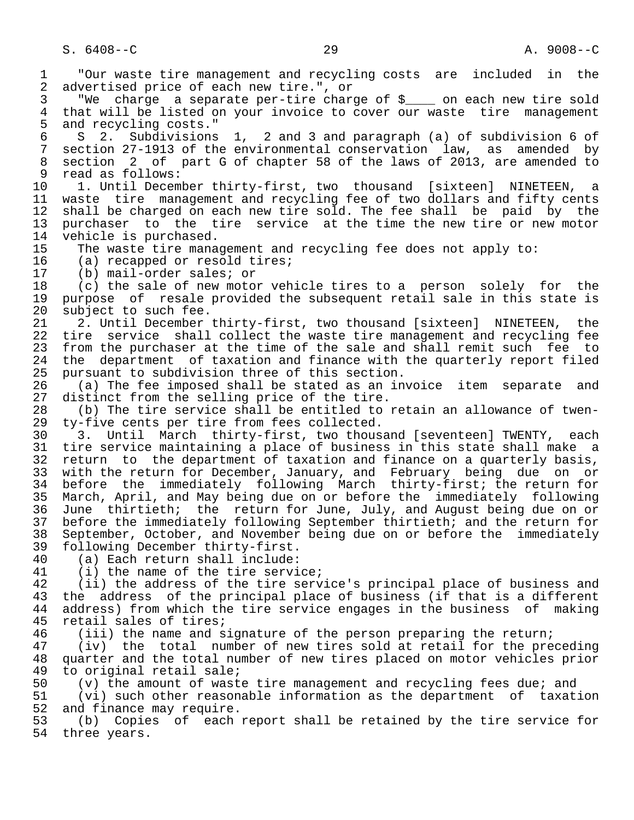1 "Our waste tire management and recycling costs are included in the<br>2 advertised price of each new tire.", or 2 advertised price of each new tire.", or<br>3 TWe charge a separate per-tire chard 3 The charge a separate per-tire charge of \$<sub>\_\_\_\_</sub> on each new tire sold<br>4 that will be listed on your invoice to cover our waste tire management 4 that will be listed on your invoice to cover our waste tire management<br>5 and recycling costs." 5 and recycling costs."<br>6 S 2. Subdivisions 6 S 2. Subdivisions 1, 2 and 3 and paragraph (a) of subdivision 6 of 7 section 27-1913 of the environmental conservation law, as amended by 8 section 2 of part G of chapter 58 of the laws of 2013, are amended to<br>9 read as follows: 9 read as follows:<br>10 1. Until Decem 10 1. Until December thirty-first, two thousand [sixteen] NINETEEN, a<br>11 waste tire management and recycling fee of two dollars and fifty cents 11 waste tire management and recycling fee of two dollars and fifty cents<br>12 shall be charged on each new tire sold. The fee shall be paid by the 12 shall be charged on each new tire sold. The fee shall be paid by the<br>13 purchaser to the tire service at the time the new tire or new motor 13 purchaser to the tire service at the time the new tire or new motor<br>14 vehicle is purchased. 14 vehicle is purchased.<br>15 The waste tire mana 15 The waste tire management and recycling fee does not apply to:<br>16 (a) recapped or resold tires; 16 (a) recapped or resold tires;<br>17 (b) mail-order sales; or 17 (b) mail-order sales; or<br>18 (c) the sale of new moto 18 (c) the sale of new motor vehicle tires to a person solely for the<br>19 purpose of resale provided the subsequent retail sale in this state is 19 purpose of resale provided the subsequent retail sale in this state is<br>20 subject to such fee. 20 subject to such fee.<br>21 2. Until December 21 2. Until December thirty-first, two thousand [sixteen] NINETEEN, the<br>22 tire service shall collect the waste tire management and recycling fee 22 tire service shall collect the waste tire management and recycling fee<br>23 from the purchaser at the time of the sale and shall remit such fee to from the purchaser at the time of the sale and shall remit such fee to 24 the department of taxation and finance with the quarterly report filed<br>25 pursuant to subdivision three of this section. pursuant to subdivision three of this section. 26 (a) The fee imposed shall be stated as an invoice item separate and<br>27 distinct from the selling price of the tire. 27 distinct from the selling price of the tire.<br>28 (b) The tire service shall be entitled to 28 (b) The tire service shall be entitled to retain an allowance of twen-<br>29 ty-five cents per tire from fees collected. 29 ty-five cents per tire from fees collected. 30 3. Until March thirty-first, two thousand [seventeen] TWENTY, each<br>31 tire service maintaining a place of business in this state shall make a 31 tire service maintaining a place of business in this state shall make a<br>32 return to the department of taxation and finance on a quarterly basis, 32 return to the department of taxation and finance on a quarterly basis,<br>33 with the return for December, January, and February being due on or 33 with the return for December, January, and February being due on or<br>34 before the immediately following March thirty-first; the return for 34 before the immediately following March thirty-first; the return for<br>35 March, April, and May being due on or before the immediately following 35 March, April, and May being due on or before the immediately following<br>36 June thirtieth; the return for June, July, and August being due on or June thirtieth; the return for June, July, and August being due on or 37 before the immediately following September thirtieth; and the return for<br>38 September, October, and November being due on or before the immediately 38 September, October, and November being due on or before the immediately<br>39 following December thirty-first. 39 following December thirty-first.<br>40 (a) Each return shall include: 40 (a) Each return shall include:<br>41 (i) the name of the tire servi 41 (i) the name of the tire service;<br>42 (ii) the address of the tire serv 42 (ii) the address of the tire service's principal place of business and<br>43 the address of the principal place of business (if that is a different 43 the address of the principal place of business (if that is a different<br>44 address) from which the tire service engages in the business of making 44 address) from which the tire service engages in the business of making<br>45 retail sales of tires; retail sales of tires; 46 (iii) the name and signature of the person preparing the return;<br>47 (iv) the total number of new tires sold at retail for the pre (iv) the total number of new tires sold at retail for the preceding 48 quarter and the total number of new tires placed on motor vehicles prior<br>49 to original retail sale; 49 to original retail sale;<br>50 (v) the amount of wast 50 (v) the amount of waste tire management and recycling fees due; and<br>51 (vi) such other reasonable information as the department of taxat 51 (vi) such other reasonable information as the department of taxation<br>52 and finance may require. 52 and finance may require.<br>53 (b) Copies of each 53 (b) Copies of each report shall be retained by the tire service for<br>54 three vears. three years.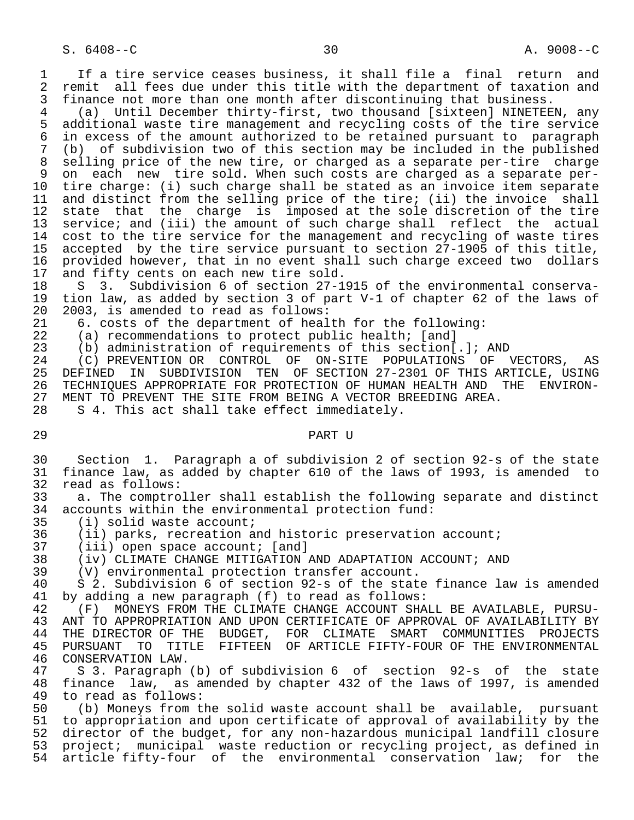1 If a tire service ceases business, it shall file a final return and<br>2 remit all fees due under this title with the department of taxation and 2 remit all fees due under this title with the department of taxation and<br>3 finance not more than one month after discontinuing that business. 3 finance not more than one month after discontinuing that business.<br>4 (a) Until December thirty-first, two thousand [sixteen] NINETEE]

4 (a) Until December thirty-first, two thousand [sixteen] NINETEEN, any<br>5 additional waste tire management and recycling costs of the tire service 5 additional waste tire management and recycling costs of the tire service<br>6 in excess of the amount authorized to be retained pursuant to paragraph 6 in excess of the amount authorized to be retained pursuant to paragraph<br>7 (b) of subdivision two of this section may be included in the published 7 (b) of subdivision two of this section may be included in the published 8 selling price of the new tire, or charged as a separate per-tire charge<br>8 on each new tire sold. When such costs are charged as a separate per-9 on each new tire sold. When such costs are charged as a separate per-<br>10 tire charge: (i) such charge shall be stated as an invoice item separate 10 tire charge: (i) such charge shall be stated as an invoice item separate<br>11 and distinct from the selling price of the tire; (ii) the invoice shall 11 and distinct from the selling price of the tire; (ii) the invoice shall<br>12 state that the charge is imposed at the sole discretion of the tire 12 state that the charge is imposed at the sole discretion of the tire 13 service; and (iii) the amount of such charge shall reflect the actual 14 cost to the tire service for the management and recycling of waste tires 15 accepted by the tire service pursuant to section 27-1905 of this title,<br>16 provided however, that in no event shall such charge exceed two dollars 16 provided however, that in no event shall such charge exceed two dollars<br>17 and fifty cents on each new tire sold. 17 and fifty cents on each new tire sold.<br>18 S 3. Subdivision 6 of section 27-1

18 S 3. Subdivision 6 of section 27-1915 of the environmental conserva-<br>19 tion law, as added by section 3 of part V-1 of chapter 62 of the laws of 19 tion law, as added by section 3 of part V-1 of chapter 62 of the laws of 20 2003, is amended to read as follows:<br>21 6. costs of the department of heal

21 6. costs of the department of health for the following:<br>22 (a) recommendations to protect public health; [and]

22 (a) recommendations to protect public health; [and]<br>23 (b) administration of requirements of this section[

23 (b) administration of requirements of this section[.]; AND<br>24 (C) PREVENTION OR CONTROL OF ON-SITE POPULATIONS OF

24 (C) PREVENTION OR CONTROL OF ON-SITE POPULATIONS OF VECTORS, AS<br>25 DEFINED IN SUBDIVISION TEN OF SECTION 27-2301 OF THIS ARTICLE, USING 25 DEFINED IN SUBDIVISION TEN OF SECTION 27-2301 OF THIS ARTICLE, USING 26 TECHNIQUES APPROPRIATE FOR PROTECTION OF HUMAN HEALTH AND THE ENVIRON-<br>27 MENT TO PREVENT THE SITE FROM BEING A VECTOR BREEDING AREA. 27 MENT TO PREVENT THE SITE FROM BEING A VECTOR BREEDING AREA.<br>28 S 4. This act shall take effect immediately.

S 4. This act shall take effect immediately.

29 PART U

 30 Section 1. Paragraph a of subdivision 2 of section 92-s of the state 31 finance law, as added by chapter 610 of the laws of 1993, is amended to 32 read as follows:<br>33 a. The comptro

33 a. The comptroller shall establish the following separate and distinct<br>34 accounts within the environmental protection fund: 34 accounts within the environmental protection fund:<br>35 (i) solid waste account;

35 (i) solid waste account;<br>36 (ii) parks, recreation a

36 (ii) parks, recreation and historic preservation account;<br>37 (iii) open space account; [and]

37 (iii) open space account; [and]<br>38 (iv) CLIMATE CHANGE MITIGATION.

38 (iv) CLIMATE CHANGE MITIGATION AND ADAPTATION ACCOUNT; AND 39 (V) environmental protection transfer account.

39 (V) environmental protection transfer account.

40 S 2. Subdivision 6 of section 92-s of the state finance law is amended<br>41 by adding a new paragraph (f) to read as follows: 41 by adding a new paragraph (f) to read as follows:

42 (F) MONEYS FROM THE CLIMATE CHANGE ACCOUNT SHALL BE AVAILABLE, PURSU-<br>43 ANT TO APPROPRIATION AND UPON CERTIFICATE OF APPROVAL OF AVAILABILITY BY 43 ANT TO APPROPRIATION AND UPON CERTIFICATE OF APPROVAL OF AVAILABILITY BY<br>44 THE DIRECTOR OF THE BUDGET, FOR CLIMATE SMART COMMUNITIES PROJECTS 44 THE DIRECTOR OF THE BUDGET, FOR CLIMATE SMART COMMUNITIES PROJECTS<br>45 PURSUANT TO TITLE FIFTEEN OF ARTICLE FIFTY-FOUR OF THE ENVIRONMENTAL FIFTEEN OF ARTICLE FIFTY-FOUR OF THE ENVIRONMENTAL 46 CONSERVATION LAW.<br>47 S 3. Paragraph

 47 S 3. Paragraph (b) of subdivision 6 of section 92-s of the state 48 finance law, as amended by chapter 432 of the laws of 1997, is amended 49 to read as follows: 49 to read as follows:<br>50 (b) Moneys from t

50 (b) Moneys from the solid waste account shall be available, pursuant<br>51 to appropriation and upon certificate of approval of availability by the 51 to appropriation and upon certificate of approval of availability by the<br>52 director of the budget, for any non-hazardous municipal landfill closure 52 director of the budget, for any non-hazardous municipal landfill closure<br>53 project; municipal waste reduction or recycling project, as defined in project; municipal waste reduction or recycling project, as defined in<br>article fifty-four of the environmental conservation law; for the 54 article fifty-four of the environmental conservation law;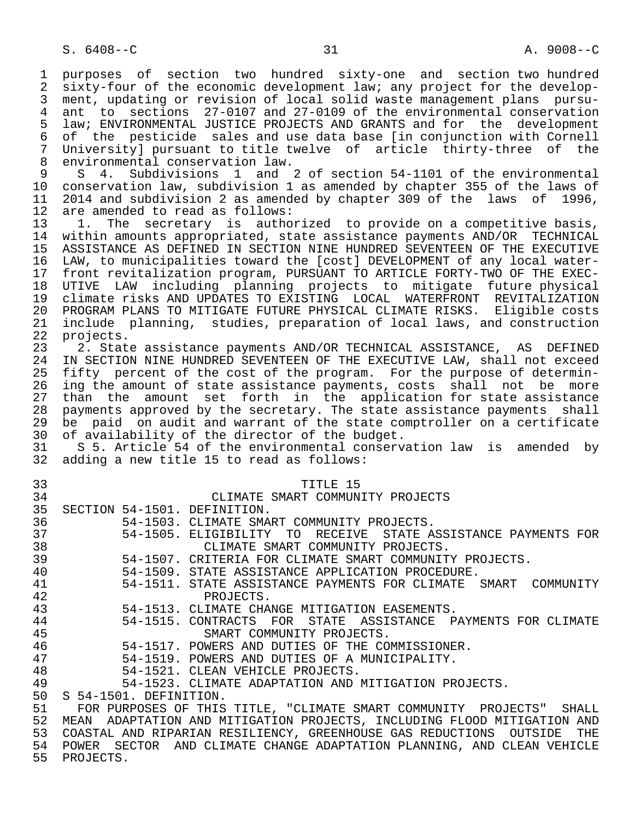1 purposes of section two hundred sixty-one and section two hundred<br>2 sixty-four of the economic development law; any project for the develop-2 sixty-four of the economic development law; any project for the develop-<br>3 ment, updating or revision of local solid waste management plans pursument, updating or revision of local solid waste management plans pursu-4 ant to sections 27-0107 and 27-0109 of the environmental conservation<br>5 law; ENVIRONMENTAL JUSTICE PROJECTS AND GRANTS and for the development 5 law; ENVIRONMENTAL JUSTICE PROJECTS AND GRANTS and for the development<br>6 of the pesticide sales and use data base (in conjunction with Cornell 6 of the pesticide sales and use data base [in conjunction with Cornell 7 University] pursuant to title twelve of article thirty-three of the<br>8 environmental conservation law 8 environmental conservation law.<br>9 S 4. Subdivisions 1 and

 9 S 4. Subdivisions 1 and 2 of section 54-1101 of the environmental 10 conservation law, subdivision 1 as amended by chapter 355 of the laws of 11 2014 and subdivision 2 as amended by chapter 309 of the laws of 1996,<br>12 are amended to read as follows: 12 are amended to read as follows:<br>13 1. The secretary is autho

13 1. The secretary is authorized to provide on a competitive basis,<br>14 within amounts appropriated, state assistance payments AND/OR TECHNICAL within amounts appropriated, state assistance payments AND/OR TECHNICAL 15 ASSISTANCE AS DEFINED IN SECTION NINE HUNDRED SEVENTEEN OF THE EXECUTIVE<br>16 LAW, to municipalities toward the [cost] DEVELOPMENT of any local water- 16 LAW, to municipalities toward the [cost] DEVELOPMENT of any local water- 17 front revitalization program, PURSUANT TO ARTICLE FORTY-TWO OF THE EXEC-<br>18 UTIVE LAW including planning projects to mitigate future physical 18 UTIVE LAW including planning projects to mitigate future physical 19 climate risks AND UPDATES TO EXISTING LOCAL WATERFRONT REVITALIZATION<br>20 PROGRAM PLANS TO MITIGATE FUTURE PHYSICAL CLIMATE RISKS. Eligible costs 20 PROGRAM PLANS TO MITIGATE FUTURE PHYSICAL CLIMATE RISKS. Eligible costs<br>21 include planning, studies, preparation of local laws, and construction 21 include planning, studies, preparation of local laws, and construction<br>22 projects. 22 projects.<br>23 2. Stat

2. State assistance payments AND/OR TECHNICAL ASSISTANCE, AS DEFINED 24 IN SECTION NINE HUNDRED SEVENTEEN OF THE EXECUTIVE LAW, shall not exceed<br>25 fifty percent of the cost of the program. For the purpose of determinfifty percent of the cost of the program. For the purpose of determin- 26 ing the amount of state assistance payments, costs shall not be more 27 than the amount set forth in the application for state assistance<br>28 payments approved by the secretary. The state assistance payments shall 28 payments approved by the secretary. The state assistance payments shall<br>29 be paid on audit and warrant of the state comptroller on a certificate 29 be paid on audit and warrant of the state comptroller on a certificate<br>30 of availability of the director of the budget. 30 of availability of the director of the budget.<br>31 S 5. Article 54 of the environmental conserve

31 S 5. Article 54 of the environmental conservation law is amended by<br>32 adding a new title 15 to read as follows: adding a new title 15 to read as follows:

| 33 |                              | TITLE 15                                                                  |
|----|------------------------------|---------------------------------------------------------------------------|
| 34 |                              | CLIMATE SMART COMMUNITY PROJECTS                                          |
| 35 | SECTION 54-1501. DEFINITION. |                                                                           |
| 36 |                              | 54-1503. CLIMATE SMART COMMUNITY PROJECTS.                                |
| 37 |                              | 54-1505. ELIGIBILITY<br>TO RECEIVE STATE ASSISTANCE PAYMENTS FOR          |
| 38 |                              | CLIMATE SMART COMMUNITY PROJECTS.                                         |
| 39 |                              | 54-1507. CRITERIA FOR CLIMATE SMART COMMUNITY PROJECTS.                   |
| 40 |                              | 54-1509. STATE ASSISTANCE APPLICATION PROCEDURE.                          |
| 41 |                              | 54-1511. STATE ASSISTANCE PAYMENTS FOR CLIMATE SMART COMMUNITY            |
| 42 |                              | PROJECTS.                                                                 |
| 43 |                              | 54-1513. CLIMATE CHANGE MITIGATION EASEMENTS.                             |
| 44 |                              | 54-1515. CONTRACTS FOR STATE ASSISTANCE PAYMENTS FOR CLIMATE              |
| 45 |                              | SMART COMMUNITY PROJECTS.                                                 |
| 46 |                              | 54-1517. POWERS AND DUTIES OF THE COMMISSIONER.                           |
| 47 |                              | 54-1519. POWERS AND DUTIES OF A MUNICIPALITY.                             |
| 48 |                              | 54-1521. CLEAN VEHICLE PROJECTS.                                          |
| 49 |                              | 54-1523. CLIMATE ADAPTATION AND MITIGATION PROJECTS.                      |
| 50 | S 54-1501. DEFINITION.       |                                                                           |
| 51 |                              | FOR PURPOSES OF THIS TITLE, "CLIMATE SMART COMMUNITY PROJECTS" SHALL      |
| 52 |                              | MEAN ADAPTATION AND MITIGATION PROJECTS, INCLUDING FLOOD MITIGATION AND   |
| 53 |                              | THE<br>COASTAL AND RIPARIAN RESILIENCY, GREENHOUSE GAS REDUCTIONS OUTSIDE |
| 54 |                              | POWER SECTOR AND CLIMATE CHANGE ADAPTATION PLANNING, AND CLEAN VEHICLE    |

55 PROJECTS.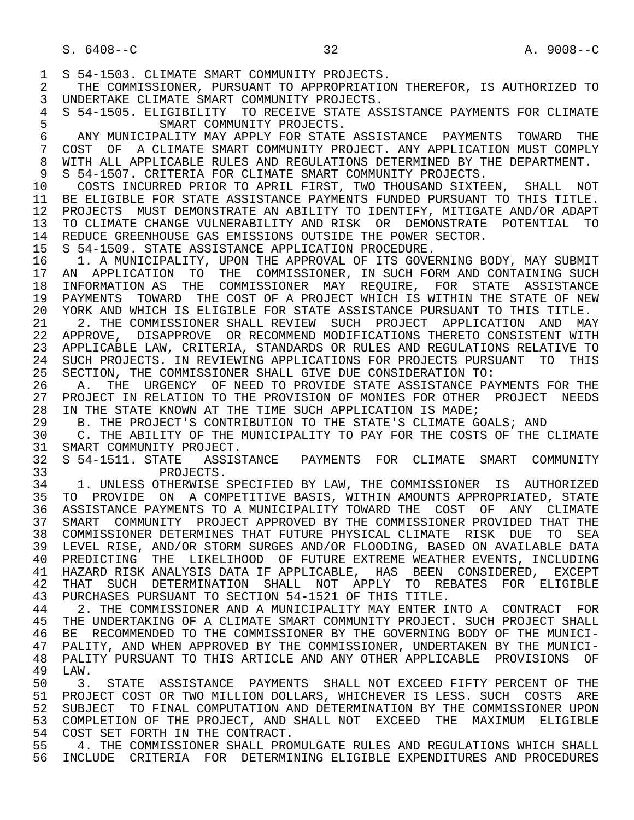S. 6408--C 32 A. 9008--C 1 S 54-1503. CLIMATE SMART COMMUNITY PROJECTS.<br>2 THE COMMISSIONER, PURSUANT TO APPROPRIATIO 2 THE COMMISSIONER, PURSUANT TO APPROPRIATION THEREFOR, IS AUTHORIZED TO<br>3 UNDERTAKE CLIMATE SMART COMMUNITY PROJECTS. 3 UNDERTAKE CLIMATE SMART COMMUNITY PROJECTS.<br>4 S 54-1505, ELIGIBILITY TO RECEIVE STATE ASS 4 S 54-1505. ELIGIBILITY TO RECEIVE STATE ASSISTANCE PAYMENTS FOR CLIMATE<br>5 SMART COMMUNITY PROJECTS. 5 SMART COMMUNITY PROJECTS.<br>6 ANY MUNICIPALITY MAY APPLY FOR STATE 6 ANY MUNICIPALITY MAY APPLY FOR STATE ASSISTANCE PAYMENTS TOWARD THE 30 COST OF A CLIMATE SMART COMMUNITY PROJECT. ANY APPLICATION MUST COMPLY 7 COST OF A CLIMATE SMART COMMUNITY PROJECT. ANY APPLICATION MUST COMPLY<br>8 WITH ALL APPLICABLE RULES AND REGULATIONS DETERMINED BY THE DEPARTMENT. 8 WITH ALL APPLICABLE RULES AND REGULATIONS DETERMINED BY THE DEPARTMENT.<br>9 S 54-1507. CRITERIA FOR CLIMATE SMART COMMUNITY PROJECTS. 9 S 54-1507. CRITERIA FOR CLIMATE SMART COMMUNITY PROJECTS.<br>10 COSTS INCURRED PRIOR TO APRIL FIRST, TWO THOUSAND SIXTE 10 COSTS INCURRED PRIOR TO APRIL FIRST, TWO THOUSAND SIXTEEN, SHALL NOT<br>11 BE ELIGIBLE FOR STATE ASSISTANCE PAYMENTS FUNDED PURSUANT TO THIS TITLE. 11 BE ELIGIBLE FOR STATE ASSISTANCE PAYMENTS FUNDED PURSUANT TO THIS TITLE.<br>12 PROJECTS MUST DEMONSTRATE AN ABILITY TO IDENTIFY, MITIGATE AND/OR ADAPT 12 PROJECTS MUST DEMONSTRATE AN ABILITY TO IDENTIFY, MITIGATE AND/OR ADAPT<br>13 TO CLIMATE CHANGE VULNERABILITY AND RISK OR DEMONSTRATE POTENTIAL TO 13 TO CLIMATE CHANGE VULNERABILITY AND RISK OR DEMONSTRATE POTENTIAL TO<br>14 REDUCE GREENHOUSE GAS EMISSIONS OUTSIDE THE POWER SECTOR 14 REDUCE GREENHOUSE GAS EMISSIONS OUTSIDE THE POWER SECTOR.<br>15 S 54-1509. STATE ASSISTANCE APPLICATION PROCEDURE. 15 S 54-1509. STATE ASSISTANCE APPLICATION PROCEDURE. 16 1. A MUNICIPALITY, UPON THE APPROVAL OF ITS GOVERNING BODY, MAY SUBMIT<br>17 AN APPLICATION TO THE COMMISSIONER, IN SUCH FORM AND CONTAINING SUCH 17 AN APPLICATION TO THE COMMISSIONER, IN SUCH FORM AND CONTAINING SUCH 18 INFORMATION AS THE COMMISSIONER MAY REOUIRE, FOR STATE ASSISTANCE 18 INFORMATION AS THE COMMISSIONER MAY REQUIRE, FOR STATE ASSISTANCE<br>19 PAYMENTS TOWARD THE COST OF A PROJECT WHICH IS WITHIN THE STATE OF NEW 19 PAYMENTS TOWARD THE COST OF A PROJECT WHICH IS WITHIN THE STATE OF NEW<br>20 YORK AND WHICH IS ELIGIBLE FOR STATE ASSISTANCE PURSUANT TO THIS TITLE. 20 YORK AND WHICH IS ELIGIBLE FOR STATE ASSISTANCE PURSUANT TO THIS TITLE.<br>21 2. THE COMMISSIONER SHALL REVIEW SUCH PROJECT APPLICATION AND MAY 21 2. THE COMMISSIONER SHALL REVIEW SUCH PROJECT APPLICATION AND MAY<br>22 APPROVE, DISAPPROVE OR RECOMMEND MODIFICATIONS THERETO CONSISTENT WITH 22 APPROVE, DISAPPROVE OR RECOMMEND MODIFICATIONS THERETO CONSISTENT WITH<br>23 APPLICABLE LAW, CRITERIA, STANDARDS OR RULES AND REGULATIONS RELATIVE TO 23 APPLICABLE LAW, CRITERIA, STANDARDS OR RULES AND REGULATIONS RELATIVE TO<br>24 SUCH PROJECTS, IN REVIEWING APPLICATIONS FOR PROJECTS PURSUANT TO THIS 24 SUCH PROJECTS. IN REVIEWING APPLICATIONS FOR PROJECTS PURSUANT TO THIS<br>25 SECTION, THE COMMISSIONER SHALL GIVE DUE CONSIDERATION TO: 25 SECTION, THE COMMISSIONER SHALL GIVE DUE CONSIDERATION TO: 26 A. THE URGENCY OF NEED TO PROVIDE STATE ASSISTANCE PAYMENTS FOR THE 27 PROJECT IN RELATION TO THE PROVISION OF MONIES FOR OTHER PROJECT NEEDS 27 PROJECT IN RELATION TO THE PROVISION OF MONIES FOR OTHER PROJECT NEEDS<br>28 IN THE STATE KNOWN AT THE TIME SUCH APPLICATION IS MADE; 28 IN THE STATE KNOWN AT THE TIME SUCH APPLICATION IS MADE;<br>29 B. THE PROJECT'S CONTRIBUTION TO THE STATE'S CLIMATE G 29 B. THE PROJECT'S CONTRIBUTION TO THE STATE'S CLIMATE GOALS; AND 20 C. THE ARTLITY OF THE MINICIPALITY TO PAY FOR THE COSTS OF THE 30 C. THE ABILITY OF THE MUNICIPALITY TO PAY FOR THE COSTS OF THE CLIMATE 31 SMART COMMUNITY PROJECT. 31 SMART COMMUNITY PROJECT.<br>32 S 54-1511. STATE ASSIST 32 S 54-1511. STATE ASSISTANCE PAYMENTS FOR CLIMATE SMART COMMUNITY 33 PROJECTS.<br>34 1. UNLESS OTHERWISE 34 1. UNLESS OTHERWISE SPECIFIED BY LAW, THE COMMISSIONER IS AUTHORIZED<br>35 TO PROVIDE ON A COMPETITIVE BASIS, WITHIN AMOUNTS APPROPRIATED, STATE 35 TO PROVIDE ON A COMPETITIVE BASIS, WITHIN AMOUNTS APPROPRIATED, STATE<br>36 ASSISTANCE PAYMENTS TO A MUNICIPALITY TOWARD THE COST OF ANY CLIMATE 36 ASSISTANCE PAYMENTS TO A MUNICIPALITY TOWARD THE COST OF ANY CLIMATE 37 SMART COMMUNITY PROJECT APPROVED BY THE COMMISSIONER PROVIDED THAT THE 38 COMMISSIONER DETERMINES THAT FUTURE PHYSICAL CLIMATE RISK DUE TO SEA LEVEL RISE, AND/OR STORM SURGES AND/OR FLOODING, BASED ON AVAILABLE DATA 40 PREDICTING THE LIKELIHOOD OF FUTURE EXTREME WEATHER EVENTS, INCLUDING<br>41 HAZARD RISK ANALYSIS DATA IF APPLICABLE, HAS BEEN CONSIDERED, EXCEPT 41 HAZARD RISK ANALYSIS DATA IF APPLICABLE, HAS BEEN CONSIDERED, EXCEPT 42 THAT SUCH DETERMINATION SHALL NOT APPLY TO REBATES FOR ELIGIBLE 43 PURCHASES PURSUANT TO SECTION 54-1521 OF THIS TITLE. 43 PURCHASES PURSUANT TO SECTION 54-1521 OF THIS TITLE. 44 2. THE COMMISSIONER AND A MUNICIPALITY MAY ENTER INTO A CONTRACT FOR<br>45 THE UNDERTAKING OF A CLIMATE SMART COMMUNITY PROJECT. SUCH PROJECT SHALL THE UNDERTAKING OF A CLIMATE SMART COMMUNITY PROJECT. SUCH PROJECT SHALL 46 BE RECOMMENDED TO THE COMMISSIONER BY THE GOVERNING BODY OF THE MUNICI-<br>47 PALITY, AND WHEN APPROVED BY THE COMMISSIONER, UNDERTAKEN BY THE MUNICI-47 PALITY, AND WHEN APPROVED BY THE COMMISSIONER, UNDERTAKEN BY THE MUNICI-<br>48 PALITY PURSUANT TO THIS ARTICLE AND ANY OTHER APPLICABLE PROVISIONS OF 48 PALITY PURSUANT TO THIS ARTICLE AND ANY OTHER APPLICABLE PROVISIONS OF 49 LAW. 49 LAW.<br>50 3. 50 3. STATE ASSISTANCE PAYMENTS SHALL NOT EXCEED FIFTY PERCENT OF THE<br>51 PROJECT COST OR TWO MILLION DOLLARS, WHICHEVER IS LESS. SUCH COSTS ARE 51 PROJECT COST OR TWO MILLION DOLLARS, WHICHEVER IS LESS. SUCH COSTS ARE 52 SUBJECT TO FINAL COMPUTATION AND DETERMINATION BY THE COMMISSIONER UPON 53 COMPLETION OF THE PROJECT, AND SHALL NOT EXCEED THE MAXIMUM ELIGIBLE 54 COST SET FORTH IN THE CONTRACT.<br>55 4. THE COMMISSIONER SHALL PROM 55 THE COMMISSIONER SHALL PROMULGATE RULES AND REGULATIONS WHICH SHALL 56 TNCLUDE CRITERIA FOR DETERMINING ELIGIBLE EXPENDITURES AND PROCEDURES 56 INCLUDE CRITERIA FOR DETERMINING ELIGIBLE EXPENDITURES AND PROCEDURES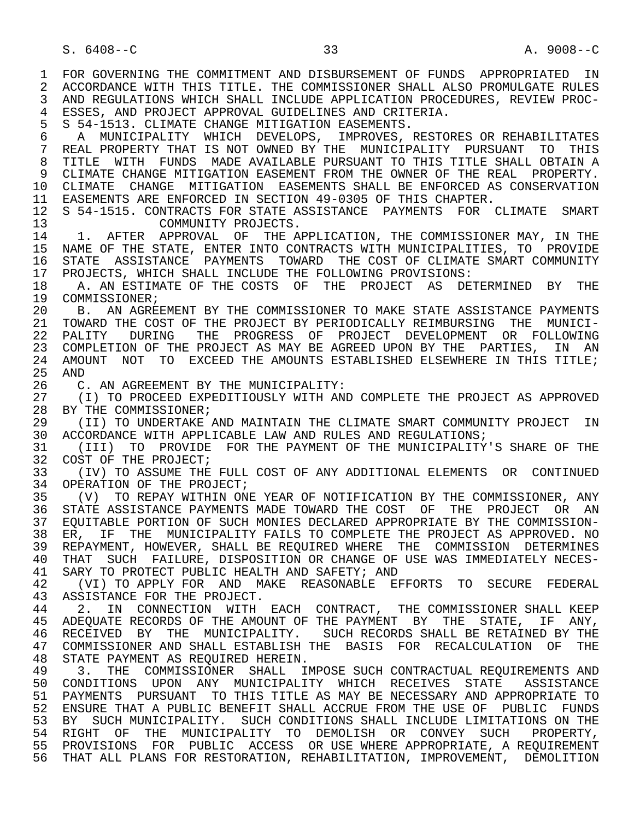1 FOR GOVERNING THE COMMITMENT AND DISBURSEMENT OF FUNDS APPROPRIATED IN<br>2 ACCORDANCE WITH THIS TITLE. THE COMMISSIONER SHALL ALSO PROMULGATE RULES 2 ACCORDANCE WITH THIS TITLE. THE COMMISSIONER SHALL ALSO PROMULGATE RULES<br>3 AND REGULATIONS WHICH SHALL INCLUDE APPLICATION PROCEDURES, REVIEW PROC- 3 AND REGULATIONS WHICH SHALL INCLUDE APPLICATION PROCEDURES, REVIEW PROC- 4 ESSES, AND PROJECT APPROVAL GUIDELINES AND CRITERIA.<br>5 S 54-1513. CLIMATE CHANGE MITIGATION EASEMENTS. 5 S 54-1513. CLIMATE CHANGE MITIGATION EASEMENTS.<br>6 A MUNICIPALITY WHICH DEVELOPS, IMPROVES, 6 A MUNICIPALITY WHICH DEVELOPS, IMPROVES, RESTORES OR REHABILITATES<br>7 REAL PROPERTY THAT IS NOT OWNED BY THE MUNICIPALITY PURSUANT TO THIS 7 REAL PROPERTY THAT IS NOT OWNED BY THE MUNICIPALITY PURSUANT TO THIS 8 TITLE WITH FUNDS MADE AVAILABLE PURSUANT TO THIS TITLE SHALL OBTAIN A 9 CLIMATE CHANGE MITIGATION EASEMENT FROM THE OWNER OF THE REAL PROPERTY. 10 CLIMATE CHANGE MITIGATION EASEMENTS SHALL BE ENFORCED AS CONSERVATION 11 EASEMENTS ARE ENFORCED IN SECTION 49-0305 OF THIS CHAPTER. 12 S 54-1515. CONTRACTS FOR STATE ASSISTANCE PAYMENTS FOR CLIMATE SMART<br>COMMUNITY PROJECTS. 13 COMMUNITY PROJECTS.<br>14 1. AFTER APPROVAL OF THE A 1. AFTER APPROVAL OF THE APPLICATION, THE COMMISSIONER MAY, IN THE 15 NAME OF THE STATE, ENTER INTO CONTRACTS WITH MUNICIPALITIES, TO PROVIDE 16 STATE ASSISTANCE PAYMENTS TOWARD THE COST OF CLIMATE SMART COMMUNITY<br>17 PROJECTS, WHICH SHALL INCLUDE THE FOLLOWING PROVISIONS: 17 PROJECTS, WHICH SHALL INCLUDE THE FOLLOWING PROVISIONS:<br>18 A. AN ESTIMATE OF THE COSTS OF THE PROJECT AS DET A. AN ESTIMATE OF THE COSTS OF THE PROJECT AS DETERMINED BY THE 19 COMMISSIONER;<br>20 B. AN AGREI 20 B. AN AGREEMENT BY THE COMMISSIONER TO MAKE STATE ASSISTANCE PAYMENTS 21 TOWARD THE COST OF THE PROJECT BY PERIODICALLY REIMBURSING THE MUNICI- 22 PALITY DURING THE PROGRESS OF PROJECT DEVELOPMENT OR FOLLOWING 23 COMPLETION OF THE PROJECT AS MAY BE AGREED UPON BY THE PARTIES, IN AN 24 AMOUNT NOT TO EXCEED THE AMOUNTS ESTABLISHED ELSEWHERE IN THIS TITLE;<br>25 AND 25 AND 26 C. AN AGREEMENT BY THE MUNICIPALITY:<br>27 (I) TO PROCEED EXPEDITIOUSLY WITH AN 27 (I) TO PROCEED EXPEDITIOUSLY WITH AND COMPLETE THE PROJECT AS APPROVED<br>28 BY THE COMMISSIONER; 28 BY THE COMMISSIONER;<br>29 (II) TO UNDERTAKE 29 (II) TO UNDERTAKE AND MAINTAIN THE CLIMATE SMART COMMUNITY PROJECT IN<br>30 ACCORDANCE WITH APPLICARLE LAW AND RULES AND REGULATIONS; 30 ACCORDANCE WITH APPLICABLE LAW AND RULES AND REGULATIONS;<br>31 (III) TO PROVIDE FOR THE PAYMENT OF THE MUNICIPALITY 31 (III) TO PROVIDE FOR THE PAYMENT OF THE MUNICIPALITY'S SHARE OF THE 32 COST OF THE PROJECT; 32 COST OF THE PROJECT;<br>33 (IV) TO ASSUME THE 33 (IV) TO ASSUME THE FULL COST OF ANY ADDITIONAL ELEMENTS OR CONTINUED 34 OPERATION OF THE PROJECT;<br>35 (V) TO REPAY WITHIN ON 35 (V) TO REPAY WITHIN ONE YEAR OF NOTIFICATION BY THE COMMISSIONER, ANY 36 STATE ASSISTANCE PAYMENTS MADE TOWARD THE COST OF THE PROJECT OR AN 37 EQUITABLE PORTION OF SUCH MONIES DECLARED APPROPRIATE BY THE COMMISSION-<br>38 ER, IF THE MUNICIPALITY FAILS TO COMPLETE THE PROJECT AS APPROVED. NO 38 ER, IF THE MUNICIPALITY FAILS TO COMPLETE THE PROJECT AS APPROVED. NO<br>39 REPAYMENT, HOWEVER, SHALL BE REOUIRED WHERE THE COMMISSION DETERMINES 39 REPAYMENT, HOWEVER, SHALL BE REQUIRED WHERE THE COMMISSION DETERMINES<br>40 THAT SUCH FAILURE, DISPOSITION OR CHANGE OF USE WAS IMMEDIATELY NECES-40 THAT SUCH FAILURE, DISPOSITION OR CHANGE OF USE WAS IMMEDIATELY NECES-<br>41 SARY TO PROTECT PUBLIC HEALTH AND SAFETY; AND 41 SARY TO PROTECT PUBLIC HEALTH AND SAFETY; AND 42 (VI) TO APPLY FOR AND MAKE REASONABLE E 42 (VI) TO APPLY FOR AND MAKE REASONABLE EFFORTS TO SECURE FEDERAL<br>43 ASSISTANCE FOR THE PROJECT 43 ASSISTANCE FOR THE PROJECT.<br>44 2. IN CONNECTION WITH 44 2. IN CONNECTION WITH EACH CONTRACT, THE COMMISSIONER SHALL KEEP<br>45 ADEOUATE RECORDS OF THE AMOUNT OF THE PAYMENT BY THE STATE, IF ANY, ADEQUATE RECORDS OF THE AMOUNT OF THE PAYMENT BY THE STATE, IF ANY, 46 RECEIVED BY THE MUNICIPALITY. SUCH RECORDS SHALL BE RETAINED BY THE 47 COMMISSIONER AND SHALL ESTABLISH THE BASIS FOR RECALCULATION OF THE 47 COMMISSIONER AND SHALL ESTABLISH THE BASIS FOR RECALCULATION OF THE 48 STATE PAYMENT AS REOUIRED HEREIN. 48 STATE PAYMENT AS REQUIRED HEREIN.<br>49 3. THE COMMISSIONER SHALL I 49 3. THE COMMISSIONER SHALL IMPOSE SUCH CONTRACTUAL REQUIREMENTS AND<br>50 CONDITIONS UPON ANY MUNICIPALITY WHICH RECEIVES STATE ASSISTANCE 50 CONDITIONS UPON ANY MUNICIPALITY WHICH RECEIVES STATE ASSISTANCE<br>51 PAYMENTS PURSUANT TO THIS TITLE AS MAY BE NECESSARY AND APPROPRIATE TO 51 PAYMENTS PURSUANT TO THIS TITLE AS MAY BE NECESSARY AND APPROPRIATE TO 52 ENSURE THAT A PUBLIC BENEFIT SHALL ACCRUE FROM THE USE OF PUBLIC FUNDS 53 BY SUCH MUNICIPALITY. SUCH CONDITIONS SHALL INCLUDE LIMITATIONS ON THE 54 RIGHT OF THE MUNICIPALITY TO DEMOLISH OR CONVEY SUCH PROPERTY, 55 PROVISIONS FOR PUBLIC ACCESS OR USE WHERE APPROPRIATE, A REQUIREMENT 56 THAT ALL PLANS FOR RESTORATION, REHABILITATION, IMPROVEMENT, DEMOLITION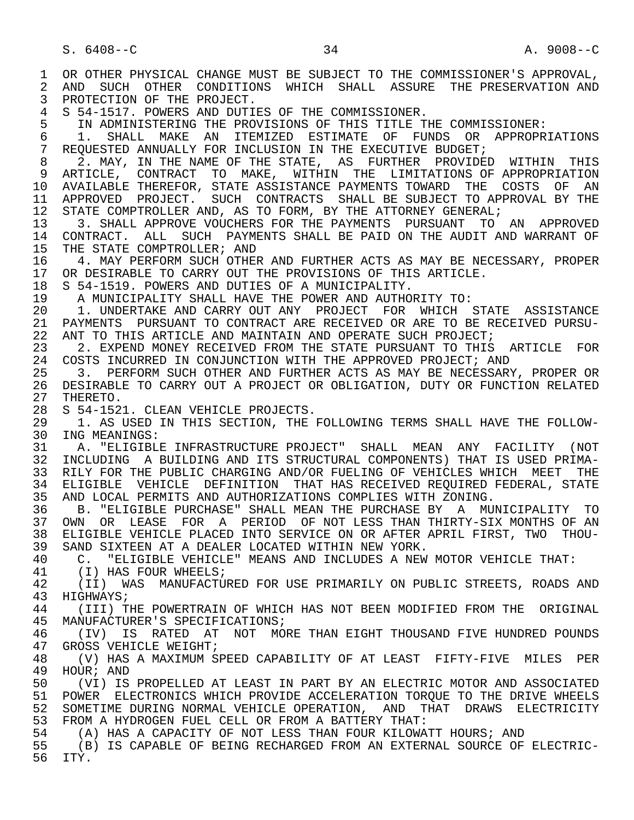1 OR OTHER PHYSICAL CHANGE MUST BE SUBJECT TO THE COMMISSIONER'S APPROVAL,<br>2 AND SUCH OTHER CONDITIONS WHICH SHALL ASSURE THE PRESERVATION AND 2 AND SUCH OTHER CONDITIONS WHICH SHALL ASSURE THE PRESERVATION AND<br>3 PROTECTION OF THE PROJECT. PROTECTION OF THE PROJECT. 4 S 54-1517. POWERS AND DUTIES OF THE COMMISSIONER. 5 IN ADMINISTERING THE PROVISIONS OF THIS TITLE THE COMMISSIONER:<br>6 1. SHALL MAKE AN ITEMIZED ESTIMATE OF FUNDS OR APPROPR 6 1. SHALL MAKE AN ITEMIZED ESTIMATE OF FUNDS OR APPROPRIATIONS<br>7 REQUESTED ANNUALLY FOR INCLUSION IN THE EXECUTIVE BUDGET; REQUESTED ANNUALLY FOR INCLUSION IN THE EXECUTIVE BUDGET; 8 2. MAY, IN THE NAME OF THE STATE, AS FURTHER PROVIDED WITHIN THIS<br>9 ARTICLE, CONTRACT TO MAKE, WITHIN THE LIMITATIONS OF APPROPRIATION 9 ARTICLE, CONTRACT TO MAKE, WITHIN THE LIMITATIONS OF APPROPRIATION<br>10 AVAILABLE THEREFOR, STATE ASSISTANCE PAYMENTS TOWARD THE COSTS OF AN 10 AVAILABLE THEREFOR, STATE ASSISTANCE PAYMENTS TOWARD THE COSTS OF AN<br>11 APPROVED PROJECT. SUCH CONTRACTS SHALL BE SUBJECT TO APPROVAL BY THE 11 APPROVED PROJECT. SUCH CONTRACTS SHALL BE SUBJECT TO APPROVAL BY THE 12 STATE COMPTROLLER AND, AS TO FORM, BY THE ATTORNEY GENERAL; 12 STATE COMPTROLLER AND, AS TO FORM, BY THE ATTORNEY GENERAL;<br>13 3. SHALL APPROVE VOUCHERS FOR THE PAYMENTS PURSUANT TO 13 3. SHALL APPROVE VOUCHERS FOR THE PAYMENTS PURSUANT TO AN APPROVED<br>14 CONTRACT, ALL, SUCH PAYMENTS SHALL BE PAID ON THE AUDIT AND WARRANT OF 14 CONTRACT. ALL SUCH PAYMENTS SHALL BE PAID ON THE AUDIT AND WARRANT OF 15 THE STATE COMPTROLLER; AND<br>16 14. MAY PERFORM SUCH OTHER 16 4. MAY PERFORM SUCH OTHER AND FURTHER ACTS AS MAY BE NECESSARY, PROPER 17 OR DESIRABLE TO CARRY OUT THE PROVISIONS OF THIS ARTICLE. 17 OR DESIRABLE TO CARRY OUT THE PROVISIONS OF THIS ARTICLE.<br>18 S 54-1519. POWERS AND DUTIES OF A MUNICIPALITY. 18 S 54-1519. POWERS AND DUTIES OF A MUNICIPALITY. 19 A MUNICIPALITY SHALL HAVE THE POWER AND AUTHORITY TO:<br>20 1. UNDERTAKE AND CARRY OUT ANY PROJECT FOR WHICH 20 1. UNDERTAKE AND CARRY OUT ANY PROJECT FOR WHICH STATE ASSISTANCE<br>21 PAYMENTS PURSUANT TO CONTRACT ARE RECEIVED OR ARE TO BE RECEIVED PURSU-21 PAYMENTS PURSUANT TO CONTRACT ARE RECEIVED OR ARE TO BE RECEIVED PURSU-<br>22 ANT TO THIS ARTICLE AND MAINTAIN AND OPERATE SUCH PROJECT; 22 ANT TO THIS ARTICLE AND MAINTAIN AND OPERATE SUCH PROJECT;<br>23 2. EXPEND MONEY RECEIVED FROM THE STATE PURSUANT TO THIS 2. EXPEND MONEY RECEIVED FROM THE STATE PURSUANT TO THIS ARTICLE FOR 24 COSTS INCURRED IN CONJUNCTION WITH THE APPROVED PROJECT; AND 25 3. PERFORM SUCH OTHER AND FURTHER ACTS AS MAY BE NECESSARY 25 3. PERFORM SUCH OTHER AND FURTHER ACTS AS MAY BE NECESSARY, PROPER OR 26 DESIRABLE TO CARRY OUT A PROJECT OR OBLIGATION, DUTY OR FUNCTION RELATED 27 THERETO. 27 THERETO.<br>28 S 54-152 28 S 54-1521. CLEAN VEHICLE PROJECTS.<br>29 1. AS USED IN THIS SECTION, THE 29 1. AS USED IN THIS SECTION, THE FOLLOWING TERMS SHALL HAVE THE FOLLOW-<br>30 ING MEANINGS: 30 ING MEANINGS:<br>31 A. "ELIGIBL 31 A. "ELIGIBLE INFRASTRUCTURE PROJECT" SHALL MEAN ANY FACILITY (NOT<br>32 INCLUDING A BUILDING AND ITS STRUCTURAL COMPONENTS) THAT IS USED PRIMA-32 INCLUDING A BUILDING AND ITS STRUCTURAL COMPONENTS) THAT IS USED PRIMA-<br>33 RILY FOR THE PUBLIC CHARGING AND/OR FUELING OF VEHICLES WHICH MEET THE RILY FOR THE PUBLIC CHARGING AND/OR FUELING OF VEHICLES WHICH MEET THE 34 ELIGIBLE VEHICLE DEFINITION THAT HAS RECEIVED REQUIRED FEDERAL, STATE<br>35 AND LOCAL PERMITS AND AUTHORIZATIONS COMPLIES WITH ZONING. 35 AND LOCAL PERMITS AND AUTHORIZATIONS COMPLIES WITH ZONING.<br>36 B. "ELIGIBLE PURCHASE" SHALL MEAN THE PURCHASE BY A MUI 36 B. "ELIGIBLE PURCHASE" SHALL MEAN THE PURCHASE BY A MUNICIPALITY TO 37 OWN OR LEASE FOR A PERIOD OF NOT LESS THAN THIRTY-SIX MONTHS OF AN 38 ELIGIBLE VEHICLE PLACED INTO SERVICE ON OR AFTER APRIL FIRST, TWO THOU-<br>39 SAND SIXTEEN AT A DEALER LOCATED WITHIN NEW YORK. 39 SAND SIXTEEN AT A DEALER LOCATED WITHIN NEW YORK.<br>40 C. "ELIGIBLE VEHICLE" MEANS AND INCLUDES A NEW 40 C. "ELIGIBLE VEHICLE" MEANS AND INCLUDES A NEW MOTOR VEHICLE THAT:<br>41 (T) HAS FOUR WHEELS; 41 (I) HAS FOUR WHEELS;<br>42 (II) WAS MANUFACTU 42 (II) WAS MANUFACTURED FOR USE PRIMARILY ON PUBLIC STREETS, ROADS AND<br>43 HIGHWAYS: 43 HIGHWAYS;<br>44 (III) T 44 (III) THE POWERTRAIN OF WHICH HAS NOT BEEN MODIFIED FROM THE ORIGINAL<br>45 MANUFACTURER'S SPECIFICATIONS; MANUFACTURER'S SPECIFICATIONS; 46 (IV) IS RATED AT NOT MORE THAN EIGHT THOUSAND FIVE HUNDRED POUNDS<br>47 GROSS VEHICLE WEIGHT; 47 GROSS VEHICLE WEIGHT;<br>48 (V) HAS A MAXIMUM S 48 (V) HAS A MAXIMUM SPEED CAPABILITY OF AT LEAST FIFTY-FIVE MILES PER 49 HOUR; AND<br>50 (VI) IS 50 (VI) IS PROPELLED AT LEAST IN PART BY AN ELECTRIC MOTOR AND ASSOCIATED<br>51 POWER ELECTRONICS WHICH PROVIDE ACCELERATION TOROUE TO THE DRIVE WHEELS 51 POWER ELECTRONICS WHICH PROVIDE ACCELERATION TORQUE TO THE DRIVE WHEELS 52 SOMETIME DURING NORMAL VEHICLE OPERATION, AND THAT DRAWS ELECTRICITY 53 FROM A HYDROGEN FUEL CELL OR FROM A BATTERY THAT:<br>54 (A) HAS A CAPACITY OF NOT LESS THAN FOUR KILOWA 54 (A) HAS A CAPACITY OF NOT LESS THAN FOUR KILOWATT HOURS; AND<br>55 (B) IS CAPABLE OF BEING RECHARGED FROM AN EXTERNAL SOURCE OF 55 (B) IS CAPABLE OF BEING RECHARGED FROM AN EXTERNAL SOURCE OF ELECTRIC- ITY.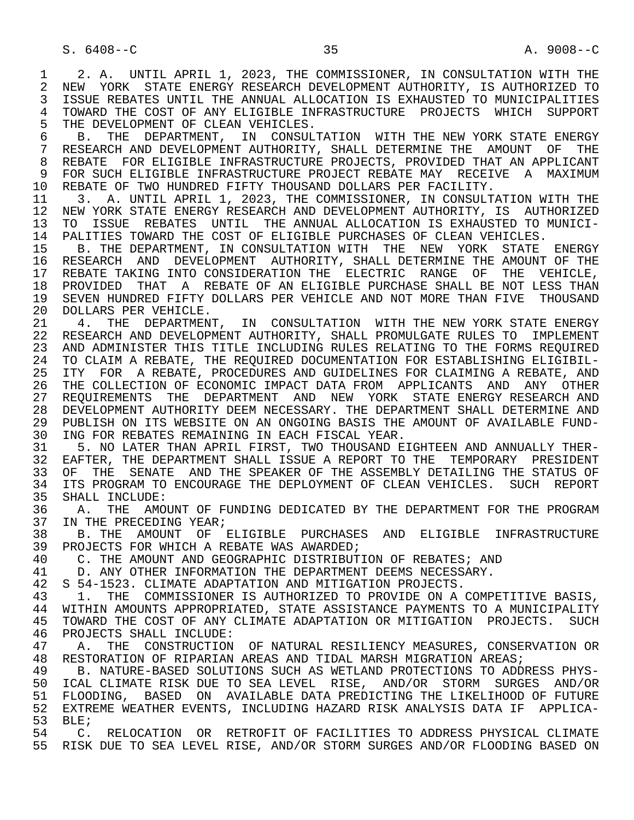1 2. A. UNTIL APRIL 1, 2023, THE COMMISSIONER, IN CONSULTATION WITH THE 2 NEW YORK STATE ENERGY RESEARCH DEVELOPMENT AUTHORITY, IS AUTHORIZED TO 2 NEW YORK STATE ENERGY RESEARCH DEVELOPMENT AUTHORITY, IS AUTHORIZED TO<br>3 ISSUE REBATES UNTIL THE ANNUAL ALLOCATION IS EXHAUSTED TO MUNICIPALITIES ISSUE REBATES UNTIL THE ANNUAL ALLOCATION IS EXHAUSTED TO MUNICIPALITIES 4 TOWARD THE COST OF ANY ELIGIBLE INFRASTRUCTURE PROJECTS WHICH SUPPORT<br>5 THE DEVELOPMENT OF CLEAN VEHICLES. 5 THE DEVELOPMENT OF CLEAN VEHICLES.<br>6 B. THE DEPARTMENT, IN CONSULT

6 B. THE DEPARTMENT, IN CONSULTATION WITH THE NEW YORK STATE ENERGY<br>7 RESEARCH AND DEVELOPMENT AUTHORITY, SHALL DETERMINE THE AMOUNT OF THE 7 RESEARCH AND DEVELOPMENT AUTHORITY, SHALL DETERMINE THE AMOUNT OF THE 8 REBATE FOR ELIGIBLE INFRASTRUCTURE PROJECTS, PROVIDED THAT AN APPLICANT<br>9 FOR SUCH ELIGIBLE INFRASTRUCTURE PROJECT REBATE MAY RECEIVE A MAXIMUM 9 FOR SUCH ELIGIBLE INFRASTRUCTURE PROJECT REBATE MAY RECEIVE A MAXIMUM 10 REBATE OF TWO HUNDRED FIFTY THOUSAND DOLLARS PER FACILITY.<br>11 3. A. UNTIL APRIL 1, 2023, THE COMMISSIONER, IN CONSULT.

 11 3. A. UNTIL APRIL 1, 2023, THE COMMISSIONER, IN CONSULTATION WITH THE 12 NEW YORK STATE ENERGY RESEARCH AND DEVELOPMENT AUTHORITY, IS AUTHORIZED<br>13 TO ISSUE REBATES UNTIL THE ANNUAL ALLOCATION IS EXHAUSTED TO MUNICI-13 TO ISSUE REBATES UNTIL THE ANNUAL ALLOCATION IS EXHAUSTED TO MUNICI-<br>14 PALITIES TOWARD THE COST OF ELIGIBLE PURCHASES OF CLEAN VEHICLES. PALITIES TOWARD THE COST OF ELIGIBLE PURCHASES OF CLEAN VEHICLES.

 15 B. THE DEPARTMENT, IN CONSULTATION WITH THE NEW YORK STATE ENERGY 16 RESEARCH AND DEVELOPMENT AUTHORITY, SHALL DETERMINE THE AMOUNT OF THE 17 REBATE TAKING INTO CONSIDERATION THE ELECTRIC RANGE OF THE VEHICLE,<br>18 PROVIDED THAT A REBATE OF AN ELIGIBLE PURCHASE SHALL BE NOT LESS THAN 18 PROVIDED THAT A REBATE OF AN ELIGIBLE PURCHASE SHALL BE NOT LESS THAN<br>19 SEVEN HUNDRED FIFTY DOLLARS PER VEHICLE AND NOT MORE THAN FIVE THOUSAND 19 SEVEN HUNDRED FIFTY DOLLARS PER VEHICLE AND NOT MORE THAN FIVE THOUSAND<br>20 DOLLARS PER VEHICLE. 20 DOLLARS PER VEHICLE.<br>21 4. THE DEPARTMEN

21 4. THE DEPARTMENT, IN CONSULTATION WITH THE NEW YORK STATE ENERGY<br>22 RESEARCH AND DEVELOPMENT AUTHORITY, SHALL PROMULGATE RULES TO IMPLEMENT 22 RESEARCH AND DEVELOPMENT AUTHORITY, SHALL PROMULGATE RULES TO IMPLEMENT 23 AND ADMINISTER THIS TITLE INCLUDING RULES RELATING TO THE FORMS REQUIRED 24 TO CLAIM A REBATE, THE REQUIRED DOCUMENTATION FOR ESTABLISHING ELIGIBIL-<br>25 ITY FOR A REBATE, PROCEDURES AND GUIDELINES FOR CLAIMING A REBATE, AND ITY FOR A REBATE, PROCEDURES AND GUIDELINES FOR CLAIMING A REBATE, AND 26 THE COLLECTION OF ECONOMIC IMPACT DATA FROM APPLICANTS AND ANY OTHER 27 REQUIREMENTS THE DEPARTMENT AND NEW YORK STATE ENERGY RESEARCH AND 28 DEVELOPMENT AUTHORITY DEEM NECESSARY. THE DEPARTMENT SHALL DETERMINE AND 29 PUBLISH ON ITS WEBSITE ON AN ONGOING BASIS THE AMOUNT OF AVAILABLE FUND- 30 ING FOR REBATES REMAINING IN EACH FISCAL YEAR.<br>31 5. NO LATER THAN APRIL FIRST, TWO THOUSAND E

31 5. NO LATER THAN APRIL FIRST, TWO THOUSAND EIGHTEEN AND ANNUALLY THER-<br>32 EAFTER, THE DEPARTMENT SHALL ISSUE A REPORT TO THE TEMPORARY PRESIDENT 32 EAFTER, THE DEPARTMENT SHALL ISSUE A REPORT TO THE TEMPORARY PRESIDENT<br>33 OF THE SENATE AND THE SPEAKER OF THE ASSEMBLY DETAILING THE STATUS OF 33 OF THE SENATE AND THE SPEAKER OF THE ASSEMBLY DETAILING THE STATUS OF 34 ITS PROGRAM TO ENCOURAGE THE DEPLOYMENT OF CLEAN VEHICLES. SUCH REPORT 34 ITS PROGRAM TO ENCOURAGE THE DEPLOYMENT OF CLEAN VEHICLES. SUCH REPORT 35 SHALL INCLUDE: 35 SHALL INCLUDE:<br>36 A. THE AMO

36 A. THE AMOUNT OF FUNDING DEDICATED BY THE DEPARTMENT FOR THE PROGRAM 37 IN THE PRECEDING YEAR: 37 IN THE PRECEDING YEAR;<br>38 B. THE AMOUNT OF 1

38 B. THE AMOUNT OF ELIGIBLE PURCHASES AND ELIGIBLE INFRASTRUCTURE<br>39 PROJECTS FOR WHICH A REBATE WAS AWARDED; 39 PROJECTS FOR WHICH A REBATE WAS AWARDED;<br>40 C. THE AMOUNT AND GEOGRAPHIC DISTRIBUT

40 C. THE AMOUNT AND GEOGRAPHIC DISTRIBUTION OF REBATES; AND 41 D. ANY OTHER INFORMATION THE DEPARTMENT DEEMS NECESSARY.

41 D. ANY OTHER INFORMATION THE DEPARTMENT DEEMS NECESSARY.<br>42 S 54-1523. CLIMATE ADAPTATION AND MITIGATION PROJECTS.

42 S 54-1523. CLIMATE ADAPTATION AND MITIGATION PROJECTS.<br>43 1. THE COMMISSIONER IS AUTHORIZED TO PROVIDE ON A

43 1. THE COMMISSIONER IS AUTHORIZED TO PROVIDE ON A COMPETITIVE BASIS,<br>44 WITHIN AMOUNTS APPROPRIATED, STATE ASSISTANCE PAYMENTS TO A MUNICIPALITY 44 WITHIN AMOUNTS APPROPRIATED, STATE ASSISTANCE PAYMENTS TO A MUNICIPALITY<br>45 TOWARD THE COST OF ANY CLIMATE ADAPTATION OR MITIGATION PROJECTS. SUCH 45 TOWARD THE COST OF ANY CLIMATE ADAPTATION OR MITIGATION PROJECTS. SUCH 46 PROJECTS SHALL INCLUDE:<br>47 A. THE CONSTRUCTION

47 A. THE CONSTRUCTION OF NATURAL RESILIENCY MEASURES, CONSERVATION OR<br>48 RESTORATION OF RIPARIAN AREAS AND TIDAL MARSH MIGRATION AREAS; 48 RESTORATION OF RIPARIAN AREAS AND TIDAL MARSH MIGRATION AREAS;<br>49 B. NATURE-BASED SOLUTIONS SUCH AS WETLAND PROTECTIONS TO ADD

 49 B. NATURE-BASED SOLUTIONS SUCH AS WETLAND PROTECTIONS TO ADDRESS PHYS- 50 ICAL CLIMATE RISK DUE TO SEA LEVEL RISE, AND/OR STORM SURGES AND/OR<br>51 FLOODING, BASED ON AVAILABLE DATA PREDICTING THE LIKELIHOOD OF FUTURE 51 FLOODING, BASED ON AVAILABLE DATA PREDICTING THE LIKELIHOOD OF FUTURE 52 EXTREME WEATHER EVENTS, INCLUDING HAZARD RISK ANALYSIS DATA IF APPLICA- 53 BLE;<br>54 C.

 54 C. RELOCATION OR RETROFIT OF FACILITIES TO ADDRESS PHYSICAL CLIMATE 55 RISK DUE TO SEA LEVEL RISE, AND/OR STORM SURGES AND/OR FLOODING BASED ON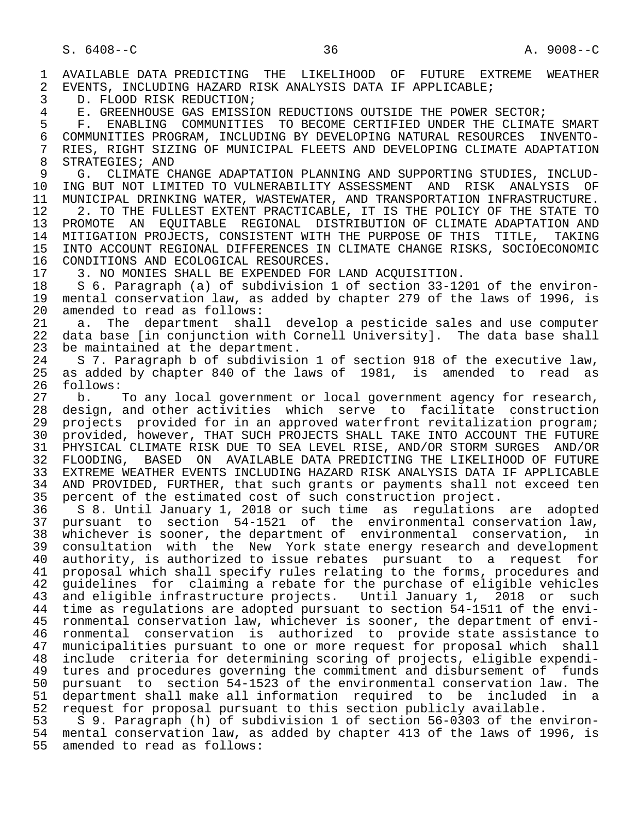1 AVAILABLE DATA PREDICTING THE LIKELIHOOD OF FUTURE EXTREME WEATHER<br>2 EVENTS, INCLUDING HAZARD RISK ANALYSIS DATA IF APPLICABLE; 2 EVENTS, INCLUDING HAZARD RISK ANALYSIS DATA IF APPLICABLE;<br>3 D. FLOOD RISK REDUCTION;

3 D. FLOOD RISK REDUCTION;<br>4 E. GREENHOUSE GAS EMISSI

4 E. GREENHOUSE GAS EMISSION REDUCTIONS OUTSIDE THE POWER SECTOR;<br>5 F. ENABLING COMMUNITIES TO BECOME CERTIFIED UNDER THE CLIMAT

5 F. ENABLING COMMUNITIES TO BECOME CERTIFIED UNDER THE CLIMATE SMART<br>6 COMMUNITIES PROGRAM, INCLUDING BY DEVELOPING NATURAL RESOURCES INVENTO-6 COMMUNITIES PROGRAM, INCLUDING BY DEVELOPING NATURAL RESOURCES<br>7 RIES, RIGHT SIZING OF MUNICIPAL FLEETS AND DEVELOPING CLIMATE A 7 RIES, RIGHT SIZING OF MUNICIPAL FLEETS AND DEVELOPING CLIMATE ADAPTATION<br>8 STRATEGIES: AND 8 STRATEGIES; AND<br>9 G. CLIMATE CI

9 G. CLIMATE CHANGE ADAPTATION PLANNING AND SUPPORTING STUDIES, INCLUD-<br>10 ING BUT NOT LIMITED TO VULNERABILITY ASSESSMENT AND RISK ANALYSIS OF 10 ING BUT NOT LIMITED TO VULNERABILITY ASSESSMENT AND RISK ANALYSIS OF<br>11 MUNICIPAL DRINKING WATER, WASTEWATER, AND TRANSPORTATION INFRASTRUCTURE. 11 MUNICIPAL DRINKING WATER, WASTEWATER, AND TRANSPORTATION INFRASTRUCTURE.<br>12 3. TO THE FULLEST EXTENT PRACTICABLE, IT IS THE POLICY OF THE STATE TO 12 12 2. TO THE FULLEST EXTENT PRACTICABLE, IT IS THE POLICY OF THE STATE TO 13 PROMOTE AN EOUITABLE REGIONAL DISTRIBUTION OF CLIMATE ADAPTATION AND

13 PROMOTE AN EQUITABLE REGIONAL DISTRIBUTION OF CLIMATE ADAPTATION AND<br>14 MITIGATION PROJECTS, CONSISTENT WITH THE PURPOSE OF THIS TITLE, TAKING 14 MITIGATION PROJECTS, CONSISTENT WITH THE PURPOSE OF THIS TITLE, TAKING<br>15 INTO ACCOUNT REGIONAL DIFFERENCES IN CLIMATE CHANGE RISKS, SOCIOECONOMIC 15 INTO ACCOUNT REGIONAL DIFFERENCES IN CLIMATE CHANGE RISKS, SOCIOECONOMIC<br>16 CONDITIONS AND ECOLOGICAL RESOURCES. 16 CONDITIONS AND ECOLOGICAL RESOURCES.<br>17 3. NO MONIES SHALL BE EXPENDED FOR

17 3. NO MONIES SHALL BE EXPENDED FOR LAND ACQUISITION.<br>18 S 6. Paragraph (a) of subdivision 1 of section 33-12

18 S 6. Paragraph (a) of subdivision 1 of section 33-1201 of the environ-<br>19 mental conservation law, as added by chapter 279 of the laws of 1996, is 19 mental conservation law, as added by chapter 279 of the laws of 1996, is 20 amended to read as follows: 20 amended to read as follows:<br>21 a. The department shal

21 a. The department shall develop a pesticide sales and use computer<br>22 data base (in conjunction with Cornell University). The data base shall 22 data base  $\begin{bmatrix} \text{in} \end{bmatrix}$  conjunction with Cornell University]. The data base shall  $\begin{bmatrix} 23 \end{bmatrix}$  be maintained at the department. 23 be maintained at the department.<br>24 S 7. Paragraph b of subdivisio

24 S 7. Paragraph b of subdivision 1 of section 918 of the executive law,<br>25 as added by chapter 840 of the laws of 1981, is amended to read as as added by chapter 840 of the laws of 1981, is amended to read as 26 follows:<br>27 b.

27 b. To any local government or local government agency for research,<br>28 design, and other activities which serve to facilitate construction 28 design, and other activities which serve to facilitate construction<br>29 projects provided for in an approved waterfront revitalization program; 29 projects provided for in an approved waterfront revitalization program;<br>20 provided, however, THAT SUCH PROJECTS SHALL TAKE INTO ACCOUNT THE FUTURE 30 provided, however, THAT SUCH PROJECTS SHALL TAKE INTO ACCOUNT THE FUTURE 31 PHYSICAL CLIMATE RISK DUE TO SEA LEVEL RISE, AND/OR STORM SURGES AND/OR<br>32 FLOODING, BASED ON AVAILABLE DATA PREDICTING THE LIKELIHOOD OF FUTURE 32 FLOODING, BASED ON AVAILABLE DATA PREDICTING THE LIKELIHOOD OF FUTURE<br>33 EXTREME WEATHER EVENTS INCLUDING HAZARD RISK ANALYSIS DATA IF APPLICABLE 33 EXTREME WEATHER EVENTS INCLUDING HAZARD RISK ANALYSIS DATA IF APPLICABLE<br>34 AND PROVIDED, FURTHER, that such grants or payments shall not exceed ten 34 AND PROVIDED, FURTHER, that such grants or payments shall not exceed ten<br>35 percent of the estimated cost of such construction project. 35 percent of the estimated cost of such construction project.<br>36 S 8. Until January 1, 2018 or such time as regulations

 36 S 8. Until January 1, 2018 or such time as regulations are adopted 37 pursuant to section 54-1521 of the environmental conservation law, 38 whichever is sooner, the department of environmental conservation, in<br>39 consultation with the New York state energy research and development 39 consultation with the New York state energy research and development<br>40 authority, is authorized to issue rebates pursuant to a request for 40 authority, is authorized to issue rebates pursuant to a request for<br>41 proposal which shall specify rules relating to the forms, procedures and 41 proposal which shall specify rules relating to the forms, procedures and<br>42 quidelines for claiming a rebate for the purchase of eligible vehicles 42 guidelines for claiming a rebate for the purchase of eligible vehicles<br>43 and eligible infrastructure projects. Until January 1. 2018 or such 43 and eligible infrastructure projects. Until January 1, 2018 or such<br>44 time as regulations are adopted pursuant to section 54-1511 of the envi-44 time as regulations are adopted pursuant to section 54-1511 of the envi-<br>45 ronmental conservation law, whichever is sooner, the department of environmental conservation law, whichever is sooner, the department of envi-46 ronmental conservation is authorized to provide state assistance to<br>47 municipalities pursuant to one or more request for proposal which shall municipalities pursuant to one or more request for proposal which shall 48 include criteria for determining scoring of projects, eligible expendi- 49 tures and procedures governing the commitment and disbursement of funds<br>50 pursuant to section 54-1523 of the environmental conservation law. The 50 pursuant to section 54-1523 of the environmental conservation law. The<br>51 department shall make all information required to be included in a 51 department shall make all information required to be included in a<br>52 request for proposal pursuant to this section publicly available. 52 request for proposal pursuant to this section publicly available.<br>53 59. Paragraph (h) of subdivision 1 of section 56-0303 of the e

53 S 9. Paragraph (h) of subdivision 1 of section 56-0303 of the environ-<br>54 mental conservation law, as added by chapter 413 of the laws of 1996, is 54 mental conservation law, as added by chapter 413 of the laws of 1996, is<br>55 amended to read as follows: amended to read as follows: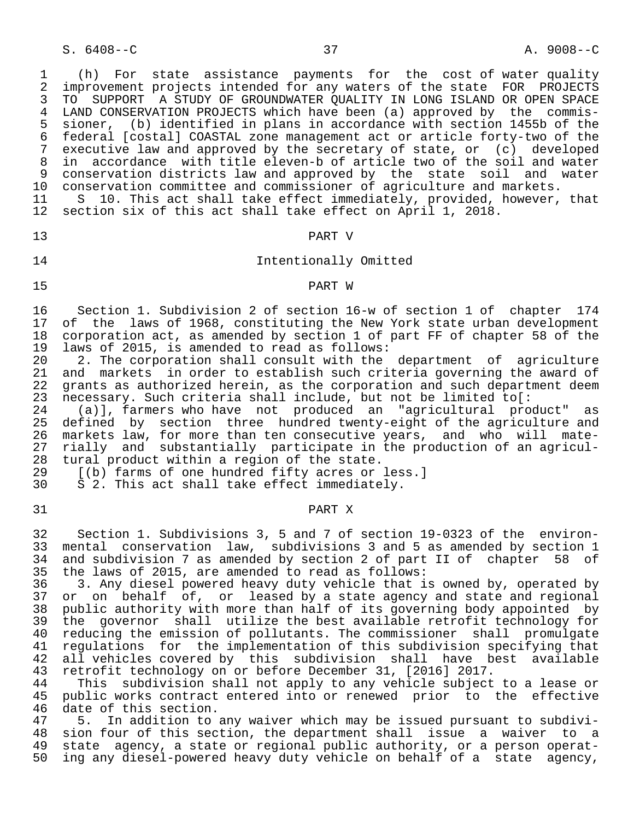S. 6408--C 37 A. 9008--C

 1 (h) For state assistance payments for the cost of water quality 2 improvement projects intended for any waters of the state FOR PROJECTS<br>3 TO SUPPORT A STUDY OF GROUNDWATER OUALITY IN LONG ISLAND OR OPEN SPACE 3 TO SUPPORT A STUDY OF GROUNDWATER QUALITY IN LONG ISLAND OR OPEN SPACE<br>4 LAND CONSERVATION PROJECTS which have been (a) approved by the commis-4 LAND CONSERVATION PROJECTS which have been (a) approved by the commis-<br>5 sioner, (b) identified in plans in accordance with section 1455b of the 5 sioner, (b) identified in plans in accordance with section 1455b of the 6 federal [costal] COASTAL zone management act or article forty-two of the 7 executive law and approved by the secretary of state, or (c) developed<br>8 in accordance with title eleven-b of article two of the soil and water 8 in accordance with title eleven-b of article two of the soil and water 9 conservation districts law and approved by the state soil and water<br>10 conservation committee and commissioner of agriculture and markets. 10 conservation committee and commissioner of agriculture and markets.<br>11 S 10. This act shall take effect immediately, provided, however,

11 S 10. This act shall take effect immediately, provided, however, that<br>12 section six of this act shall take effect on April 1, 2018. section six of this act shall take effect on April 1, 2018.

## 13 PART V

## 14 Intentionally Omitted

#### 15 PART W

16 Section 1. Subdivision 2 of section 16-w of section 1 of chapter 174<br>17 of the laws of 1968, constituting the New York state urban development 17 of the laws of 1968, constituting the New York state urban development<br>18 corporation act, as amended by section 1 of part FF of chapter 58 of the 18 corporation act, as amended by section 1 of part FF of chapter 58 of the<br>19 laws of 2015, is amended to read as follows: 19 laws of 2015, is amended to read as follows:<br>20 2. The corporation shall consult with the

20 2. The corporation shall consult with the department of agriculture<br>21 and markets in order to establish such criteria governing the award of 21 and markets in order to establish such criteria governing the award of<br>22 grants as authorized herein, as the corporation and such department deem 22 grants as authorized herein, as the corporation and such department deem<br>23 necessary. Such criteria shall include, but not be limited to[: 23 necessary. Such criteria shall include, but not be limited to  $:$  24 (a)], farmers who have not produced an "agricultural pro

24 (a)], farmers who have not produced an "agricultural product" as<br>25 defined by section three hundred twenty-eight of the agriculture and 25 defined by section three hundred twenty-eight of the agriculture and<br>26 markets law, for more than ten consecutive vears, and who will mate-26 markets law, for more than ten consecutive years, and who will mate-<br>27 rially and substantially participate in the production of an agricul-27 rially and substantially participate in the production of an agricul-<br>28 tural product within a region of the state. 28 tural product within a region of the state.<br>29  $(6)$  farms of one hundred fifty acres or

29 [(b) farms of one hundred fifty acres or less.]<br>30 S 2. This act shall take effect immediately.

S 2. This act shall take effect immediately.

#### 31 PART X

 32 Section 1. Subdivisions 3, 5 and 7 of section 19-0323 of the environ- 33 mental conservation law, subdivisions 3 and 5 as amended by section 1<br>34 and subdivision 7 as amended by section 2 of part II of chapter 58 of 34 and subdivision 7 as amended by section 2 of part II of chapter 58 of 35 the laws of 2015, are amended to read as follows:

36 3. Any diesel powered heavy duty vehicle that is owned by, operated by<br>37 or on behalf of, or leased by a state agency and state and regional 37 or on behalf of, or leased by a state agency and state and regional<br>38 public authority with more than half of its governing body appointed by 38 public authority with more than half of its governing body appointed by<br>39 the governor shall utilize the best available retrofit technology for 39 the governor shall utilize the best available retrofit technology for<br>40 reducing the emission of pollutants. The commissioner shall promulgate 40 reducing the emission of pollutants. The commissioner shall promulgate<br>41 regulations for the implementation of this subdivision specifying that 41 regulations for the implementation of this subdivision specifying that<br>42 all vehicles covered by this subdivision shall have best available 42 all vehicles covered by this subdivision shall have best available<br>43 retrofit technology on or before December 31, [2016] 2017. 43 retrofit technology on or before December 31, [2016] 2017.<br>44 This subdivision shall not apply to any vehicle subject

44 This subdivision shall not apply to any vehicle subject to a lease or<br>45 public works contract entered into or renewed prior to the effective public works contract entered into or renewed prior to the effective 46 date of this section.<br>47 5. In addition to

 47 5. In addition to any waiver which may be issued pursuant to subdivi- 48 sion four of this section, the department shall issue a waiver to a<br>49 state agency, a state or regional public authority, or a person operat-49 state agency, a state or regional public authority, or a person operat-<br>50 ing any diesel-powered heavy duty vehicle on behalf of a state agency, ing any diesel-powered heavy duty vehicle on behalf of a state agency,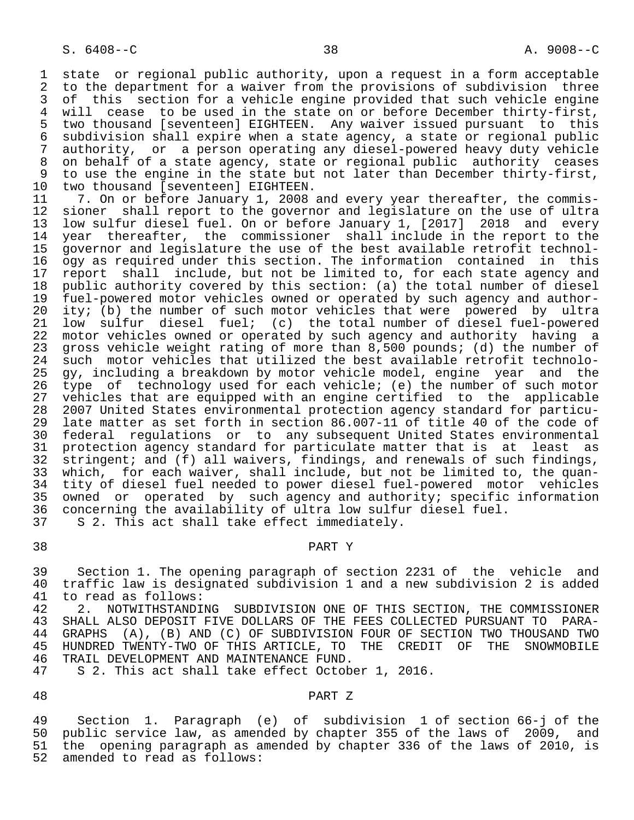1 state or regional public authority, upon a request in a form acceptable<br>2 to the department for a waiver from the provisions of subdivision three 2 to the department for a waiver from the provisions of subdivision three<br>3 of this section for a vehicle engine provided that such vehicle engine 3 of this section for a vehicle engine provided that such vehicle engine<br>4 will cease to be used in the state on or before December thirty-first. 4 will cease to be used in the state on or before December thirty-first,<br>5 two thousand [seventeen] EIGHTEEN. Any waiver issued pursuant to this 5 two thousand [seventeen] EIGHTEEN. Any waiver issued pursuant to this<br>6 subdivision shall expire when a state agency, a state or regional public 6 subdivision shall expire when a state agency, a state or regional public 7 authority, or a person operating any diesel-powered heavy duty vehicle<br>8 on behalf of a state agency, state or regional public authority ceases 8 on behalf of a state agency, state or regional public authority ceases<br>8 to use the engine in the state but not later than December thirty-first. 9 to use the engine in the state but not later than December thirty-first,<br>10 two thousand [seventeen] EIGHTEEN.

10 two thousand [seventeen] EIGHTEEN.<br>11 7. On or before January 1, 2008. 11 7. On or before January 1, 2008 and every year thereafter, the commis-<br>12 sioner shall report to the governor and legislature on the use of ultra 12 sioner shall report to the governor and legislature on the use of ultra<br>13 low sulfur diesel fuel. On or before January 1, [2017] 2018 and every 13 low sulfur diesel fuel. On or before January 1, [2017] 2018 and every<br>14 vear thereafter, the commissioner shall include in the report to the year thereafter, the commissioner shall include in the report to the 15 governor and legislature the use of the best available retrofit technol-<br>16 ogy as required under this section. The information contained in this 16 ogy as required under this section. The information contained<br>17 report shall include, but not be limited to, for each state a 17 report shall include, but not be limited to, for each state agency and<br>18 public authority covered by this section: (a) the total number of diesel 18 public authority covered by this section: (a) the total number of diesel<br>19 fuel-powered motor vehicles owned or operated by such agency and author-19 fuel-powered motor vehicles owned or operated by such agency and author-<br>20 ity; (b) the number of such motor vehicles that were powered by ultra 20 ity; (b) the number of such motor vehicles that were powered by ultra<br>21 low sulfur diesel fuel; (c) the total number of diesel fuel-powered 21 low sulfur diesel fuel; (c) the total number of diesel fuel-powered<br>22 motor vehicles owned or operated by such agency and authority having a 22 motor vehicles owned or operated by such agency and authority having a<br>23 gross vehicle weight rating of more than 8,500 pounds; (d) the number of gross vehicle weight rating of more than 8,500 pounds; (d) the number of 24 such motor vehicles that utilized the best available retrofit technolo-<br>25 gy, including a breakdown by motor vehicle model, engine, year, and, the 25 gy, including a breakdown by motor vehicle model, engine year and the 26 type of technology used for each vehicle; (e) the number of such motor<br>27 vehicles that are equipped with an engine certified to the applicable 27 vehicles that are equipped with an engine certified to the applicable<br>28 2007 United States environmental protection agency standard for particu- 28 2007 United States environmental protection agency standard for particu late matter as set forth in section 86.007-11 of title 40 of the code of 30 federal regulations or to any subsequent United States environmental<br>31 protection agency standard for particulate matter that is at least as 31 protection agency standard for particulate matter that is at least as<br>32 stringent; and (f) all waivers, findings, and renewals of such findings, 32 stringent; and (f) all waivers, findings, and renewals of such findings,<br>33 which, for each waiver, shall include, but not be limited to, the quan-33 which, for each waiver, shall include, but not be limited to, the quan-<br>34 tity of diesel fuel needed to power diesel fuel-powered motor vehicles 34 tity of diesel fuel needed to power diesel fuel-powered motor vehicles<br>35 owned or operated by such agency and authority; specific information 35 owned or operated by such agency and authority; specific information<br>36 concerning the availability of ultra low sulfur diesel fuel. concerning the availability of ultra low sulfur diesel fuel. 37 S 2. This act shall take effect immediately.

# 38 PART Y

 39 Section 1. The opening paragraph of section 2231 of the vehicle and 40 traffic law is designated subdivision 1 and a new subdivision 2 is added<br>41 to read as follows: 41 to read as follows:<br>42 2. NOTWITHSTANDI

42 2. NOTWITHSTANDING SUBDIVISION ONE OF THIS SECTION, THE COMMISSIONER<br>43 SHALL ALSO DEPOSIT FIVE DOLLARS OF THE FEES COLLECTED PURSUANT TO PARA-SHALL ALSO DEPOSIT FIVE DOLLARS OF THE FEES COLLECTED PURSUANT TO PARA-44 GRAPHS (A), (B) AND (C) OF SUBDIVISION FOUR OF SECTION TWO THOUSAND TWO<br>45 HUNDRED TWENTY-TWO OF THIS ARTICLE, TO THE CREDIT OF THE SNOWMOBILE 45 HUNDRED TWENTY-TWO OF THIS ARTICLE, TO THE CREDIT OF THE SNOWMOBILE 46 TRAIL DEVELOPMENT AND MAINTENANCE FUND.<br>47 S 2. This act shall take effect Octob

S 2. This act shall take effect October 1, 2016.

#### 48 PART Z

 49 Section 1. Paragraph (e) of subdivision 1 of section 66-j of the public service law, as amended by chapter 355 of the laws of 2009, and 51 the opening paragraph as amended by chapter 336 of the laws of 2010, is 52 amended to read as follows: amended to read as follows: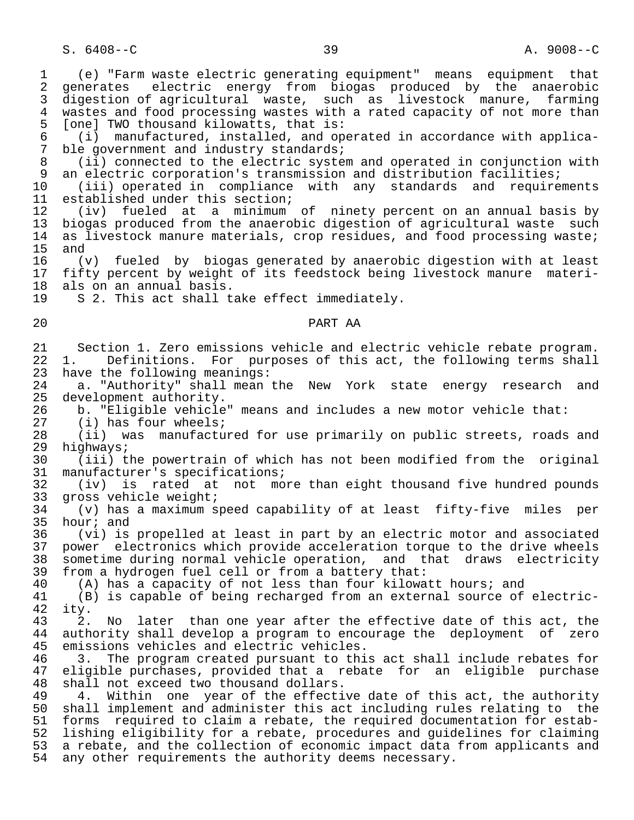1 (e) "Farm waste electric generating equipment" means equipment that 2 generates electric energy from biogas produced by the anaerobic<br>3 digestion-of-agricultural waste, such as livestock manure, farming digestion of agricultural waste, such as livestock manure, farming 4 wastes and food processing wastes with a rated capacity of not more than<br>5 [one] TWO thousand kilowatts, that is: 5 [one] TWO thousand kilowatts, that is:<br>6 (i) manufactured, installed, and op 6 (i) manufactured, installed, and operated in accordance with applica- 7 ble government and industry standards;<br>8 (ii) connected to the electric system 8 (ii) connected to the electric system and operated in conjunction with<br>9 an electric corporation's transmission and distribution facilities; 9 an electric corporation's transmission and distribution facilities;<br>10 (iii) operated in compliance with any standards and require 10 (iii) operated in compliance with any standards and requirements 11 established under this section;<br>12 (iv) fueled at a minimum 12 (iv) fueled at a minimum of ninety percent on an annual basis by 13 biogas produced from the anaerobic digestion of agricultural waste such<br>14 as livestock manure materials, crop residues, and food processing waste; 14 as livestock manure materials, crop residues, and food processing waste;<br>15 and  $15$  and<br> $16$  ( 16 (v) fueled by biogas generated by anaerobic digestion with at least 17 fifty percent by weight of its feedstock being livestock manure materi-<br>18 als on an annual basis. 18 als on an annual basis.<br>19 S 2. This act shall t S 2. This act shall take effect immediately. 20 PART AA 21 Section 1. Zero emissions vehicle and electric vehicle rebate program. 22 1. Definitions. For purposes of this act, the following terms shall<br>23 have the following meanings: have the following meanings: 24 a. "Authority" shall mean the New York state energy research and<br>25 development authority. 25 development authority.<br>26 b. "Eligible vehicle 26 b. "Eligible vehicle" means and includes a new motor vehicle that:<br>27 (i) has four wheels; 27 (i) has four wheels;<br>28 (ii) was manufactu: 28 (ii) was manufactured for use primarily on public streets, roads and 29 highways;<br>30 (iii)t 30 (iii) the powertrain of which has not been modified from the original 31 manufacturer's specifications;<br>32 (iv) is rated at not mo 32 (iv) is rated at not more than eight thousand five hundred pounds<br>33 gross vehicle weight; 33 gross vehicle weight;<br>34 (v) has a maximum s 34 (v) has a maximum speed capability of at least fifty-five miles per  $35$  hour; and<br> $36$  (vi) is 36 (vi) is propelled at least in part by an electric motor and associated 37 power electronics which provide acceleration torque to the drive wheels<br>38 sometime during normal vehicle operation, and that draws electricity 38 sometime during normal vehicle operation, and that draws electricity<br>39 from a hydrogen fuel cell or from a battery that: 39 from a hydrogen fuel cell or from a battery that: 40 (A) has a capacity of not less than four kilowatt hours; and<br>41 (B) is capable of being recharged from an external source of 41 (B) is capable of being recharged from an external source of electric- 42 ity. 2. No later than one year after the effective date of this act, the 44 authority shall develop a program to encourage the deployment of zero<br>45 emissions vehicles and electric vehicles. emissions vehicles and electric vehicles. 46 3. The program created pursuant to this act shall include rebates for 47 eligible purchases, provided that a rebate for an eligible purchase<br>48 shall not exceed two thousand dollars. 48 shall not exceed two thousand dollars.<br>49 4. Within one year of the effecti 4. Within one year of the effective date of this act, the authority 50 shall implement and administer this act including rules relating to the 51 forms required to claim a rebate, the required documentation for estab-<br>52 lishing eligibility for a rebate, procedures and quidelines for claiming 52 lishing eligibility for a rebate, procedures and guidelines for claiming<br>53 a rebate, and the collection of economic impact data from applicants and 53 a rebate, and the collection of economic impact data from applicants and<br>54 any other requirements the authority deems necessary. any other requirements the authority deems necessary.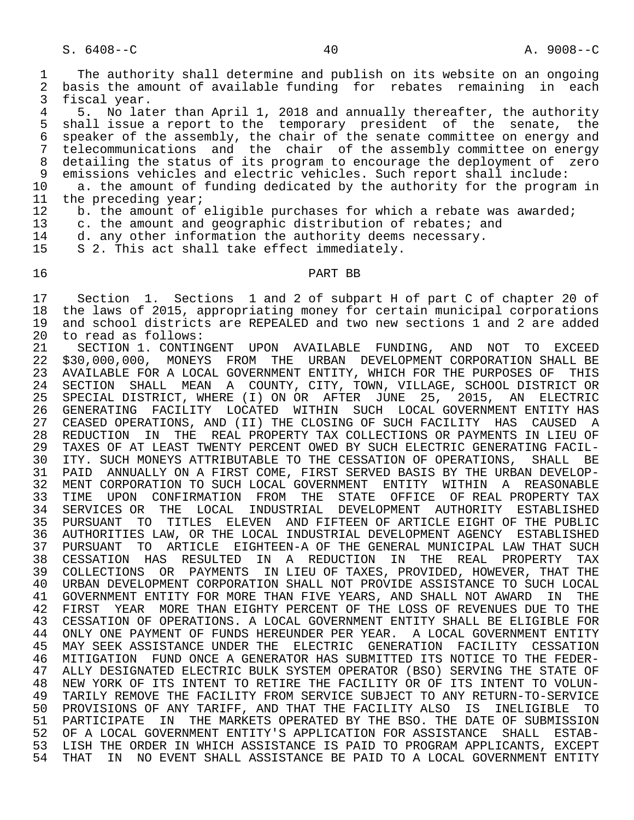1 The authority shall determine and publish on its website on an ongoing<br>2 basis the amount of available funding for rebates remaining in each 2 basis the amount of available funding for rebates remaining in each<br>3 fiscal vear. 3 fiscal year.<br>4 5 No lat

4 5. No later than April 1, 2018 and annually thereafter, the authority<br>5 shall issue a report to the temporary president of the senate, the 5 shall issue a report to the temporary president of the senate, the 6 speaker of the assembly, the chair of the senate committee on energy and 7 telecommunications and the chair of the assembly committee on energy<br>8 detailing the status of its program to encourage the deployment of zero 8 detailing the status of its program to encourage the deployment of zero<br>9 emissions vehicles and electric vehicles. Such report shall include:

9 emissions vehicles and electric vehicles. Such report shall include:<br>10 a. the amount of funding dedicated by the authority for the program 10 a. the amount of funding dedicated by the authority for the program in<br>11 the preceding year;

- 11 the preceding year;<br>12 b. the amount of
- 12 b. the amount of eligible purchases for which a rebate was awarded;<br>13 c. the amount and geographic distribution of rebates; and

13 c. the amount and geographic distribution of rebates; and<br>14 d. any other information the authority deems necessary.

14 d. any other information the authority deems necessary.<br>15 S 2. This act shall take effect immediately.

S 2. This act shall take effect immediately.

#### 16 PART BB

17 Section 1. Sections 1 and 2 of subpart H of part C of chapter 20 of<br>18 the laws of 2015, appropriating money for certain municipal corporations 18 the laws of 2015, appropriating money for certain municipal corporations<br>19 and school districts are REPEALED and two new sections 1 and 2 are added 19 and school districts are REPEALED and two new sections 1 and 2 are added<br>20 to read as follows: 20 to read as follows:<br>21 SECTION 1. CONTIN

21 SECTION 1. CONTINGENT UPON AVAILABLE FUNDING, AND NOT TO EXCEED<br>22 \$30,000,000, MONEYS FROM THE URBAN DEVELOPMENT CORPORATION SHALL BE 22 \$30,000,000, MONEYS FROM THE URBAN DEVELOPMENT CORPORATION SHALL BE<br>23 AVAILABLE FOR A LOCAL GOVERNMENT ENTITY, WHICH FOR THE PURPOSES OF THIS 23 AVAILABLE FOR A LOCAL GOVERNMENT ENTITY, WHICH FOR THE PURPOSES OF THIS<br>24 SECTION SHALL MEAN A COUNTY, CITY, TOWN, VILLAGE, SCHOOL DISTRICT OR 24 SECTION SHALL MEAN A COUNTY, CITY, TOWN, VILLAGE, SCHOOL DISTRICT OR<br>25 SPECIAL DISTRICT, WHERE (I) ON OR AFTER JUNE 25, 2015, AN ELECTRIC SPECIAL DISTRICT, WHERE (I) ON OR AFTER JUNE 26 GENERATING FACILITY LOCATED WITHIN SUCH LOCAL GOVERNMENT ENTITY HAS<br>27 CEASED OPERATIONS, AND (II) THE CLOSING OF SUCH FACILITY HAS CAUSED A CEASED OPERATIONS, AND (II) THE CLOSING OF SUCH FACILITY HAS CAUSED A 28 REDUCTION IN THE REAL PROPERTY TAX COLLECTIONS OR PAYMENTS IN LIEU OF<br>29 TAXES OF AT LEAST TWENTY PERCENT OWED BY SUCH ELECTRIC GENERATING FACIL-29 TAXES OF AT LEAST TWENTY PERCENT OWED BY SUCH ELECTRIC GENERATING FACIL-<br>30 ITY, SUCH MONEYS ATTRIBUTABLE TO THE CESSATION OF OPERATIONS, SHALL BE 30 ITY. SUCH MONEYS ATTRIBUTABLE TO THE CESSATION OF OPERATIONS, SHALL BE<br>31 PAID ANNUALLY ON A FIRST COME, FIRST SERVED BASIS BY THE URBAN DEVELOP-PAID ANNUALLY ON A FIRST COME, FIRST SERVED BASIS BY THE URBAN DEVELOP-32 MENT CORPORATION TO SUCH LOCAL GOVERNMENT ENTITY WITHIN A REASONABLE<br>33 TIME UPON CONFIRMATION FROM THE STATE OFFICE OF REAL PROPERTY TAX 33 TIME UPON CONFIRMATION FROM THE STATE OFFICE OF-REAL-PROPERTY-TAX<br>34 SERVICES-OR THE LOCAL INDUSTRIAL DEVELOPMENT AUTHORITY ESTABLISHED 34 SERVICES OR THE LOCAL INDUSTRIAL DEVELOPMENT AUTHORITY ESTABLISHED 35 PURSUANT TO TITLES ELEVEN AND FIFTEEN OF ARTICLE EIGHT OF THE PUBLIC 36 AUTHORITIES LAW, OR THE LOCAL INDUSTRIAL DEVELOPMENT AGENCY ESTABLISHED<br>37 PURSUANT TO ARTICLE EIGHTEEN-A OF THE GENERAL MUNICIPAL LAW THAT SUCH 37 PURSUANT TO ARTICLE EIGHTEEN-A OF THE GENERAL MUNICIPAL LAW THAT SUCH<br>38 CESSATION HAS RESULTED IN A REDUCTION IN THE REAL PROPERTY TAX 38 CESSATION HAS RESULTED IN A REDUCTION IN THE REAL PROPERTY TAX 39 COLLECTIONS OR PAYMENTS IN LIEU OF TAXES, PROVIDED, HOWEVER, THAT THE 40 URBAN DEVELOPMENT CORPORATION SHALL NOT PROVIDE ASSISTANCE TO SUCH LOCAL<br>41 GOVERNMENT ENTITY FOR MORE THAN FIVE YEARS, AND SHALL NOT AWARD IN THE 41 GOVERNMENT ENTITY FOR MORE THAN FIVE YEARS, AND SHALL NOT AWARD IN<br>42 FIRST YEAR MORE THAN EIGHTY PERCENT OF THE LOSS OF REVENUES DUE TO 42 FIRST YEAR MORE THAN EIGHTY PERCENT OF THE LOSS OF REVENUES DUE TO THE 43 CESSATION OF OPERATIONS. A LOCAL GOVERNMENT ENTITY SHALL BE ELIGIBLE FOR 44 ONLY ONE PAYMENT OF FUNDS HEREUNDER PER YEAR. A LOCAL GOVERNMENT ENTITY<br>45 MAY SEEK ASSISTANCE UNDER THE ELECTRIC GENERATION FACILITY CESSATION 45 MAY SEEK ASSISTANCE UNDER THE ELECTRIC GENERATION FACILITY CESSATION 46 MITIGATION FUND ONCE A GENERATOR HAS SUBMITTED ITS NOTICE TO THE FEDER- ALLY DESIGNATED ELECTRIC BULK SYSTEM OPERATOR (BSO) SERVING THE STATE OF 48 NEW YORK OF ITS INTENT TO RETIRE THE FACILITY OR OF ITS INTENT TO VOLUN- 49 TARILY REMOVE THE FACILITY FROM SERVICE SUBJECT TO ANY RETURN-TO-SERVICE 50 PROVISIONS OF ANY TARIFF, AND THAT THE FACILITY ALSO IS INELIGIBLE TO 51 PARTICIPATE IN THE MARKETS OPERATED BY THE BSO. THE DATE OF SUBMISSION<br>52 OF A LOCAL GOVERNMENT ENTITY'S APPLICATION FOR ASSISTANCE SHALL ESTAB-52 OF A LOCAL GOVERNMENT ENTITY'S APPLICATION FOR ASSISTANCE SHALL ESTAB-<br>53 LISH THE ORDER IN WHICH ASSISTANCE IS PAID TO PROGRAM APPLICANTS, EXCEPT 53 LISH THE ORDER IN WHICH ASSISTANCE IS PAID TO PROGRAM APPLICANTS, EXCEPT<br>54 THAT IN NO EVENT SHALL ASSISTANCE BE PAID TO A LOCAL GOVERNMENT ENTITY IN NO EVENT SHALL ASSISTANCE BE PAID TO A LOCAL GOVERNMENT ENTITY